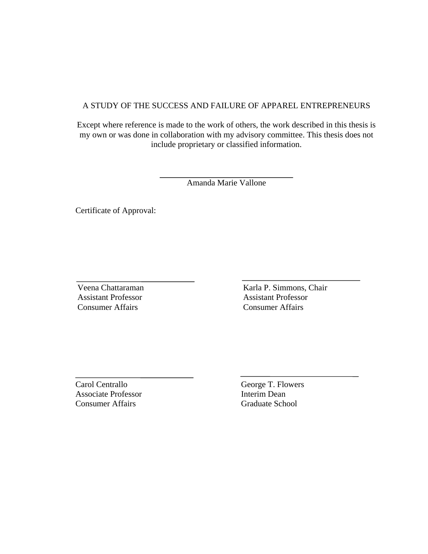## A STUDY OF THE SUCCESS AND FAILURE OF APPAREL ENTREPRENEURS

Except where reference is made to the work of others, the work described in this thesis is my own or was done in collaboration with my advisory committee. This thesis does not include proprietary or classified information.

Amanda Marie Vallone

Certificate of Approval:

 Veena Chattaraman Assistant Professor Consumer Affairs

 Karla P. Simmons, Chair Assistant Professor Consumer Affairs

Carol Centrallo Associate Professor Consumer Affairs

 George T. Flowers Interim Dean Graduate School

 $\ddot{\phantom{0}}$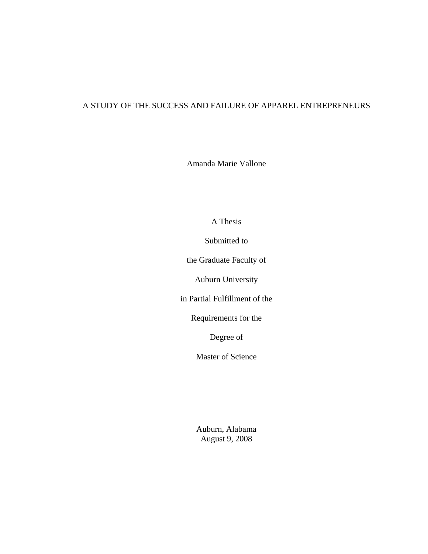# A STUDY OF THE SUCCESS AND FAILURE OF APPAREL ENTREPRENEURS

Amanda Marie Vallone

A Thesis

Submitted to

the Graduate Faculty of

Auburn University

in Partial Fulfillment of the

Requirements for the

Degree of

Master of Science

Auburn, Alabama August 9, 2008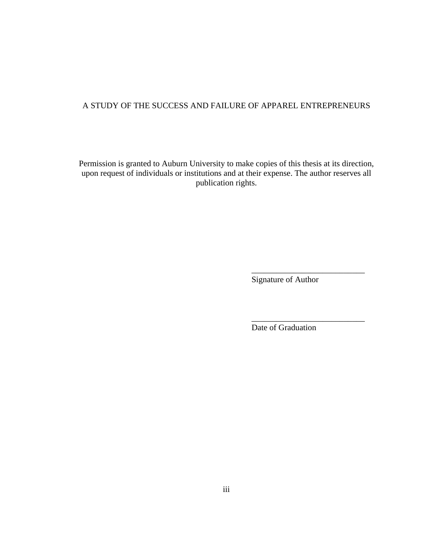# A STUDY OF THE SUCCESS AND FAILURE OF APPAREL ENTREPRENEURS

Permission is granted to Auburn University to make copies of this thesis at its direction, upon request of individuals or institutions and at their expense. The author reserves all publication rights.

 $\overline{\phantom{a}}$  , and the contract of the contract of the contract of the contract of the contract of the contract of the contract of the contract of the contract of the contract of the contract of the contract of the contrac

Signature of Author

Date of Graduation

\_\_\_\_\_\_\_\_\_\_\_\_\_\_\_\_\_\_\_\_\_\_\_\_\_\_\_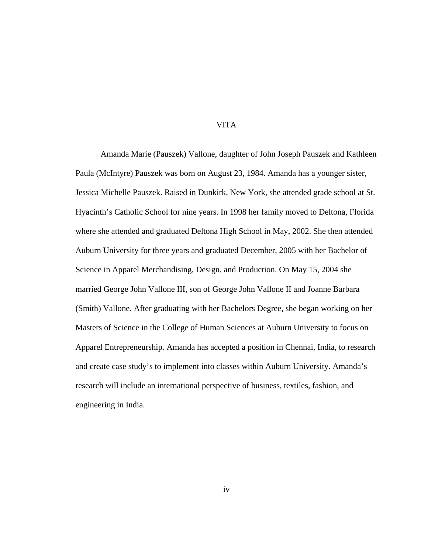### VITA

 Amanda Marie (Pauszek) Vallone, daughter of John Joseph Pauszek and Kathleen Paula (McIntyre) Pauszek was born on August 23, 1984. Amanda has a younger sister, Jessica Michelle Pauszek. Raised in Dunkirk, New York, she attended grade school at St. Hyacinth's Catholic School for nine years. In 1998 her family moved to Deltona, Florida where she attended and graduated Deltona High School in May, 2002. She then attended Auburn University for three years and graduated December, 2005 with her Bachelor of Science in Apparel Merchandising, Design, and Production. On May 15, 2004 she married George John Vallone III, son of George John Vallone II and Joanne Barbara (Smith) Vallone. After graduating with her Bachelors Degree, she began working on her Masters of Science in the College of Human Sciences at Auburn University to focus on Apparel Entrepreneurship. Amanda has accepted a position in Chennai, India, to research and create case study's to implement into classes within Auburn University. Amanda's research will include an international perspective of business, textiles, fashion, and engineering in India.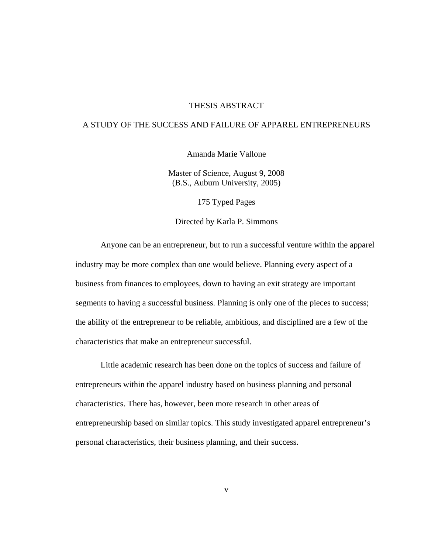#### THESIS ABSTRACT

## A STUDY OF THE SUCCESS AND FAILURE OF APPAREL ENTREPRENEURS

Amanda Marie Vallone

Master of Science, August 9, 2008 (B.S., Auburn University, 2005)

175 Typed Pages

Directed by Karla P. Simmons

 Anyone can be an entrepreneur, but to run a successful venture within the apparel industry may be more complex than one would believe. Planning every aspect of a business from finances to employees, down to having an exit strategy are important segments to having a successful business. Planning is only one of the pieces to success; the ability of the entrepreneur to be reliable, ambitious, and disciplined are a few of the characteristics that make an entrepreneur successful.

Little academic research has been done on the topics of success and failure of entrepreneurs within the apparel industry based on business planning and personal characteristics. There has, however, been more research in other areas of entrepreneurship based on similar topics. This study investigated apparel entrepreneur's personal characteristics, their business planning, and their success.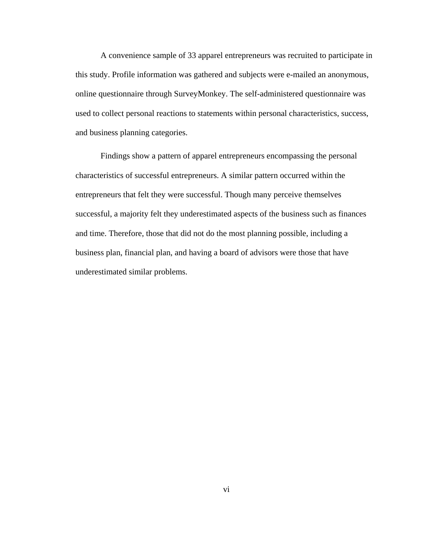A convenience sample of 33 apparel entrepreneurs was recruited to participate in this study. Profile information was gathered and subjects were e-mailed an anonymous, online questionnaire through SurveyMonkey. The self-administered questionnaire was used to collect personal reactions to statements within personal characteristics, success, and business planning categories.

 Findings show a pattern of apparel entrepreneurs encompassing the personal characteristics of successful entrepreneurs. A similar pattern occurred within the entrepreneurs that felt they were successful. Though many perceive themselves successful, a majority felt they underestimated aspects of the business such as finances and time. Therefore, those that did not do the most planning possible, including a business plan, financial plan, and having a board of advisors were those that have underestimated similar problems.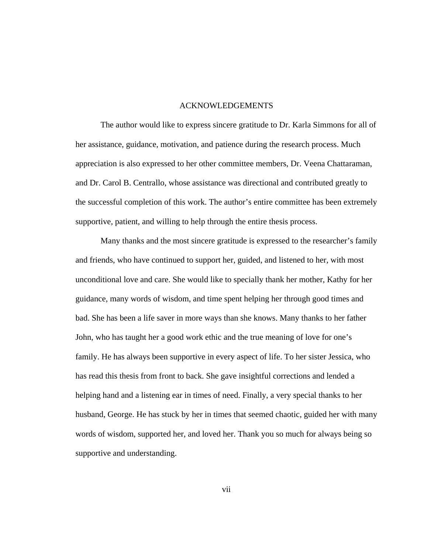#### ACKNOWLEDGEMENTS

 The author would like to express sincere gratitude to Dr. Karla Simmons for all of her assistance, guidance, motivation, and patience during the research process. Much appreciation is also expressed to her other committee members, Dr. Veena Chattaraman, and Dr. Carol B. Centrallo, whose assistance was directional and contributed greatly to the successful completion of this work. The author's entire committee has been extremely supportive, patient, and willing to help through the entire thesis process.

Many thanks and the most sincere gratitude is expressed to the researcher's family and friends, who have continued to support her, guided, and listened to her, with most unconditional love and care. She would like to specially thank her mother, Kathy for her guidance, many words of wisdom, and time spent helping her through good times and bad. She has been a life saver in more ways than she knows. Many thanks to her father John, who has taught her a good work ethic and the true meaning of love for one's family. He has always been supportive in every aspect of life. To her sister Jessica, who has read this thesis from front to back. She gave insightful corrections and lended a helping hand and a listening ear in times of need. Finally, a very special thanks to her husband, George. He has stuck by her in times that seemed chaotic, guided her with many words of wisdom, supported her, and loved her. Thank you so much for always being so supportive and understanding.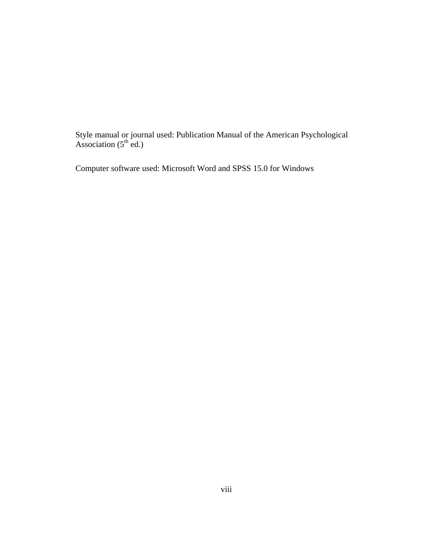Style manual or journal used: Publication Manual of the American Psychological Association  $(5^{th}$  ed.)

Computer software used: Microsoft Word and SPSS 15.0 for Windows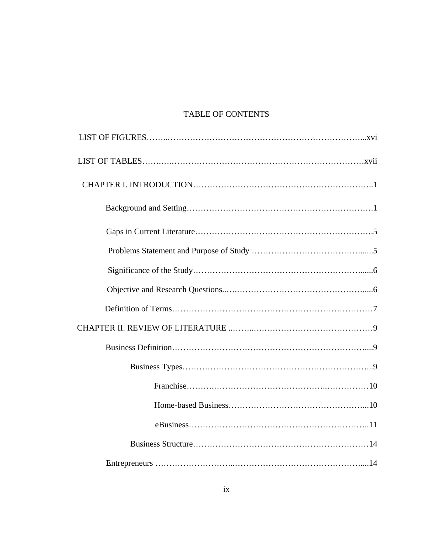# TABLE OF CONTENTS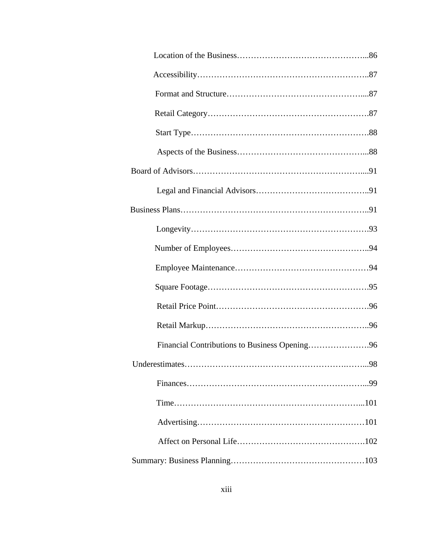| Financial Contributions to Business Opening96 |
|-----------------------------------------------|
| .98                                           |
|                                               |
|                                               |
|                                               |
|                                               |
|                                               |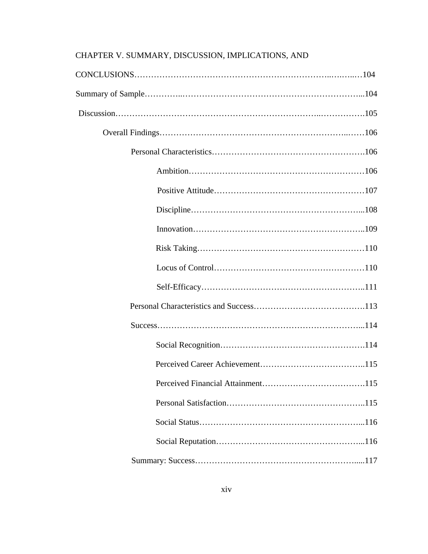# CHAPTER V. SUMMARY, DISCUSSION, IMPLICATIONS, AND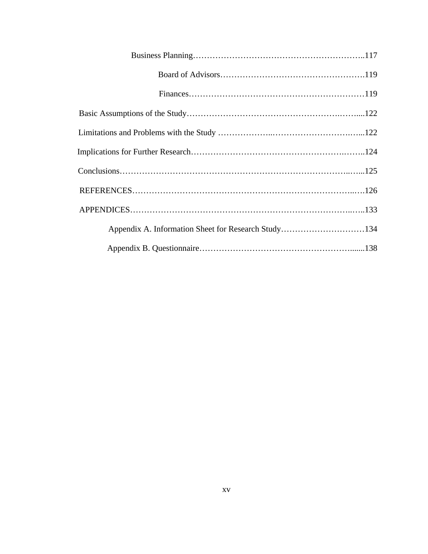| Appendix A. Information Sheet for Research Study134 |  |
|-----------------------------------------------------|--|
|                                                     |  |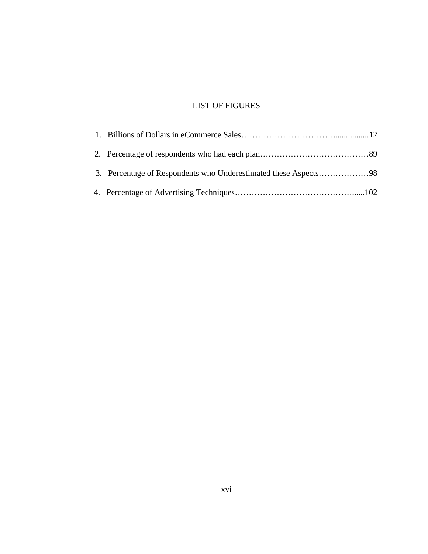# LIST OF FIGURES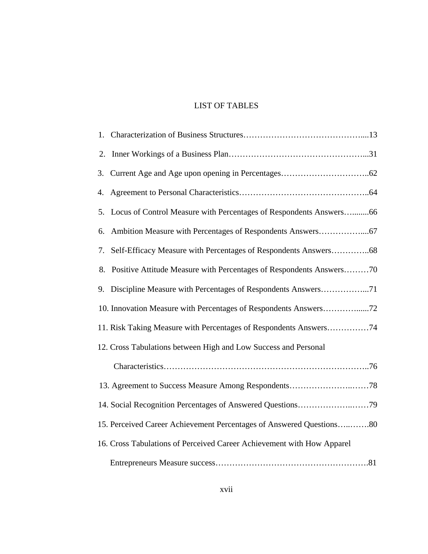# LIST OF TABLES

| 2. |                                                                        |
|----|------------------------------------------------------------------------|
| 3. |                                                                        |
| 4. |                                                                        |
|    | 5. Locus of Control Measure with Percentages of Respondents Answers66  |
| 6. |                                                                        |
| 7. | Self-Efficacy Measure with Percentages of Respondents Answers68        |
| 8. | Positive Attitude Measure with Percentages of Respondents Answers70    |
| 9. | Discipline Measure with Percentages of Respondents Answers71           |
|    | 10. Innovation Measure with Percentages of Respondents Answers72       |
|    | 11. Risk Taking Measure with Percentages of Respondents Answers74      |
|    | 12. Cross Tabulations between High and Low Success and Personal        |
|    |                                                                        |
|    |                                                                        |
|    |                                                                        |
|    | 15. Perceived Career Achievement Percentages of Answered Questions80   |
|    | 16. Cross Tabulations of Perceived Career Achievement with How Apparel |
|    |                                                                        |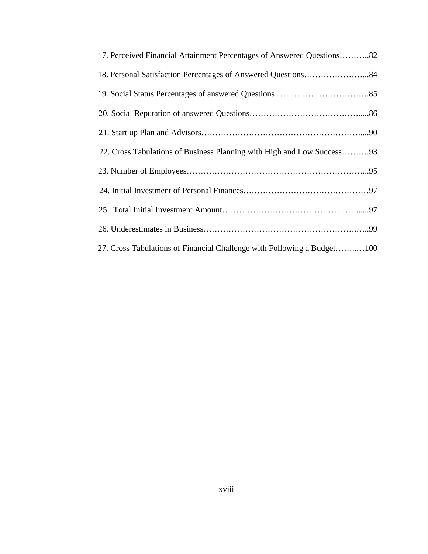| 17. Perceived Financial Attainment Percentages of Answered Questions82  |
|-------------------------------------------------------------------------|
|                                                                         |
|                                                                         |
|                                                                         |
|                                                                         |
| 22. Cross Tabulations of Business Planning with High and Low Success93  |
|                                                                         |
|                                                                         |
|                                                                         |
|                                                                         |
| 27. Cross Tabulations of Financial Challenge with Following a Budget100 |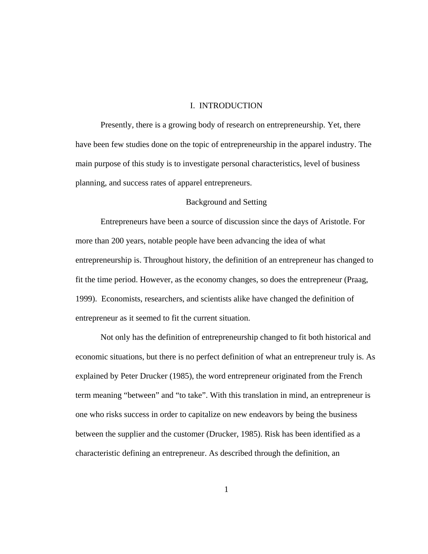#### I. INTRODUCTION

Presently, there is a growing body of research on entrepreneurship. Yet, there have been few studies done on the topic of entrepreneurship in the apparel industry. The main purpose of this study is to investigate personal characteristics, level of business planning, and success rates of apparel entrepreneurs.

#### Background and Setting

Entrepreneurs have been a source of discussion since the days of Aristotle. For more than 200 years, notable people have been advancing the idea of what entrepreneurship is. Throughout history, the definition of an entrepreneur has changed to fit the time period. However, as the economy changes, so does the entrepreneur (Praag, 1999). Economists, researchers, and scientists alike have changed the definition of entrepreneur as it seemed to fit the current situation.

Not only has the definition of entrepreneurship changed to fit both historical and economic situations, but there is no perfect definition of what an entrepreneur truly is. As explained by Peter Drucker (1985), the word entrepreneur originated from the French term meaning "between" and "to take". With this translation in mind, an entrepreneur is one who risks success in order to capitalize on new endeavors by being the business between the supplier and the customer (Drucker, 1985). Risk has been identified as a characteristic defining an entrepreneur. As described through the definition, an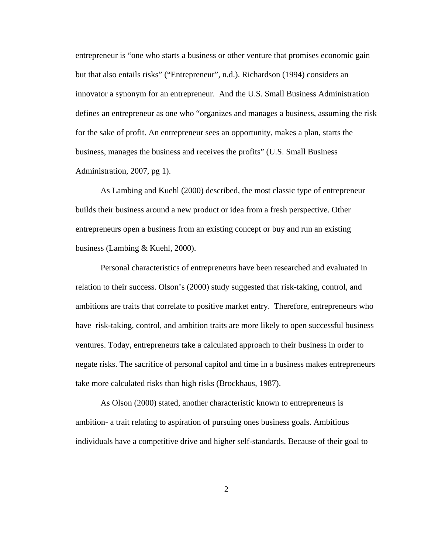entrepreneur is "one who starts a business or other venture that promises economic gain but that also entails risks" ("Entrepreneur", n.d.). Richardson (1994) considers an innovator a synonym for an entrepreneur. And the U.S. Small Business Administration defines an entrepreneur as one who "organizes and manages a business, assuming the risk for the sake of profit. An entrepreneur sees an opportunity, makes a plan, starts the business, manages the business and receives the profits" (U.S. Small Business Administration, 2007, pg 1).

As Lambing and Kuehl (2000) described, the most classic type of entrepreneur builds their business around a new product or idea from a fresh perspective. Other entrepreneurs open a business from an existing concept or buy and run an existing business (Lambing & Kuehl, 2000).

Personal characteristics of entrepreneurs have been researched and evaluated in relation to their success. Olson's (2000) study suggested that risk-taking, control, and ambitions are traits that correlate to positive market entry. Therefore, entrepreneurs who have risk-taking, control, and ambition traits are more likely to open successful business ventures. Today, entrepreneurs take a calculated approach to their business in order to negate risks. The sacrifice of personal capitol and time in a business makes entrepreneurs take more calculated risks than high risks (Brockhaus, 1987).

As Olson (2000) stated, another characteristic known to entrepreneurs is ambition- a trait relating to aspiration of pursuing ones business goals. Ambitious individuals have a competitive drive and higher self-standards. Because of their goal to

2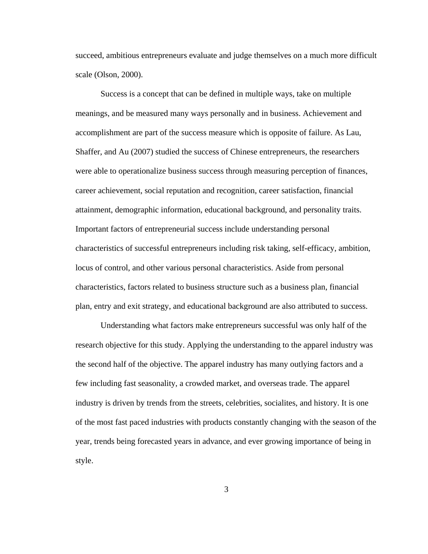succeed, ambitious entrepreneurs evaluate and judge themselves on a much more difficult scale (Olson, 2000).

Success is a concept that can be defined in multiple ways, take on multiple meanings, and be measured many ways personally and in business. Achievement and accomplishment are part of the success measure which is opposite of failure. As Lau, Shaffer, and Au (2007) studied the success of Chinese entrepreneurs, the researchers were able to operationalize business success through measuring perception of finances, career achievement, social reputation and recognition, career satisfaction, financial attainment, demographic information, educational background, and personality traits. Important factors of entrepreneurial success include understanding personal characteristics of successful entrepreneurs including risk taking, self-efficacy, ambition, locus of control, and other various personal characteristics. Aside from personal characteristics, factors related to business structure such as a business plan, financial plan, entry and exit strategy, and educational background are also attributed to success.

Understanding what factors make entrepreneurs successful was only half of the research objective for this study. Applying the understanding to the apparel industry was the second half of the objective. The apparel industry has many outlying factors and a few including fast seasonality, a crowded market, and overseas trade. The apparel industry is driven by trends from the streets, celebrities, socialites, and history. It is one of the most fast paced industries with products constantly changing with the season of the year, trends being forecasted years in advance, and ever growing importance of being in style.

3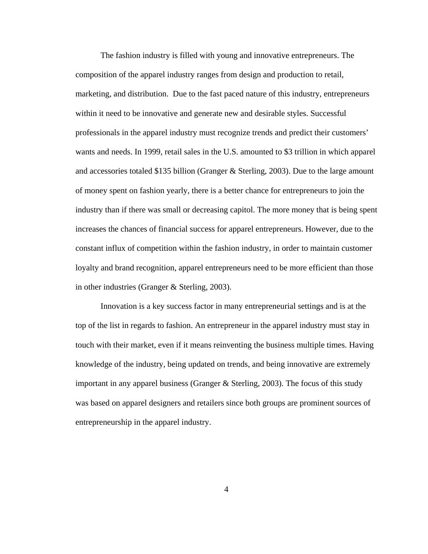The fashion industry is filled with young and innovative entrepreneurs. The composition of the apparel industry ranges from design and production to retail, marketing, and distribution. Due to the fast paced nature of this industry, entrepreneurs within it need to be innovative and generate new and desirable styles. Successful professionals in the apparel industry must recognize trends and predict their customers' wants and needs. In 1999, retail sales in the U.S. amounted to \$3 trillion in which apparel and accessories totaled \$135 billion (Granger & Sterling, 2003). Due to the large amount of money spent on fashion yearly, there is a better chance for entrepreneurs to join the industry than if there was small or decreasing capitol. The more money that is being spent increases the chances of financial success for apparel entrepreneurs. However, due to the constant influx of competition within the fashion industry, in order to maintain customer loyalty and brand recognition, apparel entrepreneurs need to be more efficient than those in other industries (Granger & Sterling, 2003).

 Innovation is a key success factor in many entrepreneurial settings and is at the top of the list in regards to fashion. An entrepreneur in the apparel industry must stay in touch with their market, even if it means reinventing the business multiple times. Having knowledge of the industry, being updated on trends, and being innovative are extremely important in any apparel business (Granger & Sterling, 2003). The focus of this study was based on apparel designers and retailers since both groups are prominent sources of entrepreneurship in the apparel industry.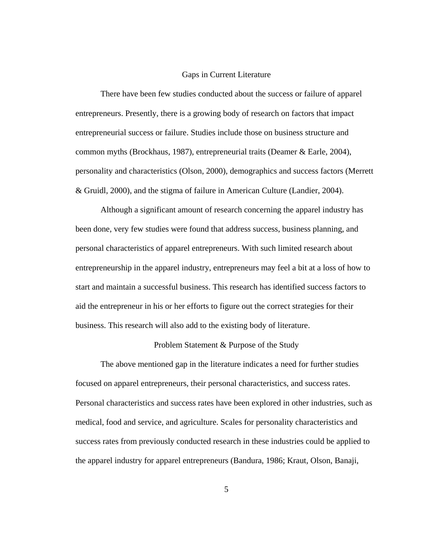#### Gaps in Current Literature

 There have been few studies conducted about the success or failure of apparel entrepreneurs. Presently, there is a growing body of research on factors that impact entrepreneurial success or failure. Studies include those on business structure and common myths (Brockhaus, 1987), entrepreneurial traits (Deamer & Earle, 2004), personality and characteristics (Olson, 2000), demographics and success factors (Merrett & Gruidl, 2000), and the stigma of failure in American Culture (Landier, 2004).

Although a significant amount of research concerning the apparel industry has been done, very few studies were found that address success, business planning, and personal characteristics of apparel entrepreneurs. With such limited research about entrepreneurship in the apparel industry, entrepreneurs may feel a bit at a loss of how to start and maintain a successful business. This research has identified success factors to aid the entrepreneur in his or her efforts to figure out the correct strategies for their business. This research will also add to the existing body of literature.

#### Problem Statement & Purpose of the Study

The above mentioned gap in the literature indicates a need for further studies focused on apparel entrepreneurs, their personal characteristics, and success rates. Personal characteristics and success rates have been explored in other industries, such as medical, food and service, and agriculture. Scales for personality characteristics and success rates from previously conducted research in these industries could be applied to the apparel industry for apparel entrepreneurs (Bandura, 1986; Kraut, Olson, Banaji,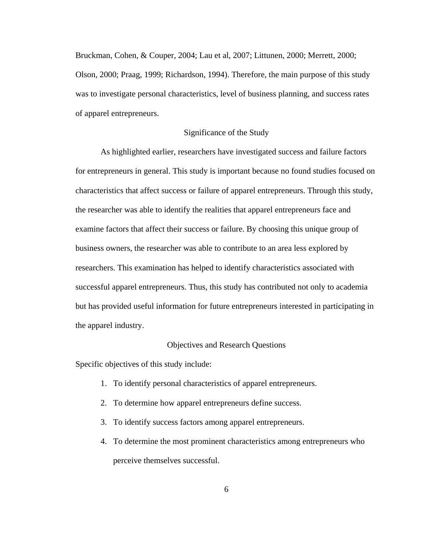Bruckman, Cohen, & Couper, 2004; Lau et al, 2007; Littunen, 2000; Merrett, 2000; Olson, 2000; Praag, 1999; Richardson, 1994). Therefore, the main purpose of this study was to investigate personal characteristics, level of business planning, and success rates of apparel entrepreneurs.

#### Significance of the Study

 As highlighted earlier, researchers have investigated success and failure factors for entrepreneurs in general. This study is important because no found studies focused on characteristics that affect success or failure of apparel entrepreneurs. Through this study, the researcher was able to identify the realities that apparel entrepreneurs face and examine factors that affect their success or failure. By choosing this unique group of business owners, the researcher was able to contribute to an area less explored by researchers. This examination has helped to identify characteristics associated with successful apparel entrepreneurs. Thus, this study has contributed not only to academia but has provided useful information for future entrepreneurs interested in participating in the apparel industry.

#### Objectives and Research Questions

Specific objectives of this study include:

- 1. To identify personal characteristics of apparel entrepreneurs.
- 2. To determine how apparel entrepreneurs define success.
- 3. To identify success factors among apparel entrepreneurs.
- 4. To determine the most prominent characteristics among entrepreneurs who perceive themselves successful.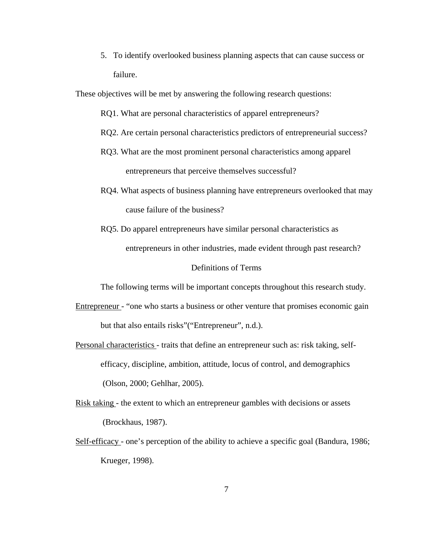5. To identify overlooked business planning aspects that can cause success or failure.

These objectives will be met by answering the following research questions:

- RQ1. What are personal characteristics of apparel entrepreneurs?
- RQ2. Are certain personal characteristics predictors of entrepreneurial success?
- RQ3. What are the most prominent personal characteristics among apparel entrepreneurs that perceive themselves successful?
- RQ4. What aspects of business planning have entrepreneurs overlooked that may cause failure of the business?
- RQ5. Do apparel entrepreneurs have similar personal characteristics as entrepreneurs in other industries, made evident through past research?

#### Definitions of Terms

The following terms will be important concepts throughout this research study.

- Entrepreneur "one who starts a business or other venture that promises economic gain but that also entails risks"("Entrepreneur", n.d.).
- Personal characteristics traits that define an entrepreneur such as: risk taking, self efficacy, discipline, ambition, attitude, locus of control, and demographics (Olson, 2000; Gehlhar, 2005).
- Risk taking the extent to which an entrepreneur gambles with decisions or assets (Brockhaus, 1987).
- Self-efficacy one's perception of the ability to achieve a specific goal (Bandura, 1986; Krueger, 1998).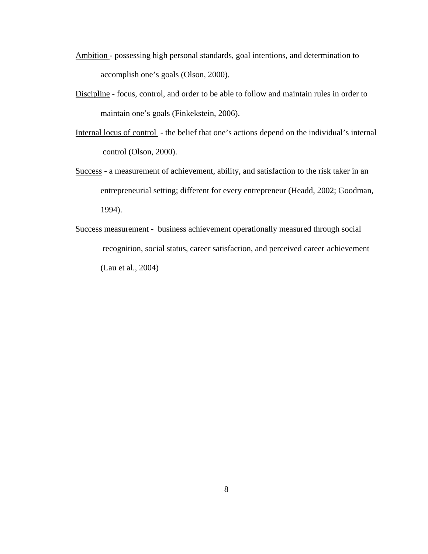- Ambition possessing high personal standards, goal intentions, and determination to accomplish one's goals (Olson, 2000).
- Discipline focus, control, and order to be able to follow and maintain rules in order to maintain one's goals (Finkekstein, 2006).
- Internal locus of control the belief that one's actions depend on the individual's internal control (Olson, 2000).
- Success a measurement of achievement, ability, and satisfaction to the risk taker in an entrepreneurial setting; different for every entrepreneur (Headd, 2002; Goodman, 1994).
- Success measurement business achievement operationally measured through social recognition, social status, career satisfaction, and perceived career achievement (Lau et al., 2004)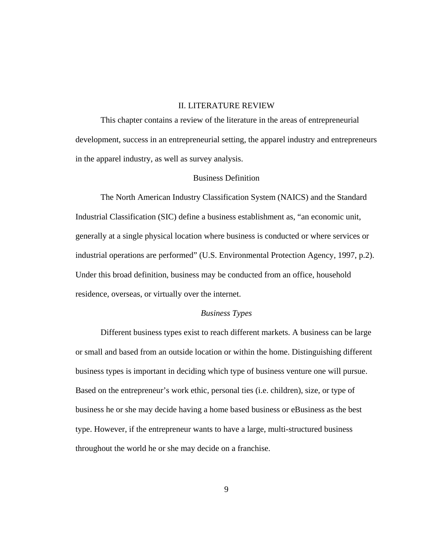## II. LITERATURE REVIEW

This chapter contains a review of the literature in the areas of entrepreneurial development, success in an entrepreneurial setting, the apparel industry and entrepreneurs in the apparel industry, as well as survey analysis.

## Business Definition

The North American Industry Classification System (NAICS) and the Standard Industrial Classification (SIC) define a business establishment as, "an economic unit, generally at a single physical location where business is conducted or where services or industrial operations are performed" (U.S. Environmental Protection Agency, 1997, p.2). Under this broad definition, business may be conducted from an office, household residence, overseas, or virtually over the internet.

## *Business Types*

Different business types exist to reach different markets. A business can be large or small and based from an outside location or within the home. Distinguishing different business types is important in deciding which type of business venture one will pursue. Based on the entrepreneur's work ethic, personal ties (i.e. children), size, or type of business he or she may decide having a home based business or eBusiness as the best type. However, if the entrepreneur wants to have a large, multi-structured business throughout the world he or she may decide on a franchise.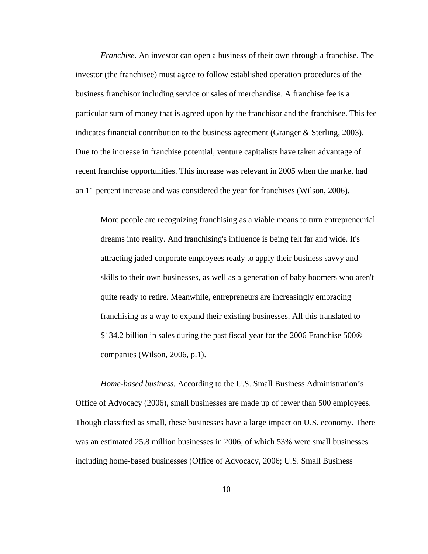*Franchise.* An investor can open a business of their own through a franchise. The investor (the franchisee) must agree to follow established operation procedures of the business franchisor including service or sales of merchandise. A franchise fee is a particular sum of money that is agreed upon by the franchisor and the franchisee. This fee indicates financial contribution to the business agreement (Granger & Sterling, 2003). Due to the increase in franchise potential, venture capitalists have taken advantage of recent franchise opportunities. This increase was relevant in 2005 when the market had an 11 percent increase and was considered the year for franchises (Wilson, 2006).

More people are recognizing franchising as a viable means to turn entrepreneurial dreams into reality. And franchising's influence is being felt far and wide. It's attracting jaded corporate employees ready to apply their business savvy and skills to their own businesses, as well as a generation of baby boomers who aren't quite ready to retire. Meanwhile, entrepreneurs are increasingly embracing franchising as a way to expand their existing businesses. All this translated to \$134.2 billion in sales during the past fiscal year for the 2006 Franchise 500® companies (Wilson, 2006, p.1).

*Home-based business.* According to the U.S. Small Business Administration's Office of Advocacy (2006), small businesses are made up of fewer than 500 employees. Though classified as small, these businesses have a large impact on U.S. economy. There was an estimated 25.8 million businesses in 2006, of which 53% were small businesses including home-based businesses (Office of Advocacy, 2006; U.S. Small Business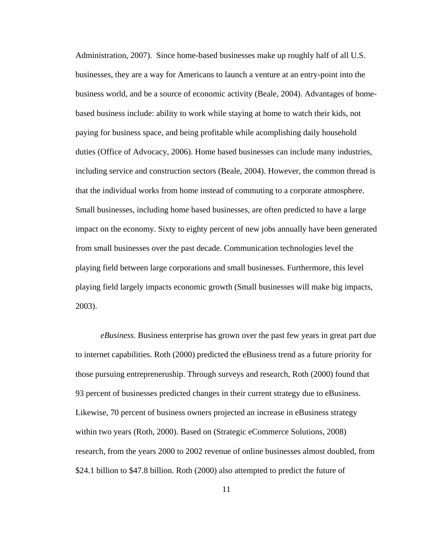Administration, 2007). Since home-based businesses make up roughly half of all U.S. businesses, they are a way for Americans to launch a venture at an entry-point into the business world, and be a source of economic activity (Beale, 2004). Advantages of homebased business include: ability to work while staying at home to watch their kids, not paying for business space, and being profitable while acomplishing daily household duties (Office of Advocacy, 2006). Home based businesses can include many industries, including service and construction sectors (Beale, 2004). However, the common thread is that the individual works from home instead of commuting to a corporate atmosphere. Small businesses, including home based businesses, are often predicted to have a large impact on the economy. Sixty to eighty percent of new jobs annually have been generated from small businesses over the past decade. Communication technologies level the playing field between large corporations and small businesses. Furthermore, this level playing field largely impacts economic growth (Small businesses will make big impacts, 2003).

*eBusiness.* Business enterprise has grown over the past few years in great part due to internet capabilities. Roth (2000) predicted the eBusiness trend as a future priority for those pursuing entrepreneruship. Through surveys and research, Roth (2000) found that 93 percent of businesses predicted changes in their current strategy due to eBusiness. Likewise, 70 percent of business owners projected an increase in eBusiness strategy within two years (Roth, 2000). Based on (Strategic eCommerce Solutions, 2008) research, from the years 2000 to 2002 revenue of online businesses almost doubled, from \$24.1 billion to \$47.8 billion. Roth (2000) also attempted to predict the future of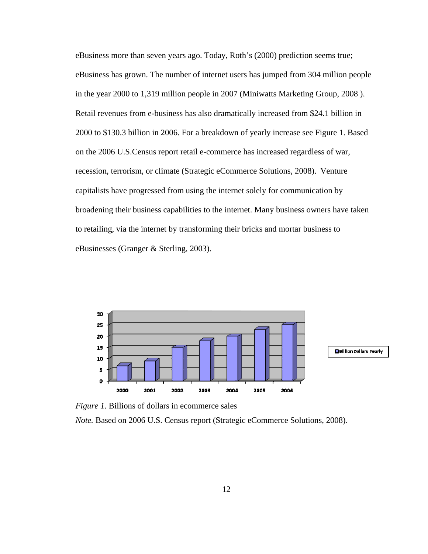eBusiness more than seven years ago. Today, Roth's (2000) prediction seems true; eBusiness has grown. The number of internet users has jumped from 304 million people in the year 2000 to 1,319 million people in 2007 (Miniwatts Marketing Group, 2008 ). Retail revenues from e-business has also dramatically increased from \$24.1 billion in 2000 to \$130.3 billion in 2006. For a breakdown of yearly increase see Figure 1. Based on the 2006 U.S.Census report retail e-commerce has increased regardless of war, recession, terrorism, or climate (Strategic eCommerce Solutions, 2008). Venture capitalists have progressed from using the internet solely for communication by broadening their business capabilities to the internet. Many business owners have taken to retailing, via the internet by transforming their bricks and mortar business to eBusinesses (Granger & Sterling, 2003).



*Figure 1.* Billions of dollars in ecommerce sales

*Note.* Based on 2006 U.S. Census report (Strategic eCommerce Solutions, 2008).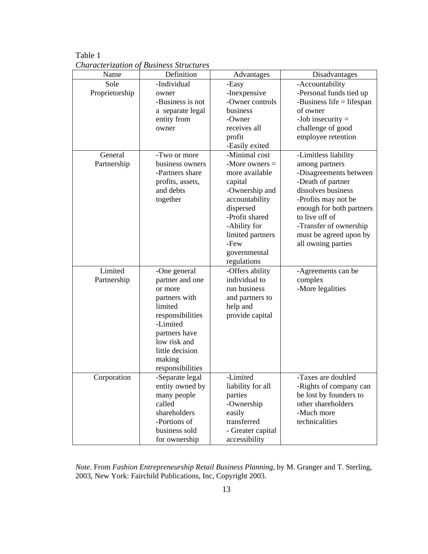Table 1 *Characterization of Business Structures* 

| Name           | Definition       | Advantages        | Disadvantages               |
|----------------|------------------|-------------------|-----------------------------|
| Sole           | -Individual      | -Easy             | -Accountability             |
| Proprietorship | owner            | -Inexpensive      | -Personal funds tied up     |
|                | -Business is not | -Owner controls   | -Business life $=$ lifespan |
|                | a separate legal | business          | of owner                    |
|                | entity from      | -Owner            | -Job insecurity $=$         |
|                | owner            | receives all      | challenge of good           |
|                |                  | profit            | employee retention          |
|                |                  | -Easily exited    |                             |
| General        | -Two or more     | -Minimal cost     | -Limitless liability        |
| Partnership    | business owners  | -More owners $=$  | among partners              |
|                | -Partners share  | more available    | -Disagreements between      |
|                | profits, assets, | capital           | -Death of partner           |
|                | and debts        | -Ownership and    | dissolves business          |
|                | together         | accountability    | -Profits may not be         |
|                |                  | dispersed         | enough for both partners    |
|                |                  | -Profit shared    | to live off of              |
|                |                  | -Ability for      | -Transfer of ownership      |
|                |                  | limited partners  | must be agreed upon by      |
|                |                  | $-$ Few           | all owning parties          |
|                |                  | governmental      |                             |
|                |                  | regulations       |                             |
| Limited        | -One general     | -Offers ability   | -Agreements can be          |
| Partnership    | partner and one  | individual to     | complex                     |
|                | or more          | run business      | -More legalities            |
|                | partners with    | and partners to   |                             |
|                | limited          | help and          |                             |
|                | responsibilities | provide capital   |                             |
|                | -Limited         |                   |                             |
|                | partners have    |                   |                             |
|                | low risk and     |                   |                             |
|                | little decision  |                   |                             |
|                | making           |                   |                             |
|                | responsibilities |                   |                             |
| Corporation    | -Separate legal  | -Limited          | -Taxes are doubled          |
|                | entity owned by  | liability for all | -Rights of company can      |
|                | many people      | parties           | be lost by founders to      |
|                | called           | -Ownership        | other shareholders          |
|                | shareholders     | easily            | -Much more                  |
|                | -Portions of     | transferred       | technicalities              |
|                | business sold    | - Greater capital |                             |
|                | for ownership    | accessibility     |                             |

*Note*. From *Fashion Entrepreneurship Retail Business Planning*, by M. Granger and T. Sterling, 2003, New York: Fairchild Publications, Inc, Copyright 2003.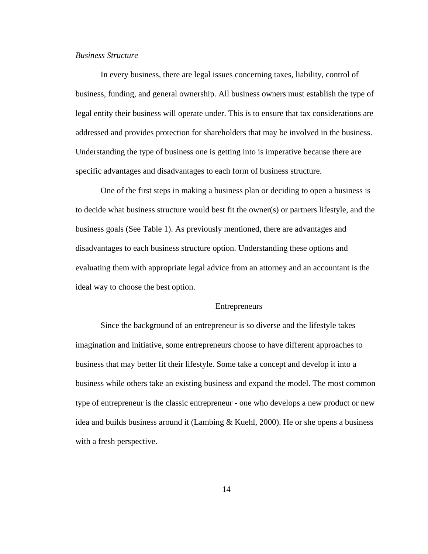## *Business Structure*

In every business, there are legal issues concerning taxes, liability, control of business, funding, and general ownership. All business owners must establish the type of legal entity their business will operate under. This is to ensure that tax considerations are addressed and provides protection for shareholders that may be involved in the business. Understanding the type of business one is getting into is imperative because there are specific advantages and disadvantages to each form of business structure.

One of the first steps in making a business plan or deciding to open a business is to decide what business structure would best fit the owner(s) or partners lifestyle, and the business goals (See Table 1). As previously mentioned, there are advantages and disadvantages to each business structure option. Understanding these options and evaluating them with appropriate legal advice from an attorney and an accountant is the ideal way to choose the best option.

#### Entrepreneurs

Since the background of an entrepreneur is so diverse and the lifestyle takes imagination and initiative, some entrepreneurs choose to have different approaches to business that may better fit their lifestyle. Some take a concept and develop it into a business while others take an existing business and expand the model. The most common type of entrepreneur is the classic entrepreneur - one who develops a new product or new idea and builds business around it (Lambing  $&$  Kuehl, 2000). He or she opens a business with a fresh perspective.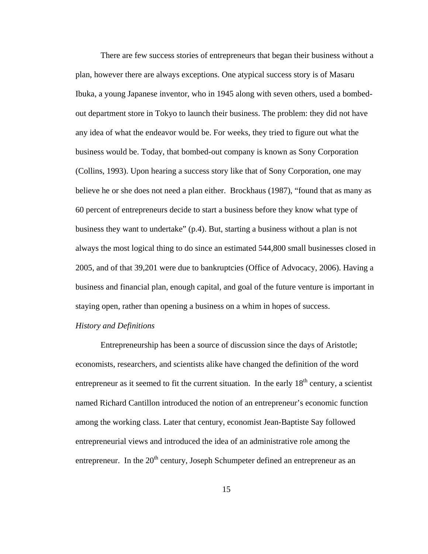There are few success stories of entrepreneurs that began their business without a plan, however there are always exceptions. One atypical success story is of Masaru Ibuka, a young Japanese inventor, who in 1945 along with seven others, used a bombedout department store in Tokyo to launch their business. The problem: they did not have any idea of what the endeavor would be. For weeks, they tried to figure out what the business would be. Today, that bombed-out company is known as Sony Corporation (Collins, 1993). Upon hearing a success story like that of Sony Corporation, one may believe he or she does not need a plan either. Brockhaus (1987), "found that as many as 60 percent of entrepreneurs decide to start a business before they know what type of business they want to undertake" (p.4). But, starting a business without a plan is not always the most logical thing to do since an estimated 544,800 small businesses closed in 2005, and of that 39,201 were due to bankruptcies (Office of Advocacy, 2006). Having a business and financial plan, enough capital, and goal of the future venture is important in staying open, rather than opening a business on a whim in hopes of success.

### *History and Definitions*

Entrepreneurship has been a source of discussion since the days of Aristotle; economists, researchers, and scientists alike have changed the definition of the word entrepreneur as it seemed to fit the current situation. In the early  $18<sup>th</sup>$  century, a scientist named Richard Cantillon introduced the notion of an entrepreneur's economic function among the working class. Later that century, economist Jean-Baptiste Say followed entrepreneurial views and introduced the idea of an administrative role among the entrepreneur. In the  $20<sup>th</sup>$  century, Joseph Schumpeter defined an entrepreneur as an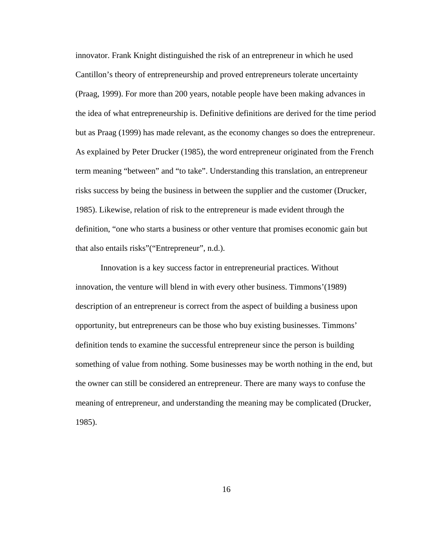innovator. Frank Knight distinguished the risk of an entrepreneur in which he used Cantillon's theory of entrepreneurship and proved entrepreneurs tolerate uncertainty (Praag, 1999). For more than 200 years, notable people have been making advances in the idea of what entrepreneurship is. Definitive definitions are derived for the time period but as Praag (1999) has made relevant, as the economy changes so does the entrepreneur. As explained by Peter Drucker (1985), the word entrepreneur originated from the French term meaning "between" and "to take". Understanding this translation, an entrepreneur risks success by being the business in between the supplier and the customer (Drucker, 1985). Likewise, relation of risk to the entrepreneur is made evident through the definition, "one who starts a business or other venture that promises economic gain but that also entails risks"("Entrepreneur", n.d.).

Innovation is a key success factor in entrepreneurial practices. Without innovation, the venture will blend in with every other business. Timmons'(1989) description of an entrepreneur is correct from the aspect of building a business upon opportunity, but entrepreneurs can be those who buy existing businesses. Timmons' definition tends to examine the successful entrepreneur since the person is building something of value from nothing. Some businesses may be worth nothing in the end, but the owner can still be considered an entrepreneur. There are many ways to confuse the meaning of entrepreneur, and understanding the meaning may be complicated (Drucker, 1985).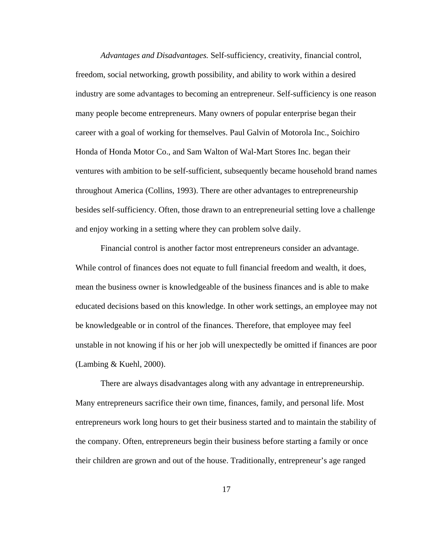*Advantages and Disadvantages.* Self-sufficiency, creativity, financial control, freedom, social networking, growth possibility, and ability to work within a desired industry are some advantages to becoming an entrepreneur. Self-sufficiency is one reason many people become entrepreneurs. Many owners of popular enterprise began their career with a goal of working for themselves. Paul Galvin of Motorola Inc., Soichiro Honda of Honda Motor Co., and Sam Walton of Wal-Mart Stores Inc. began their ventures with ambition to be self-sufficient, subsequently became household brand names throughout America (Collins, 1993). There are other advantages to entrepreneurship besides self-sufficiency. Often, those drawn to an entrepreneurial setting love a challenge and enjoy working in a setting where they can problem solve daily.

Financial control is another factor most entrepreneurs consider an advantage. While control of finances does not equate to full financial freedom and wealth, it does, mean the business owner is knowledgeable of the business finances and is able to make educated decisions based on this knowledge. In other work settings, an employee may not be knowledgeable or in control of the finances. Therefore, that employee may feel unstable in not knowing if his or her job will unexpectedly be omitted if finances are poor (Lambing & Kuehl, 2000).

 There are always disadvantages along with any advantage in entrepreneurship. Many entrepreneurs sacrifice their own time, finances, family, and personal life. Most entrepreneurs work long hours to get their business started and to maintain the stability of the company. Often, entrepreneurs begin their business before starting a family or once their children are grown and out of the house. Traditionally, entrepreneur's age ranged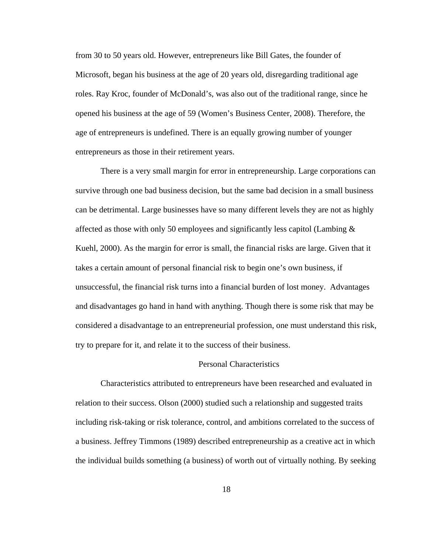from 30 to 50 years old. However, entrepreneurs like Bill Gates, the founder of Microsoft, began his business at the age of 20 years old, disregarding traditional age roles. Ray Kroc, founder of McDonald's, was also out of the traditional range, since he opened his business at the age of 59 (Women's Business Center, 2008). Therefore, the age of entrepreneurs is undefined. There is an equally growing number of younger entrepreneurs as those in their retirement years.

There is a very small margin for error in entrepreneurship. Large corporations can survive through one bad business decision, but the same bad decision in a small business can be detrimental. Large businesses have so many different levels they are not as highly affected as those with only 50 employees and significantly less capitol (Lambing  $\&$ Kuehl, 2000). As the margin for error is small, the financial risks are large. Given that it takes a certain amount of personal financial risk to begin one's own business, if unsuccessful, the financial risk turns into a financial burden of lost money. Advantages and disadvantages go hand in hand with anything. Though there is some risk that may be considered a disadvantage to an entrepreneurial profession, one must understand this risk, try to prepare for it, and relate it to the success of their business.

#### Personal Characteristics

Characteristics attributed to entrepreneurs have been researched and evaluated in relation to their success. Olson (2000) studied such a relationship and suggested traits including risk-taking or risk tolerance, control, and ambitions correlated to the success of a business. Jeffrey Timmons (1989) described entrepreneurship as a creative act in which the individual builds something (a business) of worth out of virtually nothing. By seeking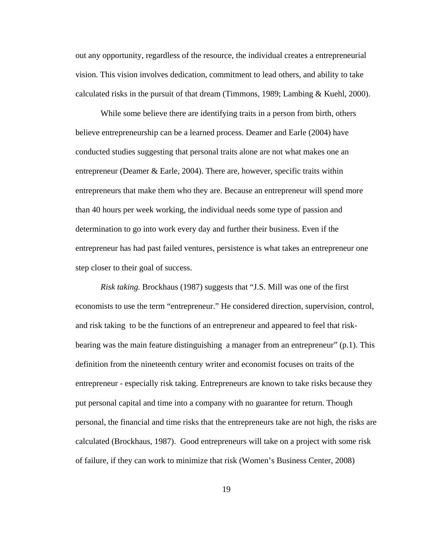out any opportunity, regardless of the resource, the individual creates a entrepreneurial vision. This vision involves dedication, commitment to lead others, and ability to take calculated risks in the pursuit of that dream (Timmons, 1989; Lambing & Kuehl, 2000).

While some believe there are identifying traits in a person from birth, others believe entrepreneurship can be a learned process. Deamer and Earle (2004) have conducted studies suggesting that personal traits alone are not what makes one an entrepreneur (Deamer & Earle, 2004). There are, however, specific traits within entrepreneurs that make them who they are. Because an entrepreneur will spend more than 40 hours per week working, the individual needs some type of passion and determination to go into work every day and further their business. Even if the entrepreneur has had past failed ventures, persistence is what takes an entrepreneur one step closer to their goal of success.

*Risk taking.* Brockhaus (1987) suggests that "J.S. Mill was one of the first economists to use the term "entrepreneur." He considered direction, supervision, control, and risk taking to be the functions of an entrepreneur and appeared to feel that riskbearing was the main feature distinguishing a manager from an entrepreneur" (p.1). This definition from the nineteenth century writer and economist focuses on traits of the entrepreneur - especially risk taking. Entrepreneurs are known to take risks because they put personal capital and time into a company with no guarantee for return. Though personal, the financial and time risks that the entrepreneurs take are not high, the risks are calculated (Brockhaus, 1987).Good entrepreneurs will take on a project with some risk of failure, if they can work to minimize that risk (Women's Business Center, 2008)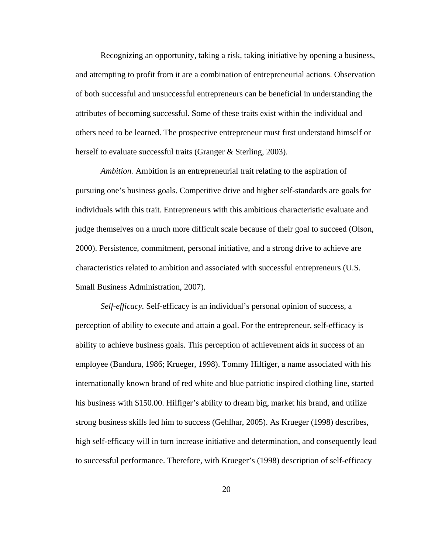Recognizing an opportunity, taking a risk, taking initiative by opening a business, and attempting to profit from it are a combination of entrepreneurial actions. Observation of both successful and unsuccessful entrepreneurs can be beneficial in understanding the attributes of becoming successful. Some of these traits exist within the individual and others need to be learned. The prospective entrepreneur must first understand himself or herself to evaluate successful traits (Granger & Sterling, 2003).

*Ambition.* Ambition is an entrepreneurial trait relating to the aspiration of pursuing one's business goals. Competitive drive and higher self-standards are goals for individuals with this trait. Entrepreneurs with this ambitious characteristic evaluate and judge themselves on a much more difficult scale because of their goal to succeed (Olson, 2000). Persistence, commitment, personal initiative, and a strong drive to achieve are characteristics related to ambition and associated with successful entrepreneurs (U.S. Small Business Administration, 2007).

*Self-efficacy.* Self-efficacy is an individual's personal opinion of success, a perception of ability to execute and attain a goal. For the entrepreneur, self-efficacy is ability to achieve business goals. This perception of achievement aids in success of an employee (Bandura, 1986; Krueger, 1998). Tommy Hilfiger, a name associated with his internationally known brand of red white and blue patriotic inspired clothing line, started his business with \$150.00. Hilfiger's ability to dream big, market his brand, and utilize strong business skills led him to success (Gehlhar, 2005). As Krueger (1998) describes, high self-efficacy will in turn increase initiative and determination, and consequently lead to successful performance. Therefore, with Krueger's (1998) description of self-efficacy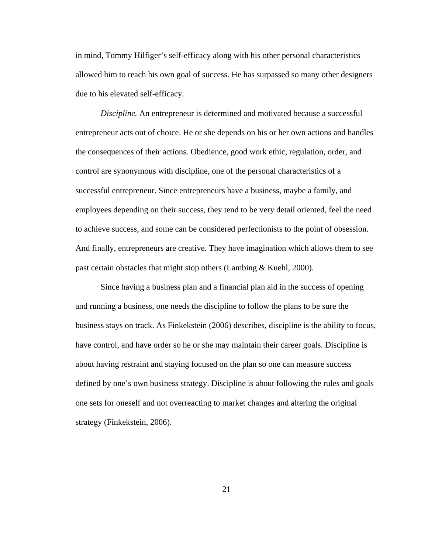in mind, Tommy Hilfiger's self-efficacy along with his other personal characteristics allowed him to reach his own goal of success. He has surpassed so many other designers due to his elevated self-efficacy.

*Discipline.* An entrepreneur is determined and motivated because a successful entrepreneur acts out of choice. He or she depends on his or her own actions and handles the consequences of their actions. Obedience, good work ethic, regulation, order, and control are synonymous with discipline, one of the personal characteristics of a successful entrepreneur. Since entrepreneurs have a business, maybe a family, and employees depending on their success, they tend to be very detail oriented, feel the need to achieve success, and some can be considered perfectionists to the point of obsession. And finally, entrepreneurs are creative. They have imagination which allows them to see past certain obstacles that might stop others (Lambing & Kuehl, 2000).

Since having a business plan and a financial plan aid in the success of opening and running a business, one needs the discipline to follow the plans to be sure the business stays on track. As Finkekstein (2006) describes, discipline is the ability to focus, have control, and have order so he or she may maintain their career goals. Discipline is about having restraint and staying focused on the plan so one can measure success defined by one's own business strategy. Discipline is about following the rules and goals one sets for oneself and not overreacting to market changes and altering the original strategy (Finkekstein, 2006).

21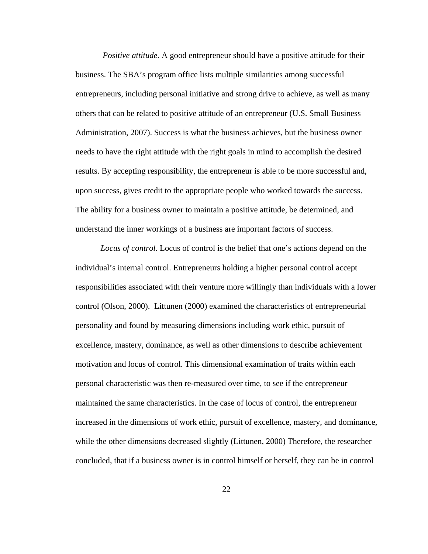*Positive attitude.* A good entrepreneur should have a positive attitude for their business. The SBA's program office lists multiple similarities among successful entrepreneurs, including personal initiative and strong drive to achieve, as well as many others that can be related to positive attitude of an entrepreneur (U.S. Small Business Administration, 2007). Success is what the business achieves, but the business owner needs to have the right attitude with the right goals in mind to accomplish the desired results. By accepting responsibility, the entrepreneur is able to be more successful and, upon success, gives credit to the appropriate people who worked towards the success. The ability for a business owner to maintain a positive attitude, be determined, and understand the inner workings of a business are important factors of success.

*Locus of control.* Locus of control is the belief that one's actions depend on the individual's internal control. Entrepreneurs holding a higher personal control accept responsibilities associated with their venture more willingly than individuals with a lower control (Olson, 2000). Littunen (2000) examined the characteristics of entrepreneurial personality and found by measuring dimensions including work ethic, pursuit of excellence, mastery, dominance, as well as other dimensions to describe achievement motivation and locus of control. This dimensional examination of traits within each personal characteristic was then re-measured over time, to see if the entrepreneur maintained the same characteristics. In the case of locus of control, the entrepreneur increased in the dimensions of work ethic, pursuit of excellence, mastery, and dominance, while the other dimensions decreased slightly (Littunen, 2000) Therefore, the researcher concluded, that if a business owner is in control himself or herself, they can be in control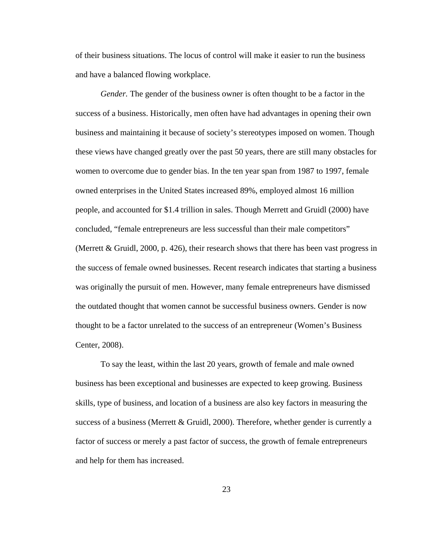of their business situations. The locus of control will make it easier to run the business and have a balanced flowing workplace.

*Gender.* The gender of the business owner is often thought to be a factor in the success of a business. Historically, men often have had advantages in opening their own business and maintaining it because of society's stereotypes imposed on women. Though these views have changed greatly over the past 50 years, there are still many obstacles for women to overcome due to gender bias. In the ten year span from 1987 to 1997, female owned enterprises in the United States increased 89%, employed almost 16 million people, and accounted for \$1.4 trillion in sales. Though Merrett and Gruidl (2000) have concluded, "female entrepreneurs are less successful than their male competitors" (Merrett & Gruidl, 2000, p. 426), their research shows that there has been vast progress in the success of female owned businesses. Recent research indicates that starting a business was originally the pursuit of men. However, many female entrepreneurs have dismissed the outdated thought that women cannot be successful business owners. Gender is now thought to be a factor unrelated to the success of an entrepreneur (Women's Business Center, 2008).

To say the least, within the last 20 years, growth of female and male owned business has been exceptional and businesses are expected to keep growing. Business skills, type of business, and location of a business are also key factors in measuring the success of a business (Merrett  $\&$  Gruidl, 2000). Therefore, whether gender is currently a factor of success or merely a past factor of success, the growth of female entrepreneurs and help for them has increased.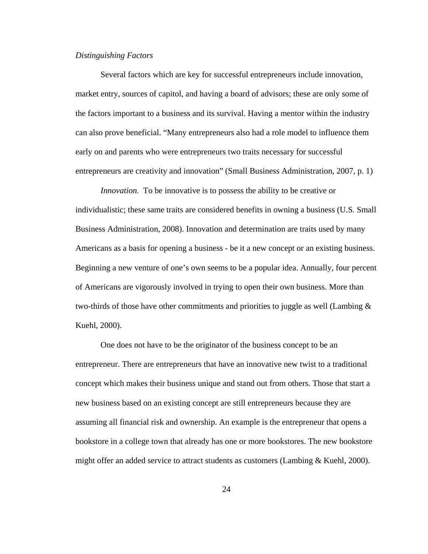## *Distinguishing Factors*

Several factors which are key for successful entrepreneurs include innovation, market entry, sources of capitol, and having a board of advisors; these are only some of the factors important to a business and its survival. Having a mentor within the industry can also prove beneficial. "Many entrepreneurs also had a role model to influence them early on and parents who were entrepreneurs two traits necessary for successful entrepreneurs are creativity and innovation" (Small Business Administration, 2007, p. 1)

*Innovation.* To be innovative is to possess the ability to be creative or individualistic; these same traits are considered benefits in owning a business (U.S. Small Business Administration, 2008). Innovation and determination are traits used by many Americans as a basis for opening a business - be it a new concept or an existing business. Beginning a new venture of one's own seems to be a popular idea. Annually, four percent of Americans are vigorously involved in trying to open their own business. More than two-thirds of those have other commitments and priorities to juggle as well (Lambing  $\&$ Kuehl, 2000).

One does not have to be the originator of the business concept to be an entrepreneur. There are entrepreneurs that have an innovative new twist to a traditional concept which makes their business unique and stand out from others. Those that start a new business based on an existing concept are still entrepreneurs because they are assuming all financial risk and ownership. An example is the entrepreneur that opens a bookstore in a college town that already has one or more bookstores. The new bookstore might offer an added service to attract students as customers (Lambing  $\&$  Kuehl, 2000).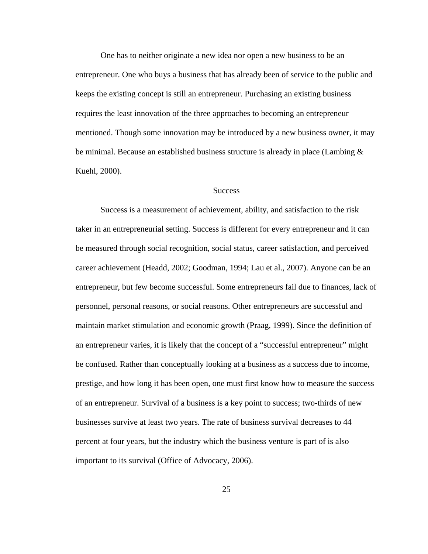One has to neither originate a new idea nor open a new business to be an entrepreneur. One who buys a business that has already been of service to the public and keeps the existing concept is still an entrepreneur. Purchasing an existing business requires the least innovation of the three approaches to becoming an entrepreneur mentioned. Though some innovation may be introduced by a new business owner, it may be minimal. Because an established business structure is already in place (Lambing & Kuehl, 2000).

### **Success**

Success is a measurement of achievement, ability, and satisfaction to the risk taker in an entrepreneurial setting. Success is different for every entrepreneur and it can be measured through social recognition, social status, career satisfaction, and perceived career achievement (Headd, 2002; Goodman, 1994; Lau et al., 2007). Anyone can be an entrepreneur, but few become successful. Some entrepreneurs fail due to finances, lack of personnel, personal reasons, or social reasons. Other entrepreneurs are successful and maintain market stimulation and economic growth (Praag, 1999). Since the definition of an entrepreneur varies, it is likely that the concept of a "successful entrepreneur" might be confused. Rather than conceptually looking at a business as a success due to income, prestige, and how long it has been open, one must first know how to measure the success of an entrepreneur. Survival of a business is a key point to success; two-thirds of new businesses survive at least two years. The rate of business survival decreases to 44 percent at four years, but the industry which the business venture is part of is also important to its survival (Office of Advocacy, 2006).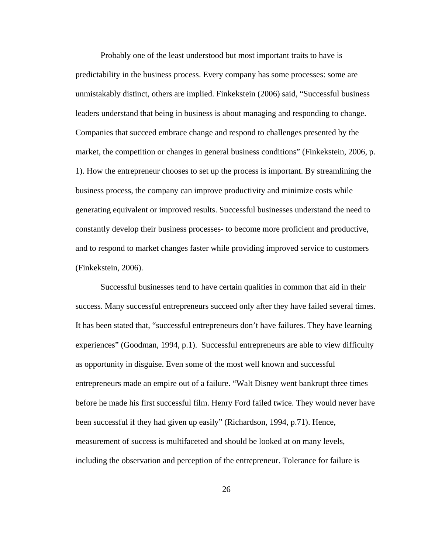Probably one of the least understood but most important traits to have is predictability in the business process. Every company has some processes: some are unmistakably distinct, others are implied. Finkekstein (2006) said, "Successful business leaders understand that being in business is about managing and responding to change. Companies that succeed embrace change and respond to challenges presented by the market, the competition or changes in general business conditions" (Finkekstein, 2006, p. 1). How the entrepreneur chooses to set up the process is important. By streamlining the business process, the company can improve productivity and minimize costs while generating equivalent or improved results. Successful businesses understand the need to constantly develop their business processes- to become more proficient and productive, and to respond to market changes faster while providing improved service to customers (Finkekstein, 2006).

Successful businesses tend to have certain qualities in common that aid in their success. Many successful entrepreneurs succeed only after they have failed several times. It has been stated that, "successful entrepreneurs don't have failures. They have learning experiences" (Goodman, 1994, p.1). Successful entrepreneurs are able to view difficulty as opportunity in disguise. Even some of the most well known and successful entrepreneurs made an empire out of a failure. "Walt Disney went bankrupt three times before he made his first successful film. Henry Ford failed twice. They would never have been successful if they had given up easily" (Richardson, 1994, p.71). Hence, measurement of success is multifaceted and should be looked at on many levels, including the observation and perception of the entrepreneur. Tolerance for failure is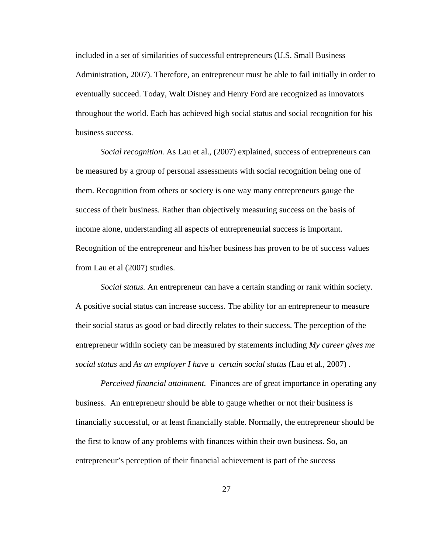included in a set of similarities of successful entrepreneurs (U.S. Small Business Administration, 2007). Therefore, an entrepreneur must be able to fail initially in order to eventually succeed. Today, Walt Disney and Henry Ford are recognized as innovators throughout the world. Each has achieved high social status and social recognition for his business success.

*Social recognition.* As Lau et al., (2007) explained, success of entrepreneurs can be measured by a group of personal assessments with social recognition being one of them. Recognition from others or society is one way many entrepreneurs gauge the success of their business. Rather than objectively measuring success on the basis of income alone, understanding all aspects of entrepreneurial success is important. Recognition of the entrepreneur and his/her business has proven to be of success values from Lau et al (2007) studies.

*Social status.* An entrepreneur can have a certain standing or rank within society. A positive social status can increase success. The ability for an entrepreneur to measure their social status as good or bad directly relates to their success. The perception of the entrepreneur within society can be measured by statements including *My career gives me social status* and *As an employer I have a certain social status* (Lau et al., 2007) .

*Perceived financial attainment.* Finances are of great importance in operating any business. An entrepreneur should be able to gauge whether or not their business is financially successful, or at least financially stable. Normally, the entrepreneur should be the first to know of any problems with finances within their own business. So, an entrepreneur's perception of their financial achievement is part of the success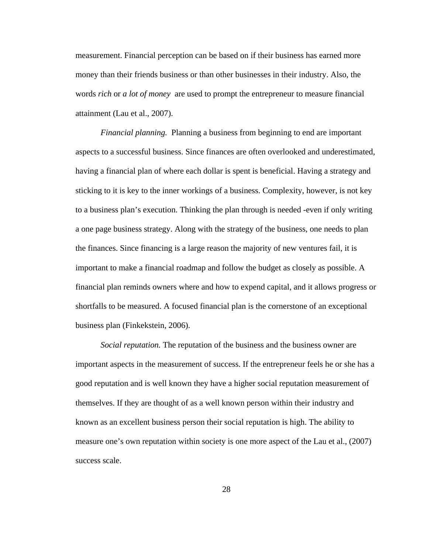measurement. Financial perception can be based on if their business has earned more money than their friends business or than other businesses in their industry. Also, the words *rich* or *a lot of money* are used to prompt the entrepreneur to measure financial attainment (Lau et al., 2007).

*Financial planning.* Planning a business from beginning to end are important aspects to a successful business. Since finances are often overlooked and underestimated, having a financial plan of where each dollar is spent is beneficial. Having a strategy and sticking to it is key to the inner workings of a business. Complexity, however, is not key to a business plan's execution. Thinking the plan through is needed -even if only writing a one page business strategy. Along with the strategy of the business, one needs to plan the finances. Since financing is a large reason the majority of new ventures fail, it is important to make a financial roadmap and follow the budget as closely as possible. A financial plan reminds owners where and how to expend capital, and it allows progress or shortfalls to be measured. A focused financial plan is the cornerstone of an exceptional business plan (Finkekstein, 2006).

*Social reputation.* The reputation of the business and the business owner are important aspects in the measurement of success. If the entrepreneur feels he or she has a good reputation and is well known they have a higher social reputation measurement of themselves. If they are thought of as a well known person within their industry and known as an excellent business person their social reputation is high. The ability to measure one's own reputation within society is one more aspect of the Lau et al., (2007) success scale.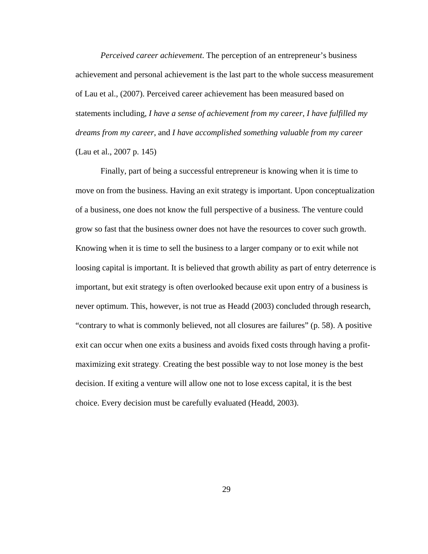*Perceived career achievement*. The perception of an entrepreneur's business achievement and personal achievement is the last part to the whole success measurement of Lau et al., (2007). Perceived career achievement has been measured based on statements including, *I have a sense of achievement from my career*, *I have fulfilled my dreams from my career*, and *I have accomplished something valuable from my career* (Lau et al., 2007 p. 145)

Finally, part of being a successful entrepreneur is knowing when it is time to move on from the business. Having an exit strategy is important. Upon conceptualization of a business, one does not know the full perspective of a business. The venture could grow so fast that the business owner does not have the resources to cover such growth. Knowing when it is time to sell the business to a larger company or to exit while not loosing capital is important. It is believed that growth ability as part of entry deterrence is important, but exit strategy is often overlooked because exit upon entry of a business is never optimum. This, however, is not true as Headd (2003) concluded through research, "contrary to what is commonly believed, not all closures are failures" (p. 58). A positive exit can occur when one exits a business and avoids fixed costs through having a profitmaximizing exit strategy. Creating the best possible way to not lose money is the best decision. If exiting a venture will allow one not to lose excess capital, it is the best choice. Every decision must be carefully evaluated (Headd, 2003).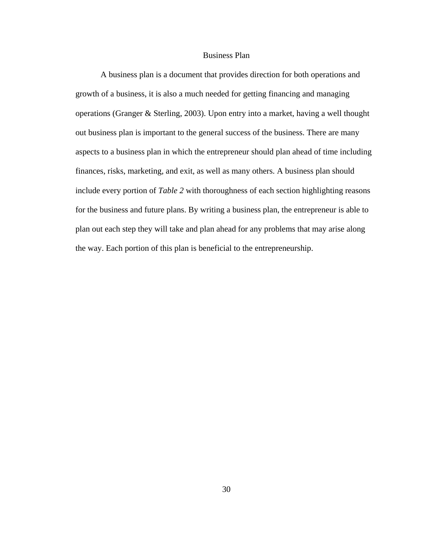## Business Plan

A business plan is a document that provides direction for both operations and growth of a business, it is also a much needed for getting financing and managing operations (Granger & Sterling, 2003). Upon entry into a market, having a well thought out business plan is important to the general success of the business. There are many aspects to a business plan in which the entrepreneur should plan ahead of time including finances, risks, marketing, and exit, as well as many others. A business plan should include every portion of *Table 2* with thoroughness of each section highlighting reasons for the business and future plans. By writing a business plan, the entrepreneur is able to plan out each step they will take and plan ahead for any problems that may arise along the way. Each portion of this plan is beneficial to the entrepreneurship.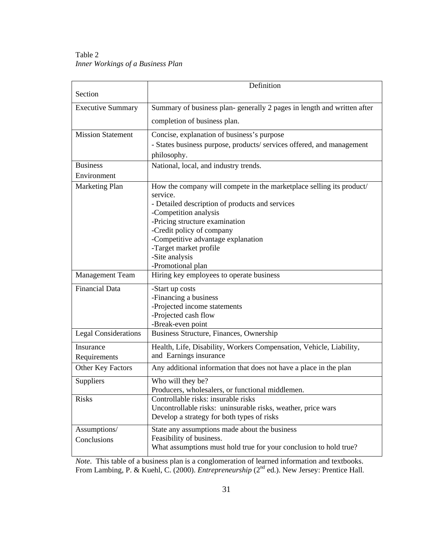Table 2 *Inner Workings of a Business Plan* 

| Section                     | Definition                                                             |
|-----------------------------|------------------------------------------------------------------------|
|                             |                                                                        |
| <b>Executive Summary</b>    | Summary of business plan-generally 2 pages in length and written after |
|                             | completion of business plan.                                           |
| <b>Mission Statement</b>    | Concise, explanation of business's purpose                             |
|                             | - States business purpose, products/services offered, and management   |
|                             | philosophy.                                                            |
| <b>Business</b>             | National, local, and industry trends.                                  |
| Environment                 |                                                                        |
| Marketing Plan              | How the company will compete in the marketplace selling its product/   |
|                             | service.                                                               |
|                             | - Detailed description of products and services                        |
|                             | -Competition analysis                                                  |
|                             | -Pricing structure examination                                         |
|                             | -Credit policy of company                                              |
|                             | -Competitive advantage explanation<br>-Target market profile           |
|                             | -Site analysis                                                         |
|                             | -Promotional plan                                                      |
| <b>Management Team</b>      | Hiring key employees to operate business                               |
| <b>Financial Data</b>       | -Start up costs                                                        |
|                             | -Financing a business                                                  |
|                             | -Projected income statements                                           |
|                             | -Projected cash flow                                                   |
|                             | -Break-even point                                                      |
| <b>Legal Considerations</b> | Business Structure, Finances, Ownership                                |
| Insurance                   | Health, Life, Disability, Workers Compensation, Vehicle, Liability,    |
| Requirements                | and Earnings insurance                                                 |
| Other Key Factors           | Any additional information that does not have a place in the plan      |
| Suppliers                   | Who will they be?                                                      |
|                             | Producers, wholesalers, or functional middlemen.                       |
| <b>Risks</b>                | Controllable risks: insurable risks                                    |
|                             | Uncontrollable risks: uninsurable risks, weather, price wars           |
|                             | Develop a strategy for both types of risks                             |
| Assumptions/                | State any assumptions made about the business                          |
| Conclusions                 | Feasibility of business.                                               |
|                             | What assumptions must hold true for your conclusion to hold true?      |

*Note*. This table of a business plan is a conglomeration of learned information and textbooks. From Lambing, P. & Kuehl, C. (2000). *Entrepreneurship* (2<sup>nd</sup> ed.). New Jersey: Prentice Hall.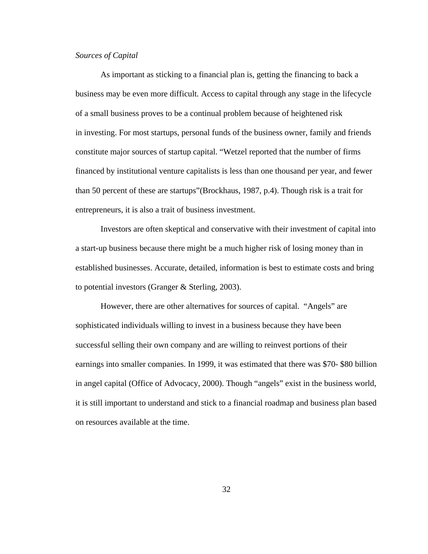# *Sources of Capital*

As important as sticking to a financial plan is, getting the financing to back a business may be even more difficult*.* Access to capital through any stage in the lifecycle of a small business proves to be a continual problem because of heightened risk in investing. For most startups, personal funds of the business owner, family and friends constitute major sources of startup capital. "Wetzel reported that the number of firms financed by institutional venture capitalists is less than one thousand per year, and fewer than 50 percent of these are startups"(Brockhaus, 1987, p.4). Though risk is a trait for entrepreneurs, it is also a trait of business investment.

Investors are often skeptical and conservative with their investment of capital into a start-up business because there might be a much higher risk of losing money than in established businesses. Accurate, detailed, information is best to estimate costs and bring to potential investors (Granger & Sterling, 2003).

However, there are other alternatives for sources of capital. "Angels" are sophisticated individuals willing to invest in a business because they have been successful selling their own company and are willing to reinvest portions of their earnings into smaller companies. In 1999, it was estimated that there was \$70- \$80 billion in angel capital (Office of Advocacy, 2000). Though "angels" exist in the business world, it is still important to understand and stick to a financial roadmap and business plan based on resources available at the time.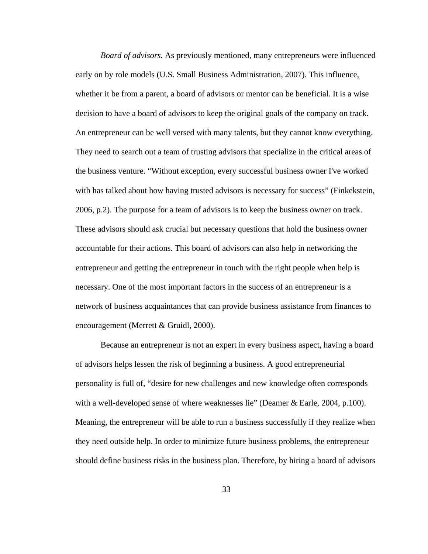*Board of advisors.* As previously mentioned, many entrepreneurs were influenced early on by role models (U.S. Small Business Administration, 2007). This influence, whether it be from a parent, a board of advisors or mentor can be beneficial. It is a wise decision to have a board of advisors to keep the original goals of the company on track. An entrepreneur can be well versed with many talents, but they cannot know everything. They need to search out a team of trusting advisors that specialize in the critical areas of the business venture. "Without exception, every successful business owner I've worked with has talked about how having trusted advisors is necessary for success" (Finkekstein, 2006, p.2). The purpose for a team of advisors is to keep the business owner on track. These advisors should ask crucial but necessary questions that hold the business owner accountable for their actions. This board of advisors can also help in networking the entrepreneur and getting the entrepreneur in touch with the right people when help is necessary. One of the most important factors in the success of an entrepreneur is a network of business acquaintances that can provide business assistance from finances to encouragement (Merrett & Gruidl, 2000).

Because an entrepreneur is not an expert in every business aspect, having a board of advisors helps lessen the risk of beginning a business. A good entrepreneurial personality is full of, "desire for new challenges and new knowledge often corresponds with a well-developed sense of where weaknesses lie" (Deamer & Earle, 2004, p.100). Meaning, the entrepreneur will be able to run a business successfully if they realize when they need outside help. In order to minimize future business problems, the entrepreneur should define business risks in the business plan. Therefore, by hiring a board of advisors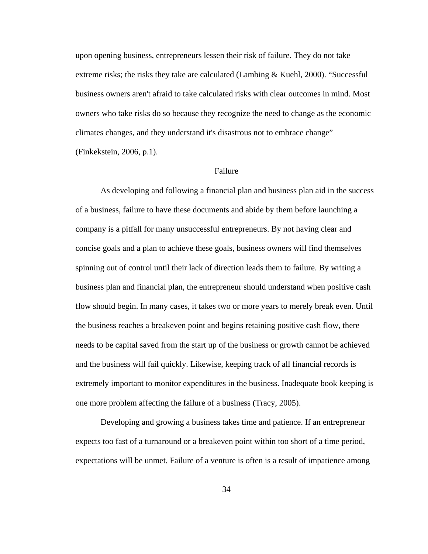upon opening business, entrepreneurs lessen their risk of failure. They do not take extreme risks; the risks they take are calculated (Lambing & Kuehl, 2000). "Successful business owners aren't afraid to take calculated risks with clear outcomes in mind. Most owners who take risks do so because they recognize the need to change as the economic climates changes, and they understand it's disastrous not to embrace change" (Finkekstein, 2006, p.1).

## Failure

As developing and following a financial plan and business plan aid in the success of a business, failure to have these documents and abide by them before launching a company is a pitfall for many unsuccessful entrepreneurs. By not having clear and concise goals and a plan to achieve these goals, business owners will find themselves spinning out of control until their lack of direction leads them to failure. By writing a business plan and financial plan, the entrepreneur should understand when positive cash flow should begin. In many cases, it takes two or more years to merely break even. Until the business reaches a breakeven point and begins retaining positive cash flow, there needs to be capital saved from the start up of the business or growth cannot be achieved and the business will fail quickly. Likewise, keeping track of all financial records is extremely important to monitor expenditures in the business. Inadequate book keeping is one more problem affecting the failure of a business (Tracy, 2005).

Developing and growing a business takes time and patience. If an entrepreneur expects too fast of a turnaround or a breakeven point within too short of a time period, expectations will be unmet. Failure of a venture is often is a result of impatience among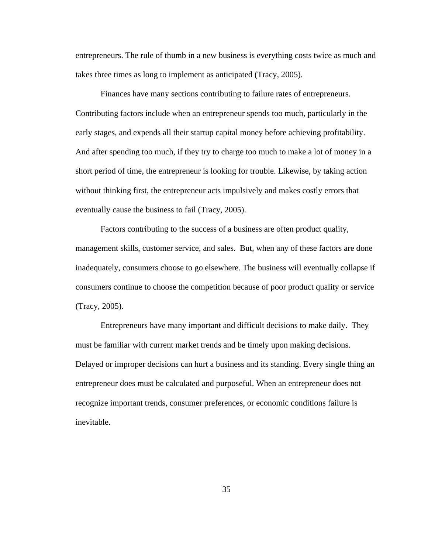entrepreneurs. The rule of thumb in a new business is everything costs twice as much and takes three times as long to implement as anticipated (Tracy, 2005).

Finances have many sections contributing to failure rates of entrepreneurs. Contributing factors include when an entrepreneur spends too much, particularly in the early stages, and expends all their startup capital money before achieving profitability. And after spending too much, if they try to charge too much to make a lot of money in a short period of time, the entrepreneur is looking for trouble. Likewise, by taking action without thinking first, the entrepreneur acts impulsively and makes costly errors that eventually cause the business to fail (Tracy, 2005).

Factors contributing to the success of a business are often product quality, management skills, customer service, and sales. But, when any of these factors are done inadequately, consumers choose to go elsewhere. The business will eventually collapse if consumers continue to choose the competition because of poor product quality or service (Tracy, 2005).

Entrepreneurs have many important and difficult decisions to make daily. They must be familiar with current market trends and be timely upon making decisions. Delayed or improper decisions can hurt a business and its standing. Every single thing an entrepreneur does must be calculated and purposeful. When an entrepreneur does not recognize important trends, consumer preferences, or economic conditions failure is inevitable.

35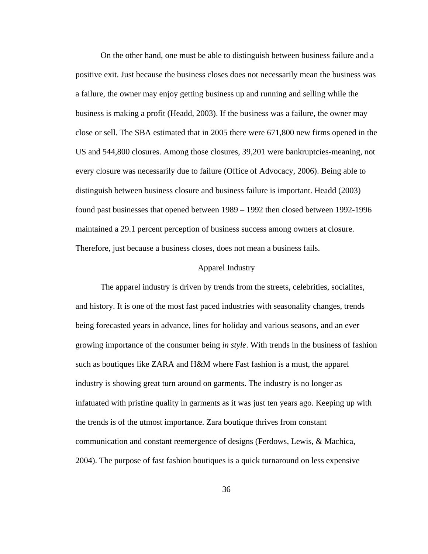On the other hand, one must be able to distinguish between business failure and a positive exit. Just because the business closes does not necessarily mean the business was a failure, the owner may enjoy getting business up and running and selling while the business is making a profit (Headd, 2003). If the business was a failure, the owner may close or sell. The SBA estimated that in 2005 there were 671,800 new firms opened in the US and 544,800 closures. Among those closures, 39,201 were bankruptcies-meaning, not every closure was necessarily due to failure (Office of Advocacy, 2006). Being able to distinguish between business closure and business failure is important. Headd (2003) found past businesses that opened between 1989 – 1992 then closed between 1992-1996 maintained a 29.1 percent perception of business success among owners at closure. Therefore, just because a business closes, does not mean a business fails.

## Apparel Industry

The apparel industry is driven by trends from the streets, celebrities, socialites, and history. It is one of the most fast paced industries with seasonality changes, trends being forecasted years in advance, lines for holiday and various seasons, and an ever growing importance of the consumer being *in style*. With trends in the business of fashion such as boutiques like ZARA and H&M where Fast fashion is a must, the apparel industry is showing great turn around on garments. The industry is no longer as infatuated with pristine quality in garments as it was just ten years ago. Keeping up with the trends is of the utmost importance. Zara boutique thrives from constant communication and constant reemergence of designs (Ferdows, Lewis, & Machica, 2004). The purpose of fast fashion boutiques is a quick turnaround on less expensive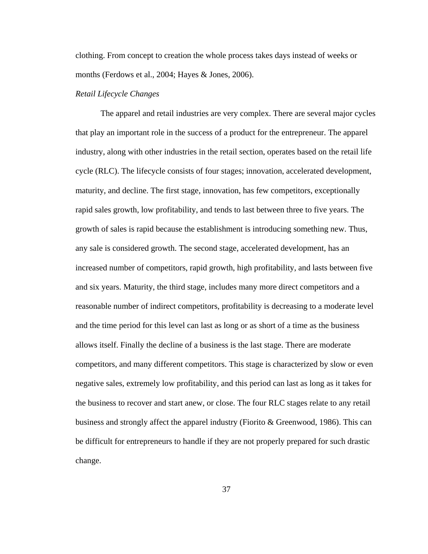clothing. From concept to creation the whole process takes days instead of weeks or months (Ferdows et al., 2004; Hayes & Jones, 2006).

## *Retail Lifecycle Changes*

 The apparel and retail industries are very complex. There are several major cycles that play an important role in the success of a product for the entrepreneur. The apparel industry, along with other industries in the retail section, operates based on the retail life cycle (RLC). The lifecycle consists of four stages; innovation, accelerated development, maturity, and decline. The first stage, innovation, has few competitors, exceptionally rapid sales growth, low profitability, and tends to last between three to five years. The growth of sales is rapid because the establishment is introducing something new. Thus, any sale is considered growth. The second stage, accelerated development, has an increased number of competitors, rapid growth, high profitability, and lasts between five and six years. Maturity, the third stage, includes many more direct competitors and a reasonable number of indirect competitors, profitability is decreasing to a moderate level and the time period for this level can last as long or as short of a time as the business allows itself. Finally the decline of a business is the last stage. There are moderate competitors, and many different competitors. This stage is characterized by slow or even negative sales, extremely low profitability, and this period can last as long as it takes for the business to recover and start anew, or close. The four RLC stages relate to any retail business and strongly affect the apparel industry (Fiorito & Greenwood, 1986). This can be difficult for entrepreneurs to handle if they are not properly prepared for such drastic change.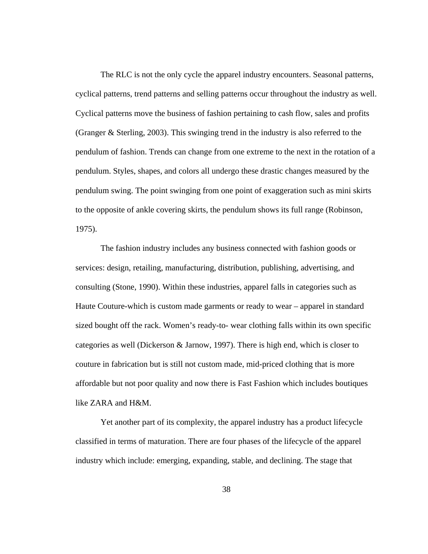The RLC is not the only cycle the apparel industry encounters. Seasonal patterns, cyclical patterns, trend patterns and selling patterns occur throughout the industry as well. Cyclical patterns move the business of fashion pertaining to cash flow, sales and profits (Granger & Sterling, 2003). This swinging trend in the industry is also referred to the pendulum of fashion. Trends can change from one extreme to the next in the rotation of a pendulum. Styles, shapes, and colors all undergo these drastic changes measured by the pendulum swing. The point swinging from one point of exaggeration such as mini skirts to the opposite of ankle covering skirts, the pendulum shows its full range (Robinson, 1975).

 The fashion industry includes any business connected with fashion goods or services: design, retailing, manufacturing, distribution, publishing, advertising, and consulting (Stone, 1990). Within these industries, apparel falls in categories such as Haute Couture-which is custom made garments or ready to wear – apparel in standard sized bought off the rack. Women's ready-to- wear clothing falls within its own specific categories as well (Dickerson & Jarnow, 1997). There is high end, which is closer to couture in fabrication but is still not custom made, mid-priced clothing that is more affordable but not poor quality and now there is Fast Fashion which includes boutiques like ZARA and H&M.

Yet another part of its complexity, the apparel industry has a product lifecycle classified in terms of maturation. There are four phases of the lifecycle of the apparel industry which include: emerging, expanding, stable, and declining. The stage that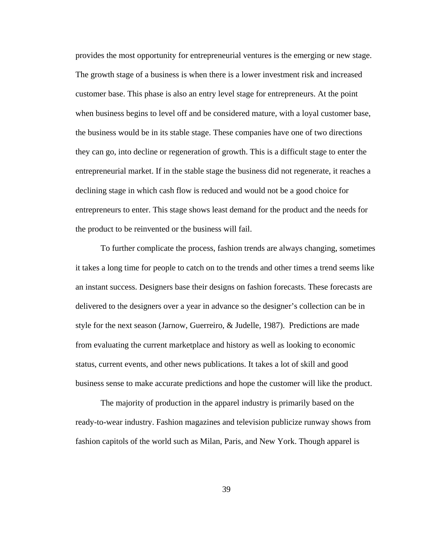provides the most opportunity for entrepreneurial ventures is the emerging or new stage. The growth stage of a business is when there is a lower investment risk and increased customer base. This phase is also an entry level stage for entrepreneurs. At the point when business begins to level off and be considered mature, with a loyal customer base, the business would be in its stable stage. These companies have one of two directions they can go, into decline or regeneration of growth. This is a difficult stage to enter the entrepreneurial market. If in the stable stage the business did not regenerate, it reaches a declining stage in which cash flow is reduced and would not be a good choice for entrepreneurs to enter. This stage shows least demand for the product and the needs for the product to be reinvented or the business will fail.

 To further complicate the process, fashion trends are always changing, sometimes it takes a long time for people to catch on to the trends and other times a trend seems like an instant success. Designers base their designs on fashion forecasts. These forecasts are delivered to the designers over a year in advance so the designer's collection can be in style for the next season (Jarnow, Guerreiro, & Judelle, 1987). Predictions are made from evaluating the current marketplace and history as well as looking to economic status, current events, and other news publications. It takes a lot of skill and good business sense to make accurate predictions and hope the customer will like the product.

The majority of production in the apparel industry is primarily based on the ready-to-wear industry. Fashion magazines and television publicize runway shows from fashion capitols of the world such as Milan, Paris, and New York. Though apparel is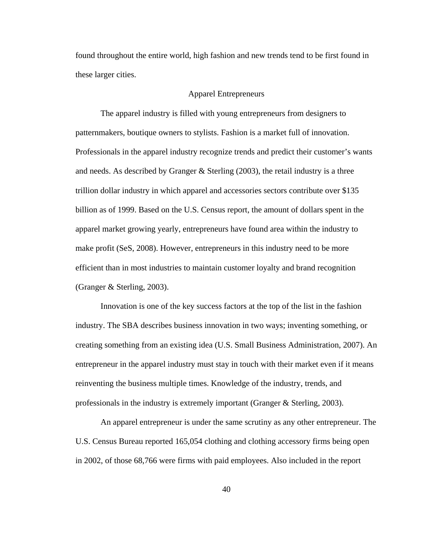found throughout the entire world, high fashion and new trends tend to be first found in these larger cities.

## Apparel Entrepreneurs

 The apparel industry is filled with young entrepreneurs from designers to patternmakers, boutique owners to stylists. Fashion is a market full of innovation. Professionals in the apparel industry recognize trends and predict their customer's wants and needs. As described by Granger & Sterling (2003), the retail industry is a three trillion dollar industry in which apparel and accessories sectors contribute over \$135 billion as of 1999. Based on the U.S. Census report, the amount of dollars spent in the apparel market growing yearly, entrepreneurs have found area within the industry to make profit (SeS, 2008). However, entrepreneurs in this industry need to be more efficient than in most industries to maintain customer loyalty and brand recognition (Granger & Sterling, 2003).

 Innovation is one of the key success factors at the top of the list in the fashion industry. The SBA describes business innovation in two ways; inventing something, or creating something from an existing idea (U.S. Small Business Administration, 2007). An entrepreneur in the apparel industry must stay in touch with their market even if it means reinventing the business multiple times. Knowledge of the industry, trends, and professionals in the industry is extremely important (Granger & Sterling, 2003).

 An apparel entrepreneur is under the same scrutiny as any other entrepreneur. The U.S. Census Bureau reported 165,054 clothing and clothing accessory firms being open in 2002, of those 68,766 were firms with paid employees. Also included in the report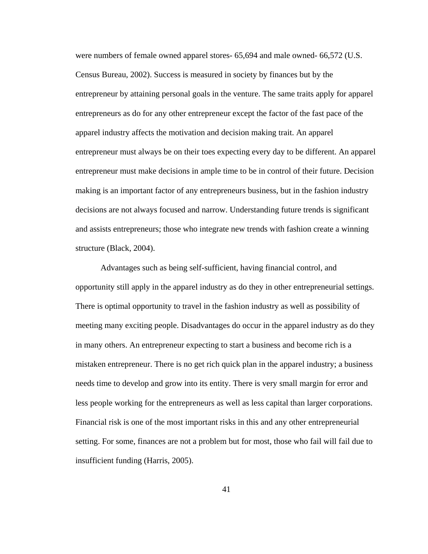were numbers of female owned apparel stores- 65,694 and male owned- 66,572 (U.S. Census Bureau, 2002). Success is measured in society by finances but by the entrepreneur by attaining personal goals in the venture. The same traits apply for apparel entrepreneurs as do for any other entrepreneur except the factor of the fast pace of the apparel industry affects the motivation and decision making trait. An apparel entrepreneur must always be on their toes expecting every day to be different. An apparel entrepreneur must make decisions in ample time to be in control of their future. Decision making is an important factor of any entrepreneurs business, but in the fashion industry decisions are not always focused and narrow. Understanding future trends is significant and assists entrepreneurs; those who integrate new trends with fashion create a winning structure (Black, 2004).

 Advantages such as being self-sufficient, having financial control, and opportunity still apply in the apparel industry as do they in other entrepreneurial settings. There is optimal opportunity to travel in the fashion industry as well as possibility of meeting many exciting people. Disadvantages do occur in the apparel industry as do they in many others. An entrepreneur expecting to start a business and become rich is a mistaken entrepreneur. There is no get rich quick plan in the apparel industry; a business needs time to develop and grow into its entity. There is very small margin for error and less people working for the entrepreneurs as well as less capital than larger corporations. Financial risk is one of the most important risks in this and any other entrepreneurial setting. For some, finances are not a problem but for most, those who fail will fail due to insufficient funding (Harris, 2005).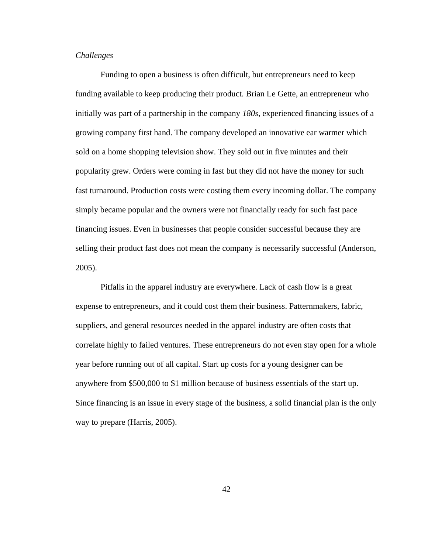# *Challenges*

 Funding to open a business is often difficult, but entrepreneurs need to keep funding available to keep producing their product. Brian Le Gette, an entrepreneur who initially was part of a partnership in the company *180s*, experienced financing issues of a growing company first hand. The company developed an innovative ear warmer which sold on a home shopping television show. They sold out in five minutes and their popularity grew. Orders were coming in fast but they did not have the money for such fast turnaround. Production costs were costing them every incoming dollar. The company simply became popular and the owners were not financially ready for such fast pace financing issues. Even in businesses that people consider successful because they are selling their product fast does not mean the company is necessarily successful (Anderson, 2005).

 Pitfalls in the apparel industry are everywhere. Lack of cash flow is a great expense to entrepreneurs, and it could cost them their business. Patternmakers, fabric, suppliers, and general resources needed in the apparel industry are often costs that correlate highly to failed ventures. These entrepreneurs do not even stay open for a whole year before running out of all capital. Start up costs for a young designer can be anywhere from \$500,000 to \$1 million because of business essentials of the start up. Since financing is an issue in every stage of the business, a solid financial plan is the only way to prepare (Harris, 2005).

42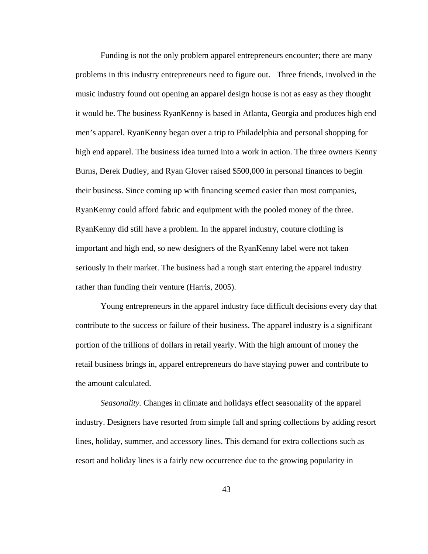Funding is not the only problem apparel entrepreneurs encounter; there are many problems in this industry entrepreneurs need to figure out. Three friends, involved in the music industry found out opening an apparel design house is not as easy as they thought it would be. The business RyanKenny is based in Atlanta, Georgia and produces high end men's apparel. RyanKenny began over a trip to Philadelphia and personal shopping for high end apparel. The business idea turned into a work in action. The three owners Kenny Burns, Derek Dudley, and Ryan Glover raised \$500,000 in personal finances to begin their business. Since coming up with financing seemed easier than most companies, RyanKenny could afford fabric and equipment with the pooled money of the three. RyanKenny did still have a problem. In the apparel industry, couture clothing is important and high end, so new designers of the RyanKenny label were not taken seriously in their market. The business had a rough start entering the apparel industry rather than funding their venture (Harris, 2005).

 Young entrepreneurs in the apparel industry face difficult decisions every day that contribute to the success or failure of their business. The apparel industry is a significant portion of the trillions of dollars in retail yearly. With the high amount of money the retail business brings in, apparel entrepreneurs do have staying power and contribute to the amount calculated.

*Seasonality.* Changes in climate and holidays effect seasonality of the apparel industry. Designers have resorted from simple fall and spring collections by adding resort lines, holiday, summer, and accessory lines. This demand for extra collections such as resort and holiday lines is a fairly new occurrence due to the growing popularity in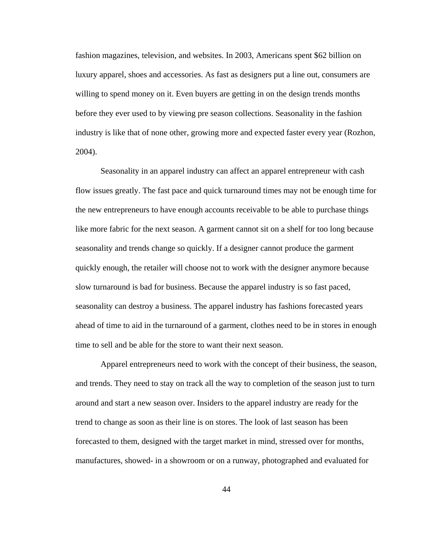fashion magazines, television, and websites. In 2003, Americans spent \$62 billion on luxury apparel, shoes and accessories. As fast as designers put a line out, consumers are willing to spend money on it. Even buyers are getting in on the design trends months before they ever used to by viewing pre season collections. Seasonality in the fashion industry is like that of none other, growing more and expected faster every year (Rozhon, 2004).

Seasonality in an apparel industry can affect an apparel entrepreneur with cash flow issues greatly. The fast pace and quick turnaround times may not be enough time for the new entrepreneurs to have enough accounts receivable to be able to purchase things like more fabric for the next season. A garment cannot sit on a shelf for too long because seasonality and trends change so quickly. If a designer cannot produce the garment quickly enough, the retailer will choose not to work with the designer anymore because slow turnaround is bad for business. Because the apparel industry is so fast paced, seasonality can destroy a business. The apparel industry has fashions forecasted years ahead of time to aid in the turnaround of a garment, clothes need to be in stores in enough time to sell and be able for the store to want their next season.

Apparel entrepreneurs need to work with the concept of their business, the season, and trends. They need to stay on track all the way to completion of the season just to turn around and start a new season over. Insiders to the apparel industry are ready for the trend to change as soon as their line is on stores. The look of last season has been forecasted to them, designed with the target market in mind, stressed over for months, manufactures, showed- in a showroom or on a runway, photographed and evaluated for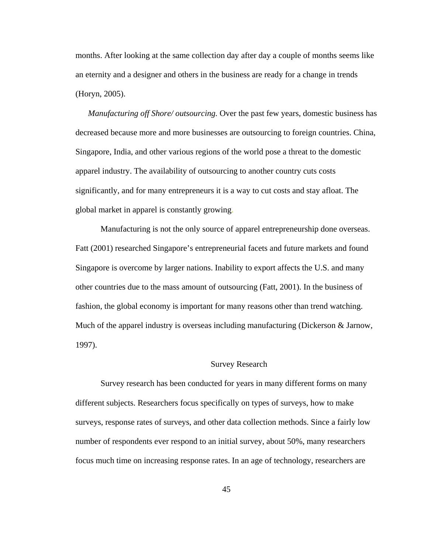months. After looking at the same collection day after day a couple of months seems like an eternity and a designer and others in the business are ready for a change in trends (Horyn, 2005).

*Manufacturing off Shore/ outsourcing.* Over the past few years, domestic business has decreased because more and more businesses are outsourcing to foreign countries. China, Singapore, India, and other various regions of the world pose a threat to the domestic apparel industry. The availability of outsourcing to another country cuts costs significantly, and for many entrepreneurs it is a way to cut costs and stay afloat. The global market in apparel is constantly growing.

Manufacturing is not the only source of apparel entrepreneurship done overseas. Fatt (2001) researched Singapore's entrepreneurial facets and future markets and found Singapore is overcome by larger nations. Inability to export affects the U.S. and many other countries due to the mass amount of outsourcing (Fatt, 2001). In the business of fashion, the global economy is important for many reasons other than trend watching. Much of the apparel industry is overseas including manufacturing (Dickerson & Jarnow, 1997).

#### Survey Research

Survey research has been conducted for years in many different forms on many different subjects. Researchers focus specifically on types of surveys, how to make surveys, response rates of surveys, and other data collection methods. Since a fairly low number of respondents ever respond to an initial survey, about 50%, many researchers focus much time on increasing response rates. In an age of technology, researchers are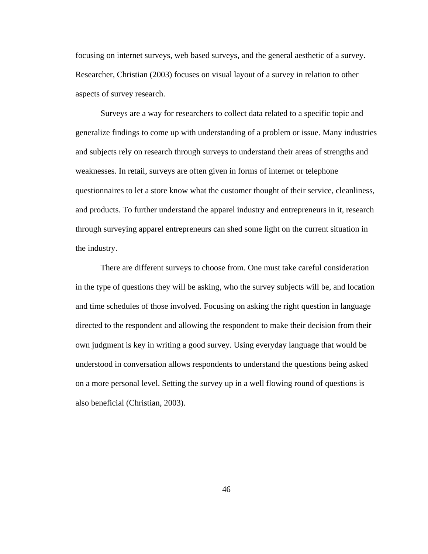focusing on internet surveys, web based surveys, and the general aesthetic of a survey. Researcher, Christian (2003) focuses on visual layout of a survey in relation to other aspects of survey research.

Surveys are a way for researchers to collect data related to a specific topic and generalize findings to come up with understanding of a problem or issue. Many industries and subjects rely on research through surveys to understand their areas of strengths and weaknesses. In retail, surveys are often given in forms of internet or telephone questionnaires to let a store know what the customer thought of their service, cleanliness, and products. To further understand the apparel industry and entrepreneurs in it, research through surveying apparel entrepreneurs can shed some light on the current situation in the industry.

There are different surveys to choose from. One must take careful consideration in the type of questions they will be asking, who the survey subjects will be, and location and time schedules of those involved. Focusing on asking the right question in language directed to the respondent and allowing the respondent to make their decision from their own judgment is key in writing a good survey. Using everyday language that would be understood in conversation allows respondents to understand the questions being asked on a more personal level. Setting the survey up in a well flowing round of questions is also beneficial (Christian, 2003).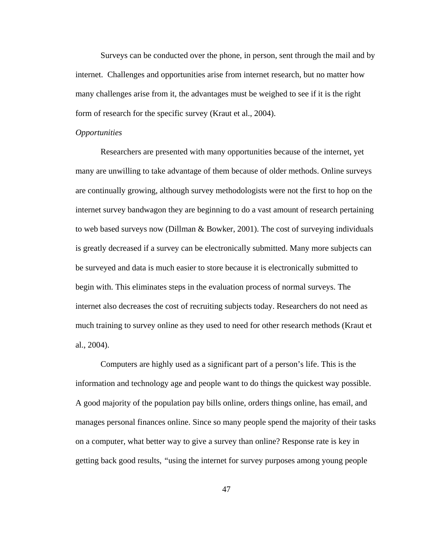Surveys can be conducted over the phone, in person, sent through the mail and by internet. Challenges and opportunities arise from internet research, but no matter how many challenges arise from it, the advantages must be weighed to see if it is the right form of research for the specific survey (Kraut et al., 2004).

#### *Opportunities*

Researchers are presented with many opportunities because of the internet, yet many are unwilling to take advantage of them because of older methods. Online surveys are continually growing, although survey methodologists were not the first to hop on the internet survey bandwagon they are beginning to do a vast amount of research pertaining to web based surveys now (Dillman & Bowker, 2001). The cost of surveying individuals is greatly decreased if a survey can be electronically submitted. Many more subjects can be surveyed and data is much easier to store because it is electronically submitted to begin with. This eliminates steps in the evaluation process of normal surveys. The internet also decreases the cost of recruiting subjects today. Researchers do not need as much training to survey online as they used to need for other research methods (Kraut et al., 2004).

Computers are highly used as a significant part of a person's life. This is the information and technology age and people want to do things the quickest way possible. A good majority of the population pay bills online, orders things online, has email, and manages personal finances online. Since so many people spend the majority of their tasks on a computer, what better way to give a survey than online? Response rate is key in getting back good results, *"*using the internet for survey purposes among young people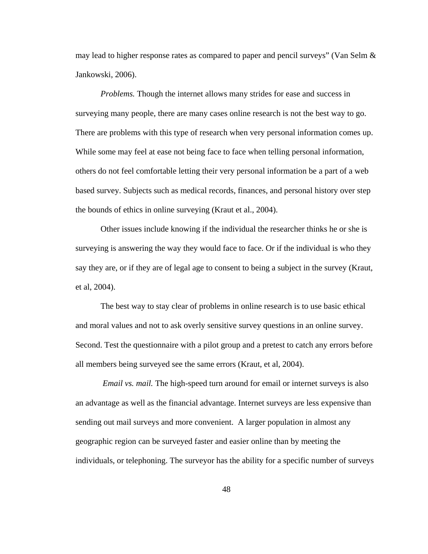may lead to higher response rates as compared to paper and pencil surveys" (Van Selm  $\&$ Jankowski, 2006).

*Problems.* Though the internet allows many strides for ease and success in surveying many people, there are many cases online research is not the best way to go. There are problems with this type of research when very personal information comes up. While some may feel at ease not being face to face when telling personal information, others do not feel comfortable letting their very personal information be a part of a web based survey. Subjects such as medical records, finances, and personal history over step the bounds of ethics in online surveying (Kraut et al., 2004).

Other issues include knowing if the individual the researcher thinks he or she is surveying is answering the way they would face to face. Or if the individual is who they say they are, or if they are of legal age to consent to being a subject in the survey (Kraut, et al, 2004).

The best way to stay clear of problems in online research is to use basic ethical and moral values and not to ask overly sensitive survey questions in an online survey. Second. Test the questionnaire with a pilot group and a pretest to catch any errors before all members being surveyed see the same errors (Kraut, et al, 2004).

*Email vs. mail.* The high-speed turn around for email or internet surveys is also an advantage as well as the financial advantage. Internet surveys are less expensive than sending out mail surveys and more convenient. A larger population in almost any geographic region can be surveyed faster and easier online than by meeting the individuals, or telephoning. The surveyor has the ability for a specific number of surveys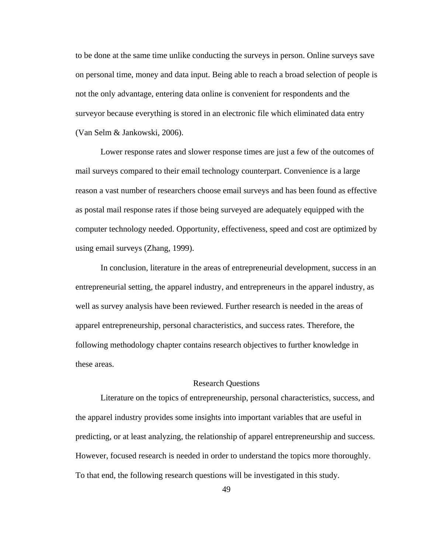to be done at the same time unlike conducting the surveys in person. Online surveys save on personal time, money and data input. Being able to reach a broad selection of people is not the only advantage, entering data online is convenient for respondents and the surveyor because everything is stored in an electronic file which eliminated data entry (Van Selm & Jankowski, 2006).

Lower response rates and slower response times are just a few of the outcomes of mail surveys compared to their email technology counterpart. Convenience is a large reason a vast number of researchers choose email surveys and has been found as effective as postal mail response rates if those being surveyed are adequately equipped with the computer technology needed. Opportunity, effectiveness, speed and cost are optimized by using email surveys (Zhang, 1999).

In conclusion, literature in the areas of entrepreneurial development, success in an entrepreneurial setting, the apparel industry, and entrepreneurs in the apparel industry, as well as survey analysis have been reviewed. Further research is needed in the areas of apparel entrepreneurship, personal characteristics, and success rates. Therefore, the following methodology chapter contains research objectives to further knowledge in these areas.

## Research Questions

 Literature on the topics of entrepreneurship, personal characteristics, success, and the apparel industry provides some insights into important variables that are useful in predicting, or at least analyzing, the relationship of apparel entrepreneurship and success. However, focused research is needed in order to understand the topics more thoroughly. To that end, the following research questions will be investigated in this study.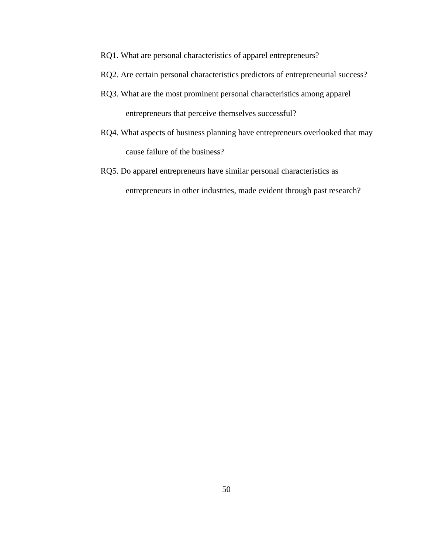- RQ1. What are personal characteristics of apparel entrepreneurs?
- RQ2. Are certain personal characteristics predictors of entrepreneurial success?
- RQ3. What are the most prominent personal characteristics among apparel entrepreneurs that perceive themselves successful?
- RQ4. What aspects of business planning have entrepreneurs overlooked that may cause failure of the business?
- RQ5. Do apparel entrepreneurs have similar personal characteristics as entrepreneurs in other industries, made evident through past research?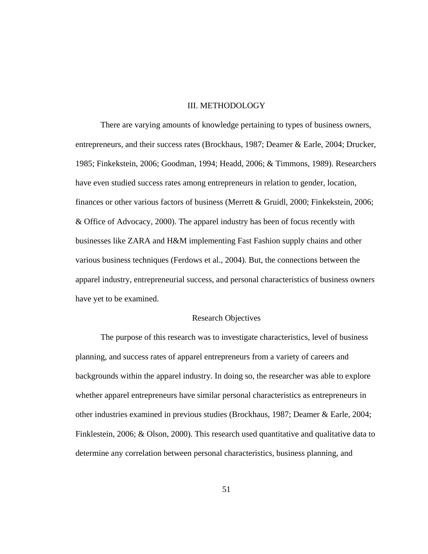## III. METHODOLOGY

 There are varying amounts of knowledge pertaining to types of business owners, entrepreneurs, and their success rates (Brockhaus, 1987; Deamer & Earle, 2004; Drucker, 1985; Finkekstein, 2006; Goodman, 1994; Headd, 2006; & Timmons, 1989). Researchers have even studied success rates among entrepreneurs in relation to gender, location, finances or other various factors of business (Merrett & Gruidl, 2000; Finkekstein, 2006; & Office of Advocacy, 2000). The apparel industry has been of focus recently with businesses like ZARA and H&M implementing Fast Fashion supply chains and other various business techniques (Ferdows et al., 2004). But, the connections between the apparel industry, entrepreneurial success, and personal characteristics of business owners have yet to be examined.

### Research Objectives

 The purpose of this research was to investigate characteristics, level of business planning, and success rates of apparel entrepreneurs from a variety of careers and backgrounds within the apparel industry. In doing so, the researcher was able to explore whether apparel entrepreneurs have similar personal characteristics as entrepreneurs in other industries examined in previous studies (Brockhaus, 1987; Deamer & Earle, 2004; Finklestein, 2006; & Olson, 2000). This research used quantitative and qualitative data to determine any correlation between personal characteristics, business planning, and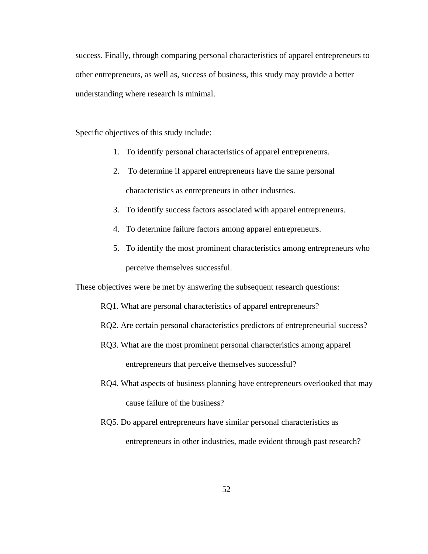success. Finally, through comparing personal characteristics of apparel entrepreneurs to other entrepreneurs, as well as, success of business, this study may provide a better understanding where research is minimal.

Specific objectives of this study include:

- 1. To identify personal characteristics of apparel entrepreneurs.
- 2. To determine if apparel entrepreneurs have the same personal characteristics as entrepreneurs in other industries.
- 3. To identify success factors associated with apparel entrepreneurs.
- 4. To determine failure factors among apparel entrepreneurs.
- 5. To identify the most prominent characteristics among entrepreneurs who perceive themselves successful.

These objectives were be met by answering the subsequent research questions:

- RQ1. What are personal characteristics of apparel entrepreneurs?
- RQ2. Are certain personal characteristics predictors of entrepreneurial success?
- RQ3. What are the most prominent personal characteristics among apparel entrepreneurs that perceive themselves successful?
- RQ4. What aspects of business planning have entrepreneurs overlooked that may cause failure of the business?
- RQ5. Do apparel entrepreneurs have similar personal characteristics as entrepreneurs in other industries, made evident through past research?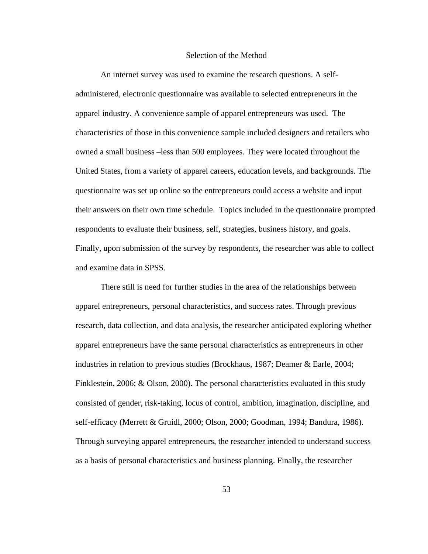## Selection of the Method

 An internet survey was used to examine the research questions. A selfadministered, electronic questionnaire was available to selected entrepreneurs in the apparel industry. A convenience sample of apparel entrepreneurs was used. The characteristics of those in this convenience sample included designers and retailers who owned a small business –less than 500 employees. They were located throughout the United States, from a variety of apparel careers, education levels, and backgrounds. The questionnaire was set up online so the entrepreneurs could access a website and input their answers on their own time schedule. Topics included in the questionnaire prompted respondents to evaluate their business, self, strategies, business history, and goals. Finally, upon submission of the survey by respondents, the researcher was able to collect and examine data in SPSS.

There still is need for further studies in the area of the relationships between apparel entrepreneurs, personal characteristics, and success rates. Through previous research, data collection, and data analysis, the researcher anticipated exploring whether apparel entrepreneurs have the same personal characteristics as entrepreneurs in other industries in relation to previous studies (Brockhaus, 1987; Deamer & Earle, 2004; Finklestein, 2006; & Olson, 2000). The personal characteristics evaluated in this study consisted of gender, risk-taking, locus of control, ambition, imagination, discipline, and self-efficacy (Merrett & Gruidl, 2000; Olson, 2000; Goodman, 1994; Bandura, 1986). Through surveying apparel entrepreneurs, the researcher intended to understand success as a basis of personal characteristics and business planning. Finally, the researcher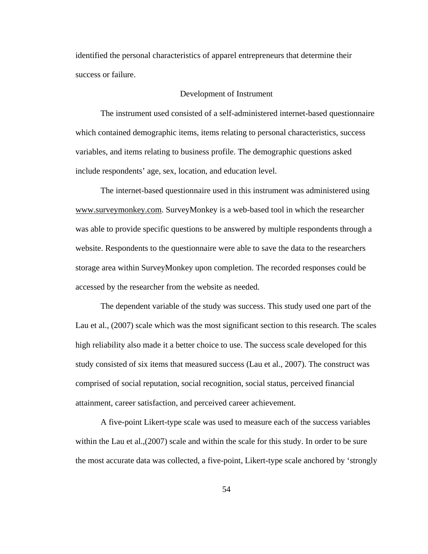identified the personal characteristics of apparel entrepreneurs that determine their success or failure.

### Development of Instrument

 The instrument used consisted of a self-administered internet-based questionnaire which contained demographic items, items relating to personal characteristics, success variables, and items relating to business profile. The demographic questions asked include respondents' age, sex, location, and education level.

The internet-based questionnaire used in this instrument was administered using www.surveymonkey.com. SurveyMonkey is a web-based tool in which the researcher was able to provide specific questions to be answered by multiple respondents through a website. Respondents to the questionnaire were able to save the data to the researchers storage area within SurveyMonkey upon completion. The recorded responses could be accessed by the researcher from the website as needed.

The dependent variable of the study was success. This study used one part of the Lau et al., (2007) scale which was the most significant section to this research. The scales high reliability also made it a better choice to use. The success scale developed for this study consisted of six items that measured success (Lau et al., 2007). The construct was comprised of social reputation, social recognition, social status, perceived financial attainment, career satisfaction, and perceived career achievement.

A five-point Likert-type scale was used to measure each of the success variables within the Lau et al., (2007) scale and within the scale for this study. In order to be sure the most accurate data was collected, a five-point, Likert-type scale anchored by 'strongly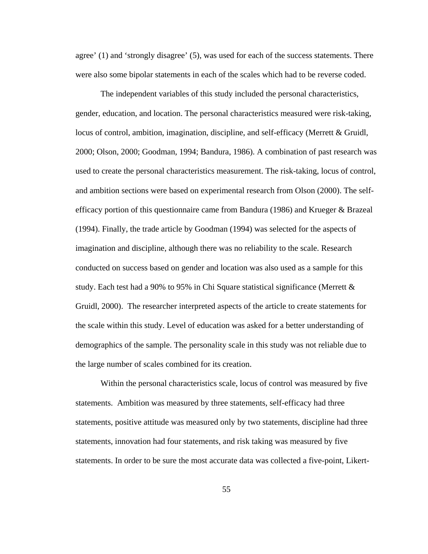agree' (1) and 'strongly disagree' (5), was used for each of the success statements. There were also some bipolar statements in each of the scales which had to be reverse coded.

The independent variables of this study included the personal characteristics, gender, education, and location. The personal characteristics measured were risk-taking, locus of control, ambition, imagination, discipline, and self-efficacy (Merrett & Gruidl, 2000; Olson, 2000; Goodman, 1994; Bandura, 1986). A combination of past research was used to create the personal characteristics measurement. The risk-taking, locus of control, and ambition sections were based on experimental research from Olson (2000). The selfefficacy portion of this questionnaire came from Bandura (1986) and Krueger & Brazeal (1994). Finally, the trade article by Goodman (1994) was selected for the aspects of imagination and discipline, although there was no reliability to the scale. Research conducted on success based on gender and location was also used as a sample for this study. Each test had a 90% to 95% in Chi Square statistical significance (Merrett  $\&$ Gruidl, 2000). The researcher interpreted aspects of the article to create statements for the scale within this study. Level of education was asked for a better understanding of demographics of the sample. The personality scale in this study was not reliable due to the large number of scales combined for its creation.

Within the personal characteristics scale, locus of control was measured by five statements. Ambition was measured by three statements, self-efficacy had three statements, positive attitude was measured only by two statements, discipline had three statements, innovation had four statements, and risk taking was measured by five statements. In order to be sure the most accurate data was collected a five-point, Likert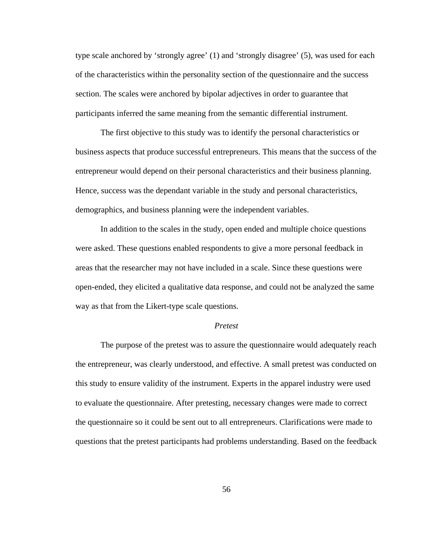type scale anchored by 'strongly agree' (1) and 'strongly disagree' (5), was used for each of the characteristics within the personality section of the questionnaire and the success section. The scales were anchored by bipolar adjectives in order to guarantee that participants inferred the same meaning from the semantic differential instrument.

The first objective to this study was to identify the personal characteristics or business aspects that produce successful entrepreneurs. This means that the success of the entrepreneur would depend on their personal characteristics and their business planning. Hence, success was the dependant variable in the study and personal characteristics, demographics, and business planning were the independent variables.

In addition to the scales in the study, open ended and multiple choice questions were asked. These questions enabled respondents to give a more personal feedback in areas that the researcher may not have included in a scale. Since these questions were open-ended, they elicited a qualitative data response, and could not be analyzed the same way as that from the Likert-type scale questions.

#### *Pretest*

 The purpose of the pretest was to assure the questionnaire would adequately reach the entrepreneur, was clearly understood, and effective. A small pretest was conducted on this study to ensure validity of the instrument. Experts in the apparel industry were used to evaluate the questionnaire. After pretesting, necessary changes were made to correct the questionnaire so it could be sent out to all entrepreneurs. Clarifications were made to questions that the pretest participants had problems understanding. Based on the feedback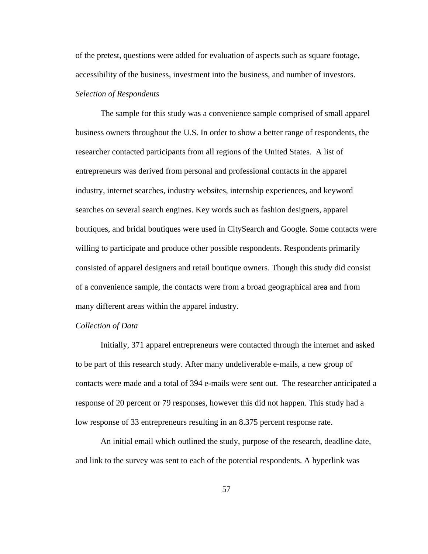of the pretest, questions were added for evaluation of aspects such as square footage, accessibility of the business, investment into the business, and number of investors. *Selection of Respondents* 

The sample for this study was a convenience sample comprised of small apparel business owners throughout the U.S. In order to show a better range of respondents, the researcher contacted participants from all regions of the United States. A list of entrepreneurs was derived from personal and professional contacts in the apparel industry, internet searches, industry websites, internship experiences, and keyword searches on several search engines. Key words such as fashion designers, apparel boutiques, and bridal boutiques were used in CitySearch and Google. Some contacts were willing to participate and produce other possible respondents. Respondents primarily consisted of apparel designers and retail boutique owners. Though this study did consist of a convenience sample, the contacts were from a broad geographical area and from many different areas within the apparel industry.

### *Collection of Data*

 Initially, 371 apparel entrepreneurs were contacted through the internet and asked to be part of this research study. After many undeliverable e-mails, a new group of contacts were made and a total of 394 e-mails were sent out. The researcher anticipated a response of 20 percent or 79 responses, however this did not happen. This study had a low response of 33 entrepreneurs resulting in an 8.375 percent response rate.

An initial email which outlined the study, purpose of the research, deadline date, and link to the survey was sent to each of the potential respondents. A hyperlink was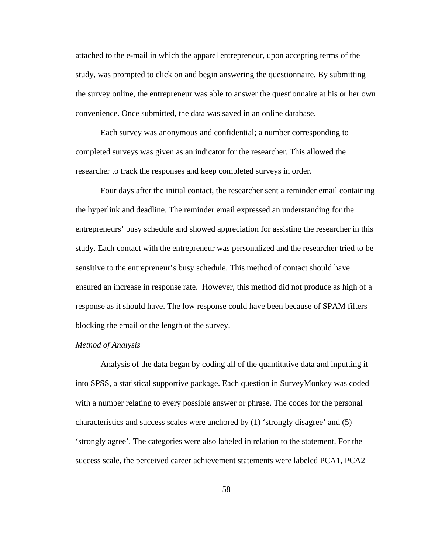attached to the e-mail in which the apparel entrepreneur, upon accepting terms of the study, was prompted to click on and begin answering the questionnaire. By submitting the survey online, the entrepreneur was able to answer the questionnaire at his or her own convenience. Once submitted, the data was saved in an online database.

Each survey was anonymous and confidential; a number corresponding to completed surveys was given as an indicator for the researcher. This allowed the researcher to track the responses and keep completed surveys in order.

Four days after the initial contact, the researcher sent a reminder email containing the hyperlink and deadline. The reminder email expressed an understanding for the entrepreneurs' busy schedule and showed appreciation for assisting the researcher in this study. Each contact with the entrepreneur was personalized and the researcher tried to be sensitive to the entrepreneur's busy schedule. This method of contact should have ensured an increase in response rate. However, this method did not produce as high of a response as it should have. The low response could have been because of SPAM filters blocking the email or the length of the survey.

#### *Method of Analysis*

 Analysis of the data began by coding all of the quantitative data and inputting it into SPSS, a statistical supportive package. Each question in SurveyMonkey was coded with a number relating to every possible answer or phrase. The codes for the personal characteristics and success scales were anchored by (1) 'strongly disagree' and (5) 'strongly agree'. The categories were also labeled in relation to the statement. For the success scale, the perceived career achievement statements were labeled PCA1, PCA2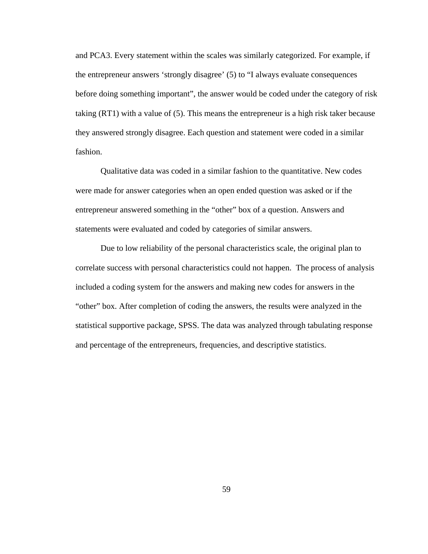and PCA3. Every statement within the scales was similarly categorized. For example, if the entrepreneur answers 'strongly disagree' (5) to "I always evaluate consequences before doing something important", the answer would be coded under the category of risk taking (RT1) with a value of (5). This means the entrepreneur is a high risk taker because they answered strongly disagree. Each question and statement were coded in a similar fashion.

 Qualitative data was coded in a similar fashion to the quantitative. New codes were made for answer categories when an open ended question was asked or if the entrepreneur answered something in the "other" box of a question. Answers and statements were evaluated and coded by categories of similar answers.

Due to low reliability of the personal characteristics scale, the original plan to correlate success with personal characteristics could not happen. The process of analysis included a coding system for the answers and making new codes for answers in the "other" box. After completion of coding the answers, the results were analyzed in the statistical supportive package, SPSS. The data was analyzed through tabulating response and percentage of the entrepreneurs, frequencies, and descriptive statistics.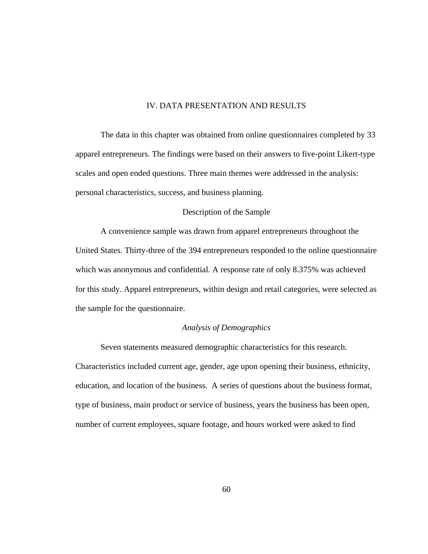# IV. DATA PRESENTATION AND RESULTS

The data in this chapter was obtained from online questionnaires completed by 33 apparel entrepreneurs. The findings were based on their answers to five-point Likert-type scales and open ended questions. Three main themes were addressed in the analysis: personal characteristics, success, and business planning.

# Description of the Sample

 A convenience sample was drawn from apparel entrepreneurs throughout the United States. Thirty-three of the 394 entrepreneurs responded to the online questionnaire which was anonymous and confidential. A response rate of only 8.375% was achieved for this study. Apparel entrepreneurs, within design and retail categories, were selected as the sample for the questionnaire.

## *Analysis of Demographics*

Seven statements measured demographic characteristics for this research. Characteristics included current age, gender, age upon opening their business, ethnicity, education, and location of the business. A series of questions about the business format, type of business, main product or service of business, years the business has been open, number of current employees, square footage, and hours worked were asked to find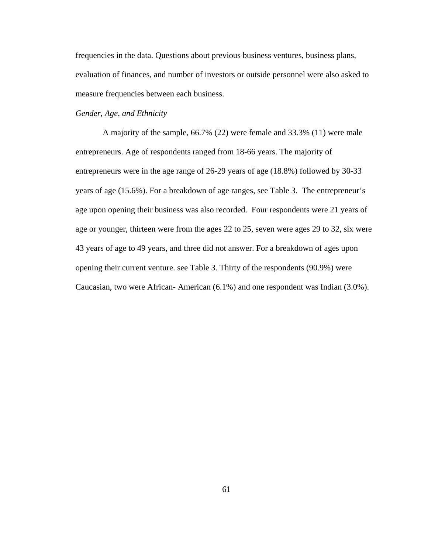frequencies in the data. Questions about previous business ventures, business plans, evaluation of finances, and number of investors or outside personnel were also asked to measure frequencies between each business.

# *Gender, Age, and Ethnicity*

A majority of the sample, 66.7% (22) were female and 33.3% (11) were male entrepreneurs. Age of respondents ranged from 18-66 years. The majority of entrepreneurs were in the age range of 26-29 years of age (18.8%) followed by 30-33 years of age (15.6%). For a breakdown of age ranges, see Table 3. The entrepreneur's age upon opening their business was also recorded. Four respondents were 21 years of age or younger, thirteen were from the ages 22 to 25, seven were ages 29 to 32, six were 43 years of age to 49 years, and three did not answer. For a breakdown of ages upon opening their current venture. see Table 3. Thirty of the respondents (90.9%) were Caucasian, two were African- American (6.1%) and one respondent was Indian (3.0%).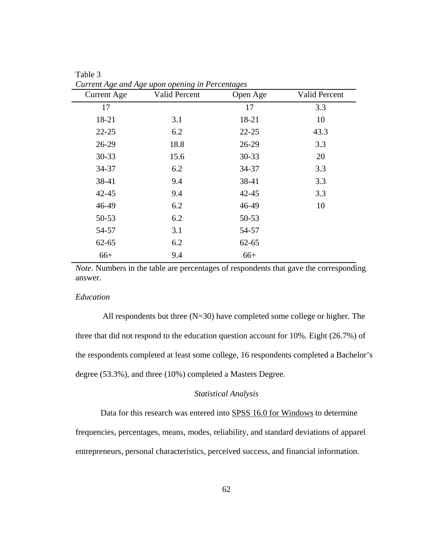| <b>Current Age</b> | Current Age and Age upon opening in Percentages<br>Valid Percent | Open Age  | Valid Percent |
|--------------------|------------------------------------------------------------------|-----------|---------------|
| 17                 |                                                                  | 17        | 3.3           |
| 18-21              | 3.1                                                              | 18-21     | 10            |
| $22 - 25$          | 6.2                                                              | $22 - 25$ | 43.3          |
| $26-29$            | 18.8                                                             | 26-29     | 3.3           |
| $30 - 33$          | 15.6                                                             | 30-33     | 20            |
| 34-37              | 6.2                                                              | 34-37     | 3.3           |
| 38-41              | 9.4                                                              | 38-41     | 3.3           |
| $42 - 45$          | 9.4                                                              | $42 - 45$ | 3.3           |
| 46-49              | 6.2                                                              | 46-49     | 10            |
| 50-53              | 6.2                                                              | 50-53     |               |
| 54-57              | 3.1                                                              | 54-57     |               |
| $62 - 65$          | 6.2                                                              | $62 - 65$ |               |
| $66+$              | 9.4                                                              | $66+$     |               |

Table 3 *Current Age and Age upon opening in Percentages* 

*Note.* Numbers in the table are percentages of respondents that gave the corresponding answer.

# *Education*

All respondents but three (N=30) have completed some college or higher. The three that did not respond to the education question account for 10%. Eight (26.7%) of the respondents completed at least some college, 16 respondents completed a Bachelor's degree (53.3%), and three (10%) completed a Masters Degree.

# *Statistical Analysis*

Data for this research was entered into SPSS 16.0 for Windows to determine

frequencies, percentages, means, modes, reliability, and standard deviations of apparel entrepreneurs, personal characteristics, perceived success, and financial information.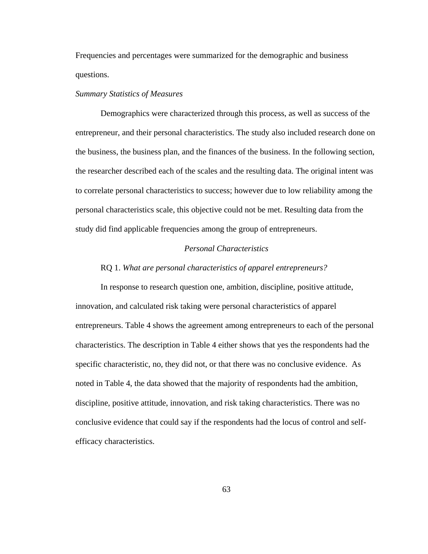Frequencies and percentages were summarized for the demographic and business questions.

#### *Summary Statistics of Measures*

 Demographics were characterized through this process, as well as success of the entrepreneur, and their personal characteristics. The study also included research done on the business, the business plan, and the finances of the business. In the following section, the researcher described each of the scales and the resulting data. The original intent was to correlate personal characteristics to success; however due to low reliability among the personal characteristics scale, this objective could not be met. Resulting data from the study did find applicable frequencies among the group of entrepreneurs.

# *Personal Characteristics*

#### RQ 1. *What are personal characteristics of apparel entrepreneurs?*

In response to research question one, ambition, discipline, positive attitude, innovation, and calculated risk taking were personal characteristics of apparel entrepreneurs. Table 4 shows the agreement among entrepreneurs to each of the personal characteristics. The description in Table 4 either shows that yes the respondents had the specific characteristic, no, they did not, or that there was no conclusive evidence. As noted in Table 4, the data showed that the majority of respondents had the ambition, discipline, positive attitude, innovation, and risk taking characteristics. There was no conclusive evidence that could say if the respondents had the locus of control and selfefficacy characteristics.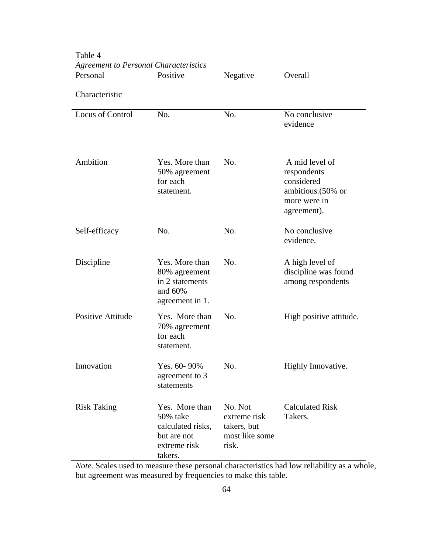| Agreement to Personal Characteristics<br>Personal | Positive                                                                                  | Negative                                                          | Overall                                                                                          |
|---------------------------------------------------|-------------------------------------------------------------------------------------------|-------------------------------------------------------------------|--------------------------------------------------------------------------------------------------|
|                                                   |                                                                                           |                                                                   |                                                                                                  |
| Characteristic                                    |                                                                                           |                                                                   |                                                                                                  |
| Locus of Control                                  | No.                                                                                       | No.                                                               | No conclusive<br>evidence                                                                        |
| Ambition                                          | Yes. More than<br>50% agreement<br>for each<br>statement.                                 | No.                                                               | A mid level of<br>respondents<br>considered<br>ambitious. (50% or<br>more were in<br>agreement). |
| Self-efficacy                                     | No.                                                                                       | No.                                                               | No conclusive<br>evidence.                                                                       |
| Discipline                                        | Yes. More than<br>80% agreement<br>in 2 statements<br>and 60%<br>agreement in 1.          | No.                                                               | A high level of<br>discipline was found<br>among respondents                                     |
| <b>Positive Attitude</b>                          | Yes. More than<br>70% agreement<br>for each<br>statement.                                 | No.                                                               | High positive attitude.                                                                          |
| Innovation                                        | Yes. 60-90%<br>agreement to 3<br>statements                                               | No.                                                               | Highly Innovative.                                                                               |
| <b>Risk Taking</b>                                | Yes. More than<br>50% take<br>calculated risks,<br>but are not<br>extreme risk<br>takers. | No. Not<br>extreme risk<br>takers, but<br>most like some<br>risk. | <b>Calculated Risk</b><br>Takers.                                                                |

Table 4 *Agreement to Personal Characteristics* 

*Note.* Scales used to measure these personal characteristics had low reliability as a whole, but agreement was measured by frequencies to make this table.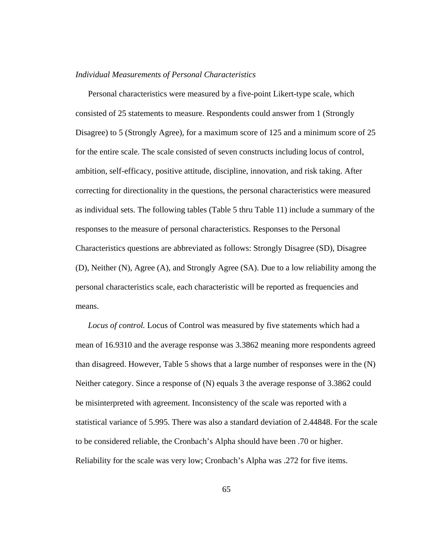#### *Individual Measurements of Personal Characteristics*

Personal characteristics were measured by a five-point Likert-type scale, which consisted of 25 statements to measure. Respondents could answer from 1 (Strongly Disagree) to 5 (Strongly Agree), for a maximum score of 125 and a minimum score of 25 for the entire scale. The scale consisted of seven constructs including locus of control, ambition, self-efficacy, positive attitude, discipline, innovation, and risk taking. After correcting for directionality in the questions, the personal characteristics were measured as individual sets. The following tables (Table 5 thru Table 11) include a summary of the responses to the measure of personal characteristics. Responses to the Personal Characteristics questions are abbreviated as follows: Strongly Disagree (SD), Disagree (D), Neither (N), Agree (A), and Strongly Agree (SA). Due to a low reliability among the personal characteristics scale, each characteristic will be reported as frequencies and means.

*Locus of control.* Locus of Control was measured by five statements which had a mean of 16.9310 and the average response was 3.3862 meaning more respondents agreed than disagreed. However, Table 5 shows that a large number of responses were in the (N) Neither category. Since a response of (N) equals 3 the average response of 3.3862 could be misinterpreted with agreement. Inconsistency of the scale was reported with a statistical variance of 5.995. There was also a standard deviation of 2.44848. For the scale to be considered reliable, the Cronbach's Alpha should have been .70 or higher. Reliability for the scale was very low; Cronbach's Alpha was .272 for five items.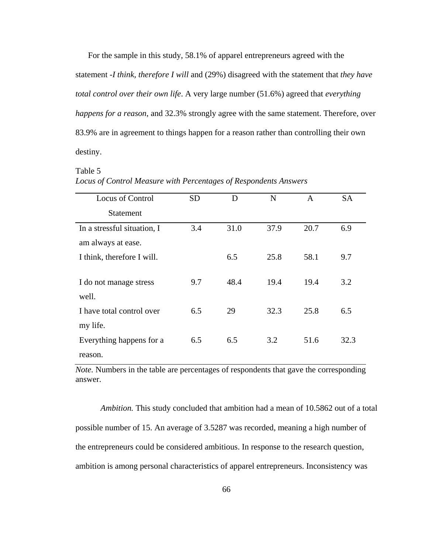For the sample in this study, 58.1% of apparel entrepreneurs agreed with the statement -*I think, therefore I will* and (29%) disagreed with the statement that *they have total control over their own life*. A very large number (51.6%) agreed that *everything happens for a reason*, and 32.3% strongly agree with the same statement. Therefore, over 83.9% are in agreement to things happen for a reason rather than controlling their own destiny.

#### Table 5

| Locus of Control Measure with Percentages of Respondents Answers |  |
|------------------------------------------------------------------|--|
|------------------------------------------------------------------|--|

| Locus of Control            | <b>SD</b> | D    | N    | A    | <b>SA</b> |
|-----------------------------|-----------|------|------|------|-----------|
| <b>Statement</b>            |           |      |      |      |           |
| In a stressful situation, I | 3.4       | 31.0 | 37.9 | 20.7 | 6.9       |
| am always at ease.          |           |      |      |      |           |
| I think, therefore I will.  |           | 6.5  | 25.8 | 58.1 | 9.7       |
|                             |           |      |      |      |           |
| I do not manage stress      | 9.7       | 48.4 | 19.4 | 19.4 | 3.2       |
| well.                       |           |      |      |      |           |
| I have total control over   | 6.5       | 29   | 32.3 | 25.8 | 6.5       |
| my life.                    |           |      |      |      |           |
| Everything happens for a    | 6.5       | 6.5  | 3.2  | 51.6 | 32.3      |
| reason.                     |           |      |      |      |           |

*Note.* Numbers in the table are percentages of respondents that gave the corresponding answer.

*Ambition.* This study concluded that ambition had a mean of 10.5862 out of a total possible number of 15. An average of 3.5287 was recorded, meaning a high number of the entrepreneurs could be considered ambitious. In response to the research question, ambition is among personal characteristics of apparel entrepreneurs. Inconsistency was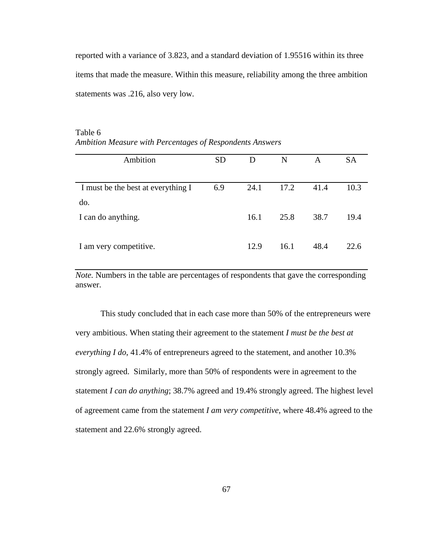reported with a variance of 3.823, and a standard deviation of 1.95516 within its three items that made the measure. Within this measure, reliability among the three ambition statements was .216, also very low.

| Ambition                           | <b>SD</b> | D    | N    | A    | <b>SA</b> |
|------------------------------------|-----------|------|------|------|-----------|
|                                    |           |      |      |      |           |
| I must be the best at everything I | 6.9       | 24.1 | 17.2 | 41.4 | 10.3      |
| do.                                |           |      |      |      |           |
| I can do anything.                 |           | 16.1 | 25.8 | 38.7 | 19.4      |
|                                    |           |      |      |      |           |
| I am very competitive.             |           | 12.9 | 16.1 | 48.4 | 22.6      |

# Table 6 *Ambition Measure with Percentages of Respondents Answers*

*Note.* Numbers in the table are percentages of respondents that gave the corresponding answer.

This study concluded that in each case more than 50% of the entrepreneurs were very ambitious. When stating their agreement to the statement *I must be the best at everything I do*, 41.4% of entrepreneurs agreed to the statement, and another 10.3% strongly agreed. Similarly, more than 50% of respondents were in agreement to the statement *I can do anything*; 38.7% agreed and 19.4% strongly agreed. The highest level of agreement came from the statement *I am very competitive*, where 48.4% agreed to the statement and 22.6% strongly agreed.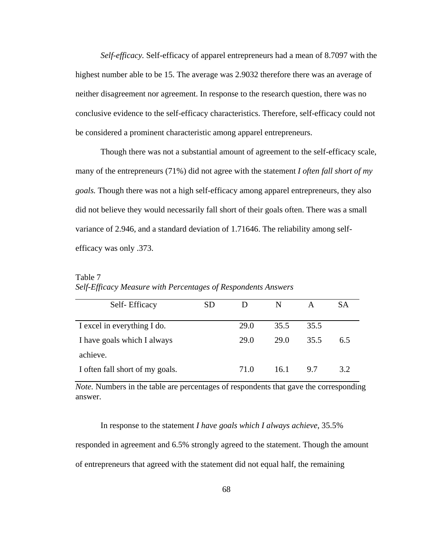*Self-efficacy.* Self-efficacy of apparel entrepreneurs had a mean of 8.7097 with the highest number able to be 15. The average was 2.9032 therefore there was an average of neither disagreement nor agreement. In response to the research question, there was no conclusive evidence to the self-efficacy characteristics. Therefore, self-efficacy could not be considered a prominent characteristic among apparel entrepreneurs.

Though there was not a substantial amount of agreement to the self-efficacy scale, many of the entrepreneurs (71%) did not agree with the statement *I often fall short of my goals.* Though there was not a high self-efficacy among apparel entrepreneurs, they also did not believe they would necessarily fall short of their goals often. There was a small variance of 2.946, and a standard deviation of 1.71646. The reliability among selfefficacy was only .373.

| Self-Efficacy                   | SD | D    | N    | А    | SА  |
|---------------------------------|----|------|------|------|-----|
| I excel in everything I do.     |    | 29.0 | 35.5 | 35.5 |     |
| I have goals which I always     |    | 29.0 | 29.0 | 35.5 | 6.5 |
| achieve.                        |    |      |      |      |     |
| I often fall short of my goals. |    | 71.0 | 16.1 | 9.7  | 32  |

Table 7 *Self-Efficacy Measure with Percentages of Respondents Answers*

*Note.* Numbers in the table are percentages of respondents that gave the corresponding answer.

In response to the statement *I have goals which I always achieve*, 35.5%

responded in agreement and 6.5% strongly agreed to the statement. Though the amount

of entrepreneurs that agreed with the statement did not equal half, the remaining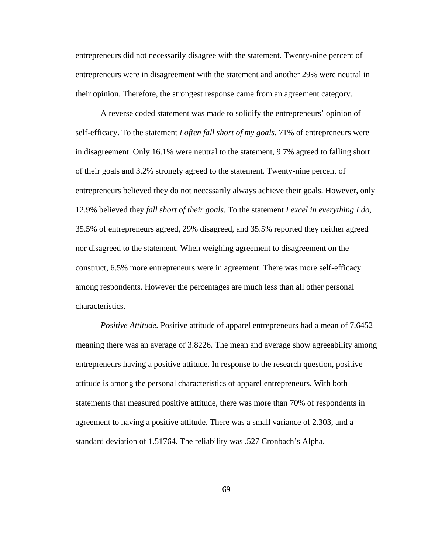entrepreneurs did not necessarily disagree with the statement. Twenty-nine percent of entrepreneurs were in disagreement with the statement and another 29% were neutral in their opinion. Therefore, the strongest response came from an agreement category.

A reverse coded statement was made to solidify the entrepreneurs' opinion of self-efficacy. To the statement *I often fall short of my goals,* 71% of entrepreneurs were in disagreement. Only 16.1% were neutral to the statement, 9.7% agreed to falling short of their goals and 3.2% strongly agreed to the statement. Twenty-nine percent of entrepreneurs believed they do not necessarily always achieve their goals. However, only 12.9% believed they *fall short of their goals*. To the statement *I excel in everything I do,*  35.5% of entrepreneurs agreed, 29% disagreed, and 35.5% reported they neither agreed nor disagreed to the statement. When weighing agreement to disagreement on the construct, 6.5% more entrepreneurs were in agreement. There was more self-efficacy among respondents. However the percentages are much less than all other personal characteristics.

*Positive Attitude.* Positive attitude of apparel entrepreneurs had a mean of 7.6452 meaning there was an average of 3.8226. The mean and average show agreeability among entrepreneurs having a positive attitude. In response to the research question, positive attitude is among the personal characteristics of apparel entrepreneurs. With both statements that measured positive attitude, there was more than 70% of respondents in agreement to having a positive attitude. There was a small variance of 2.303, and a standard deviation of 1.51764. The reliability was .527 Cronbach's Alpha.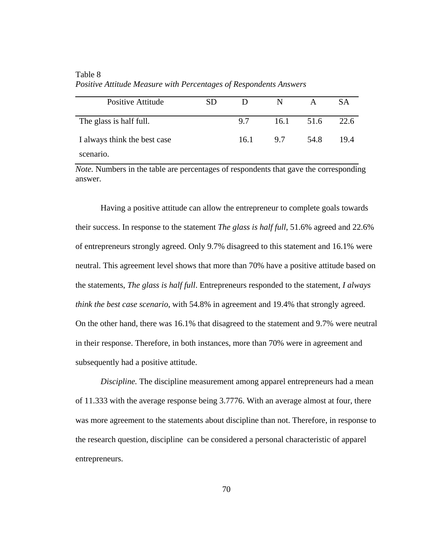| <b>Positive Attitude</b>     | SD. | D    | N    | A    | SА   |
|------------------------------|-----|------|------|------|------|
| The glass is half full.      |     | 9.7  | 16.1 | 51.6 | 22.6 |
| I always think the best case |     | 16.1 | 9.7  | 54.8 | 19.4 |
| scenario.                    |     |      |      |      |      |

Table 8 *Positive Attitude Measure with Percentages of Respondents Answers*

*Note.* Numbers in the table are percentages of respondents that gave the corresponding answer.

Having a positive attitude can allow the entrepreneur to complete goals towards their success. In response to the statement *The glass is half full*, 51.6% agreed and 22.6% of entrepreneurs strongly agreed. Only 9.7% disagreed to this statement and 16.1% were neutral. This agreement level shows that more than 70% have a positive attitude based on the statements, *The glass is half full*. Entrepreneurs responded to the statement, *I always think the best case scenario*, with 54.8% in agreement and 19.4% that strongly agreed. On the other hand, there was 16.1% that disagreed to the statement and 9.7% were neutral in their response. Therefore, in both instances, more than 70% were in agreement and subsequently had a positive attitude.

*Discipline.* The discipline measurement among apparel entrepreneurs had a mean of 11.333 with the average response being 3.7776. With an average almost at four, there was more agreement to the statements about discipline than not. Therefore, in response to the research question, discipline can be considered a personal characteristic of apparel entrepreneurs.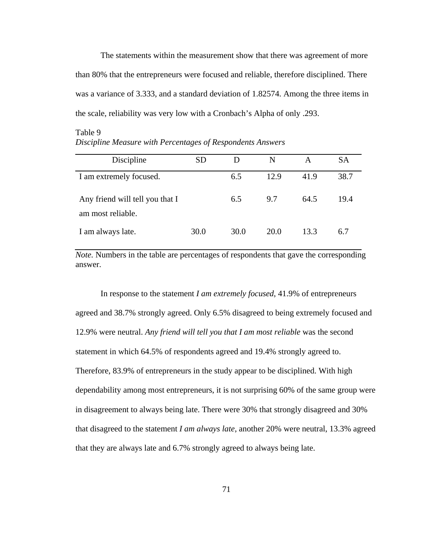The statements within the measurement show that there was agreement of more than 80% that the entrepreneurs were focused and reliable, therefore disciplined. There was a variance of 3.333, and a standard deviation of 1.82574. Among the three items in the scale, reliability was very low with a Cronbach's Alpha of only .293.

# Table 9 *Discipline Measure with Percentages of Respondents Answers*

| Discipline                                           | SD   | D    | N    | А    | <b>SA</b> |
|------------------------------------------------------|------|------|------|------|-----------|
| I am extremely focused.                              |      | 6.5  | 12.9 | 41.9 | 38.7      |
| Any friend will tell you that I<br>am most reliable. |      | 6.5  | 9.7  | 64.5 | 19.4      |
| I am always late.                                    | 30.0 | 30.0 | 20.0 | 13.3 | 6.7       |

*Note.* Numbers in the table are percentages of respondents that gave the corresponding answer.

In response to the statement *I am extremely focused*, 41.9% of entrepreneurs agreed and 38.7% strongly agreed. Only 6.5% disagreed to being extremely focused and 12.9% were neutral. *Any friend will tell you that I am most reliable* was the second statement in which 64.5% of respondents agreed and 19.4% strongly agreed to. Therefore, 83.9% of entrepreneurs in the study appear to be disciplined. With high dependability among most entrepreneurs, it is not surprising 60% of the same group were in disagreement to always being late. There were 30% that strongly disagreed and 30% that disagreed to the statement *I am always late*, another 20% were neutral, 13.3% agreed that they are always late and 6.7% strongly agreed to always being late.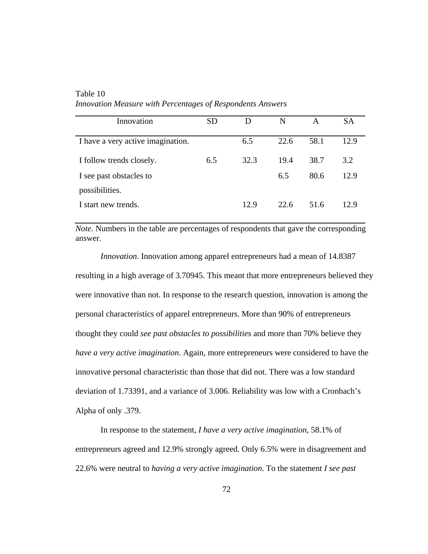| Innovation                        | SD  | D    | N    | A    | SА   |
|-----------------------------------|-----|------|------|------|------|
| I have a very active imagination. |     | 6.5  | 22.6 | 58.1 | 12.9 |
| I follow trends closely.          | 6.5 | 32.3 | 19.4 | 38.7 | 3.2  |
| I see past obstacles to           |     |      | 6.5  | 80.6 | 12.9 |
| possibilities.                    |     |      |      |      |      |
| I start new trends.               |     | 12.9 | 22.6 | 51.6 | 12.9 |

Table 10 *Innovation Measure with Percentages of Respondents Answers*

*Note.* Numbers in the table are percentages of respondents that gave the corresponding answer.

*Innovation.* Innovation among apparel entrepreneurs had a mean of 14.8387 resulting in a high average of 3.70945. This meant that more entrepreneurs believed they were innovative than not. In response to the research question, innovation is among the personal characteristics of apparel entrepreneurs. More than 90% of entrepreneurs thought they could *see past obstacles to possibilities* and more than 70% believe they *have a very active imagination*. Again, more entrepreneurs were considered to have the innovative personal characteristic than those that did not. There was a low standard deviation of 1.73391, and a variance of 3.006. Reliability was low with a Cronbach's Alpha of only .379.

In response to the statement, *I have a very active imagination*, 58.1% of entrepreneurs agreed and 12.9% strongly agreed. Only 6.5% were in disagreement and 22.6% were neutral to *having a very active imagination*. To the statement *I see past*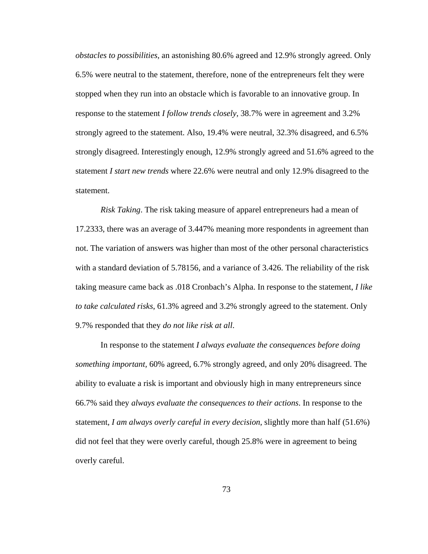*obstacles to possibilities,* an astonishing 80.6% agreed and 12.9% strongly agreed. Only 6.5% were neutral to the statement, therefore, none of the entrepreneurs felt they were stopped when they run into an obstacle which is favorable to an innovative group. In response to the statement *I follow trends closely,* 38.7% were in agreement and 3.2% strongly agreed to the statement. Also, 19.4% were neutral, 32.3% disagreed, and 6.5% strongly disagreed. Interestingly enough, 12.9% strongly agreed and 51.6% agreed to the statement *I start new trends* where 22.6% were neutral and only 12.9% disagreed to the statement.

*Risk Taking*. The risk taking measure of apparel entrepreneurs had a mean of 17.2333, there was an average of 3.447% meaning more respondents in agreement than not. The variation of answers was higher than most of the other personal characteristics with a standard deviation of 5.78156, and a variance of 3.426. The reliability of the risk taking measure came back as .018 Cronbach's Alpha. In response to the statement, *I like to take calculated risks*, 61.3% agreed and 3.2% strongly agreed to the statement. Only 9.7% responded that they *do not like risk at all*.

In response to the statement *I always evaluate the consequences before doing something important,* 60% agreed, 6.7% strongly agreed, and only 20% disagreed. The ability to evaluate a risk is important and obviously high in many entrepreneurs since 66.7% said they *always evaluate the consequences to their actions*. In response to the statement, *I am always overly careful in every decision*, slightly more than half (51.6%) did not feel that they were overly careful, though 25.8% were in agreement to being overly careful.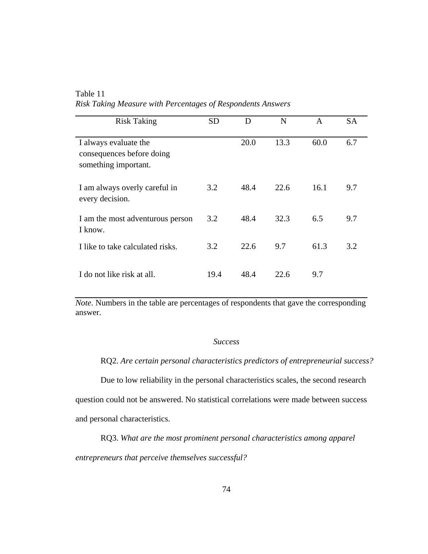Table 11 *Risk Taking Measure with Percentages of Respondents Answers*

| <b>Risk Taking</b>                                                         | <b>SD</b> | D    | N    | A    | <b>SA</b> |
|----------------------------------------------------------------------------|-----------|------|------|------|-----------|
| I always evaluate the<br>consequences before doing<br>something important. |           | 20.0 | 13.3 | 60.0 | 6.7       |
| I am always overly careful in<br>every decision.                           | 3.2       | 48.4 | 22.6 | 16.1 | 9.7       |
| I am the most adventurous person<br>I know.                                | 3.2       | 48.4 | 32.3 | 6.5  | 9.7       |
| I like to take calculated risks.                                           | 3.2       | 22.6 | 9.7  | 61.3 | 3.2       |
| I do not like risk at all.                                                 | 19.4      | 48.4 | 22.6 | 9.7  |           |

*Note.* Numbers in the table are percentages of respondents that gave the corresponding answer.

#### *Success*

RQ2. *Are certain personal characteristics predictors of entrepreneurial success?* 

Due to low reliability in the personal characteristics scales, the second research question could not be answered. No statistical correlations were made between success and personal characteristics.

RQ3. *What are the most prominent personal characteristics among apparel entrepreneurs that perceive themselves successful?*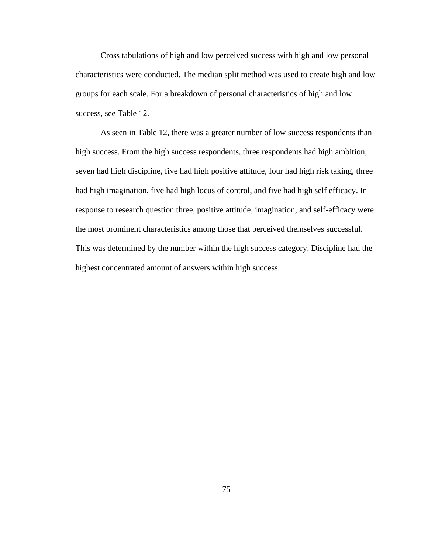Cross tabulations of high and low perceived success with high and low personal characteristics were conducted. The median split method was used to create high and low groups for each scale. For a breakdown of personal characteristics of high and low success, see Table 12.

 As seen in Table 12, there was a greater number of low success respondents than high success. From the high success respondents, three respondents had high ambition, seven had high discipline, five had high positive attitude, four had high risk taking, three had high imagination, five had high locus of control, and five had high self efficacy. In response to research question three, positive attitude, imagination, and self-efficacy were the most prominent characteristics among those that perceived themselves successful. This was determined by the number within the high success category. Discipline had the highest concentrated amount of answers within high success.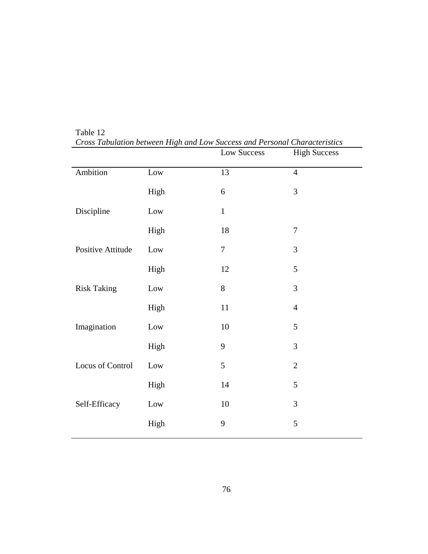|                    |      | Low Success    | <b>High Success</b> |
|--------------------|------|----------------|---------------------|
| Ambition           | Low  | 13             | $\overline{4}$      |
|                    | High | 6              | 3                   |
| Discipline         | Low  | $\mathbf{1}$   |                     |
|                    | High | $18\,$         | $\boldsymbol{7}$    |
| Positive Attitude  | Low  | $\overline{7}$ | 3                   |
|                    | High | 12             | 5                   |
| <b>Risk Taking</b> | Low  | 8              | 3                   |
|                    | High | 11             | $\overline{4}$      |
| Imagination        | Low  | $10\,$         | $\mathfrak s$       |
|                    | High | 9              | 3                   |
| Locus of Control   | Low  | 5              | $\mathbf{2}$        |
|                    | High | 14             | 5                   |
| Self-Efficacy      | Low  | $10\,$         | 3                   |
|                    | High | 9              | 5                   |
|                    |      |                |                     |

Table 12 *Cross Tabulation between High and Low Success and Personal Characteristics*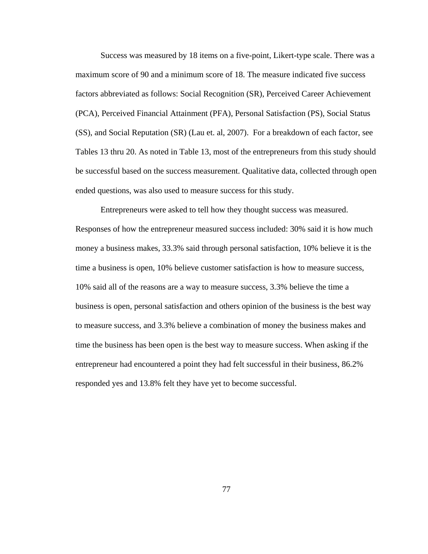Success was measured by 18 items on a five-point, Likert-type scale. There was a maximum score of 90 and a minimum score of 18. The measure indicated five success factors abbreviated as follows: Social Recognition (SR), Perceived Career Achievement (PCA), Perceived Financial Attainment (PFA), Personal Satisfaction (PS), Social Status (SS), and Social Reputation (SR) (Lau et. al, 2007). For a breakdown of each factor, see Tables 13 thru 20. As noted in Table 13, most of the entrepreneurs from this study should be successful based on the success measurement. Qualitative data, collected through open ended questions, was also used to measure success for this study.

Entrepreneurs were asked to tell how they thought success was measured. Responses of how the entrepreneur measured success included: 30% said it is how much money a business makes, 33.3% said through personal satisfaction, 10% believe it is the time a business is open, 10% believe customer satisfaction is how to measure success, 10% said all of the reasons are a way to measure success, 3.3% believe the time a business is open, personal satisfaction and others opinion of the business is the best way to measure success, and 3.3% believe a combination of money the business makes and time the business has been open is the best way to measure success. When asking if the entrepreneur had encountered a point they had felt successful in their business, 86.2% responded yes and 13.8% felt they have yet to become successful.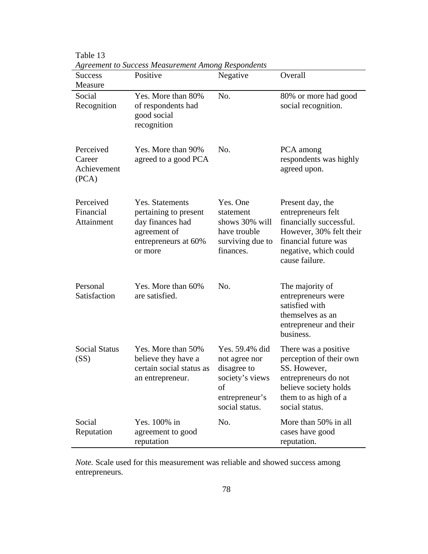| <b>Success</b><br>Measure                   | Agreement to Success Measurement Among Respondents<br>Positive                                                  | Negative                                                                                                    | Overall                                                                                                                                                         |
|---------------------------------------------|-----------------------------------------------------------------------------------------------------------------|-------------------------------------------------------------------------------------------------------------|-----------------------------------------------------------------------------------------------------------------------------------------------------------------|
| Social<br>Recognition                       | Yes. More than 80%<br>of respondents had<br>good social<br>recognition                                          | No.                                                                                                         | 80% or more had good<br>social recognition.                                                                                                                     |
| Perceived<br>Career<br>Achievement<br>(PCA) | Yes. More than 90%<br>agreed to a good PCA                                                                      | No.                                                                                                         | PCA among<br>respondents was highly<br>agreed upon.                                                                                                             |
| Perceived<br>Financial<br>Attainment        | Yes. Statements<br>pertaining to present<br>day finances had<br>agreement of<br>entrepreneurs at 60%<br>or more | Yes. One<br>statement<br>shows 30% will<br>have trouble<br>surviving due to<br>finances.                    | Present day, the<br>entrepreneurs felt<br>financially successful.<br>However, 30% felt their<br>financial future was<br>negative, which could<br>cause failure. |
| Personal<br>Satisfaction                    | Yes. More than 60%<br>are satisfied.                                                                            | No.                                                                                                         | The majority of<br>entrepreneurs were<br>satisfied with<br>themselves as an<br>entrepreneur and their<br>business.                                              |
| <b>Social Status</b><br>(SS)                | Yes. More than 50%<br>believe they have a<br>certain social status as<br>an entrepreneur.                       | Yes. 59.4% did<br>not agree nor<br>disagree to<br>society's views<br>οf<br>entrepreneur's<br>social status. | There was a positive.<br>perception of their own<br>SS. However,<br>entrepreneurs do not<br>believe society holds<br>them to as high of a<br>social status.     |
| Social<br>Reputation                        | Yes. 100% in<br>agreement to good<br>reputation                                                                 | No.                                                                                                         | More than 50% in all<br>cases have good<br>reputation.                                                                                                          |

Table 13<br>Agreement to Su *Agreement to Success Measurement Among Respondents*

*Note.* Scale used for this measurement was reliable and showed success among entrepreneurs.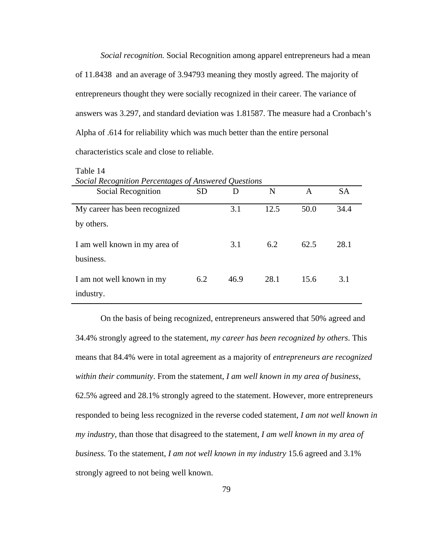*Social recognition.* Social Recognition among apparel entrepreneurs had a mean of 11.8438 and an average of 3.94793 meaning they mostly agreed. The majority of entrepreneurs thought they were socially recognized in their career. The variance of answers was 3.297, and standard deviation was 1.81587. The measure had a Cronbach's Alpha of .614 for reliability which was much better than the entire personal characteristics scale and close to reliable.

| Social Recognition Percentages of Answered Questions |           |      |      |      |           |
|------------------------------------------------------|-----------|------|------|------|-----------|
| Social Recognition                                   | <b>SD</b> | D    | N    | A    | <b>SA</b> |
| My career has been recognized<br>by others.          |           | 3.1  | 12.5 | 50.0 | 34.4      |
| I am well known in my area of<br>business.           |           | 3.1  | 6.2  | 62.5 | 28.1      |
| I am not well known in my<br>industry.               | 6.2       | 46.9 | 28.1 | 15.6 | 3.1       |

Table 14

On the basis of being recognized, entrepreneurs answered that 50% agreed and 34.4% strongly agreed to the statement, *my career has been recognized by others*. This means that 84.4% were in total agreement as a majority of *entrepreneurs are recognized within their community*. From the statement, *I am well known in my area of business*, 62.5% agreed and 28.1% strongly agreed to the statement. However, more entrepreneurs responded to being less recognized in the reverse coded statement, *I am not well known in my industry,* than those that disagreed to the statement, *I am well known in my area of business.* To the statement, *I am not well known in my industry* 15.6 agreed and 3.1% strongly agreed to not being well known.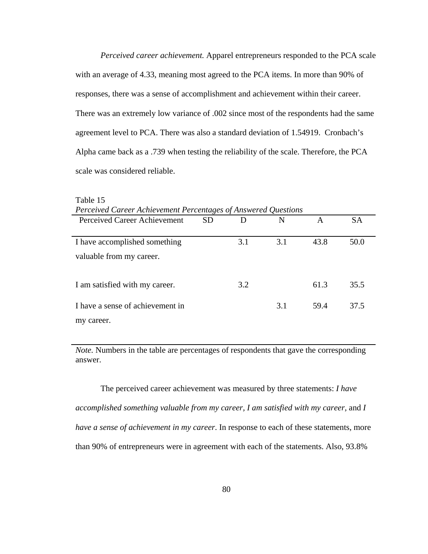*Perceived career achievement.* Apparel entrepreneurs responded to the PCA scale with an average of 4.33, meaning most agreed to the PCA items. In more than 90% of responses, there was a sense of accomplishment and achievement within their career. There was an extremely low variance of .002 since most of the respondents had the same agreement level to PCA. There was also a standard deviation of 1.54919. Cronbach's Alpha came back as a .739 when testing the reliability of the scale. Therefore, the PCA scale was considered reliable.

| Perceived Career Achievement Percentages of Answered Questions |           |     |     |      |           |
|----------------------------------------------------------------|-----------|-----|-----|------|-----------|
| Perceived Career Achievement                                   | <b>SD</b> | D   | N   | A    | <b>SA</b> |
|                                                                |           |     |     |      |           |
| I have accomplished something                                  |           | 3.1 | 3.1 | 43.8 | 50.0      |
| valuable from my career.                                       |           |     |     |      |           |
| I am satisfied with my career.                                 |           | 3.2 |     | 61.3 | 35.5      |
| I have a sense of achievement in                               |           |     | 3.1 | 59.4 | 37.5      |
| my career.                                                     |           |     |     |      |           |

Table 15

*Note.* Numbers in the table are percentages of respondents that gave the corresponding answer.

The perceived career achievement was measured by three statements: *I have accomplished something valuable from my career, I am satisfied with my career,* and *I have a sense of achievement in my career*. In response to each of these statements, more than 90% of entrepreneurs were in agreement with each of the statements. Also, 93.8%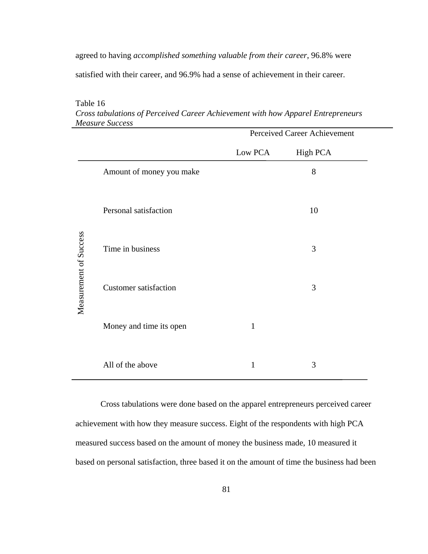agreed to having *accomplished something valuable from their career*, 96.8% were

satisfied with their career, and 96.9% had a sense of achievement in their career.

|                        |                              | Perceived Career Achievement |                 |  |  |
|------------------------|------------------------------|------------------------------|-----------------|--|--|
|                        |                              | Low PCA                      | <b>High PCA</b> |  |  |
|                        | Amount of money you make     |                              | 8               |  |  |
|                        | Personal satisfaction        |                              | 10              |  |  |
| Measurement of Success | Time in business             |                              | 3               |  |  |
|                        | <b>Customer satisfaction</b> |                              | 3               |  |  |
|                        | Money and time its open      | $\mathbf{1}$                 |                 |  |  |
|                        | All of the above             | $\mathbf{1}$                 | 3               |  |  |

Table 16 *Cross tabulations of Perceived Career Achievement with how Apparel Entrepreneurs Measure Success* 

Cross tabulations were done based on the apparel entrepreneurs perceived career achievement with how they measure success. Eight of the respondents with high PCA measured success based on the amount of money the business made, 10 measured it based on personal satisfaction, three based it on the amount of time the business had been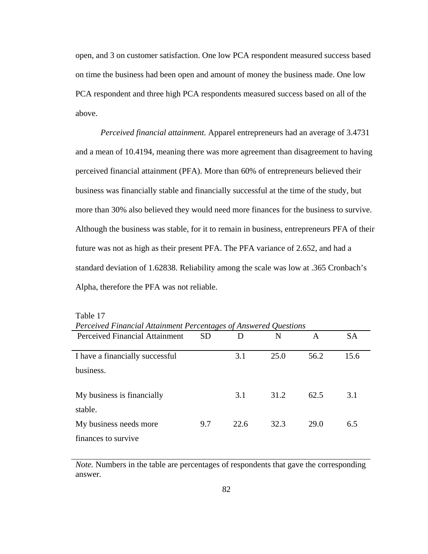open, and 3 on customer satisfaction. One low PCA respondent measured success based on time the business had been open and amount of money the business made. One low PCA respondent and three high PCA respondents measured success based on all of the above.

*Perceived financial attainment.* Apparel entrepreneurs had an average of 3.4731 and a mean of 10.4194, meaning there was more agreement than disagreement to having perceived financial attainment (PFA). More than 60% of entrepreneurs believed their business was financially stable and financially successful at the time of the study, but more than 30% also believed they would need more finances for the business to survive. Although the business was stable, for it to remain in business, entrepreneurs PFA of their future was not as high as their present PFA. The PFA variance of 2.652, and had a standard deviation of 1.62838. Reliability among the scale was low at .365 Cronbach's Alpha, therefore the PFA was not reliable.

| Terceived Pinancial Allamment Percentages of Answered Questions |     |      |      |      |           |
|-----------------------------------------------------------------|-----|------|------|------|-----------|
| Perceived Financial Attainment                                  | SD  | D    | N    | A    | <b>SA</b> |
|                                                                 |     |      |      |      |           |
| I have a financially successful                                 |     | 3.1  | 25.0 | 56.2 | 15.6      |
| business.                                                       |     |      |      |      |           |
| My business is financially                                      |     | 3.1  | 31.2 | 62.5 | 3.1       |
| stable.                                                         |     |      |      |      |           |
| My business needs more                                          | 9.7 | 22.6 | 32.3 | 29.0 | 6.5       |
| finances to survive                                             |     |      |      |      |           |

Table 17 *Perceived Financial Attainment Percentages of Answered Questions* 

*Note.* Numbers in the table are percentages of respondents that gave the corresponding answer.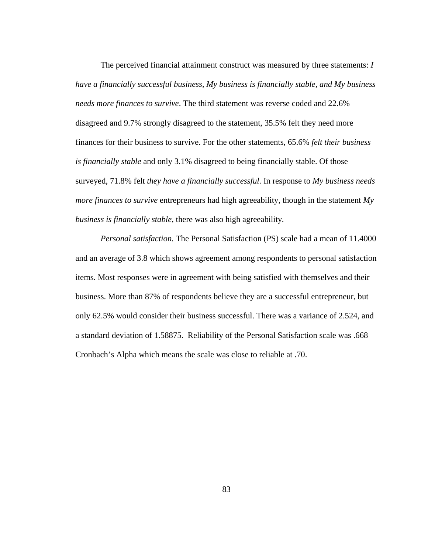The perceived financial attainment construct was measured by three statements: *I have a financially successful business, My business is financially stable, and My business needs more finances to survive*. The third statement was reverse coded and 22.6% disagreed and 9.7% strongly disagreed to the statement, 35.5% felt they need more finances for their business to survive. For the other statements, 65.6% *felt their business is financially stable* and only 3.1% disagreed to being financially stable. Of those surveyed, 71.8% felt *they have a financially successful*. In response to *My business needs more finances to survive* entrepreneurs had high agreeability, though in the statement *My business is financially stable,* there was also high agreeability*.* 

*Personal satisfaction.* The Personal Satisfaction (PS) scale had a mean of 11.4000 and an average of 3.8 which shows agreement among respondents to personal satisfaction items. Most responses were in agreement with being satisfied with themselves and their business. More than 87% of respondents believe they are a successful entrepreneur, but only 62.5% would consider their business successful. There was a variance of 2.524, and a standard deviation of 1.58875. Reliability of the Personal Satisfaction scale was .668 Cronbach's Alpha which means the scale was close to reliable at .70.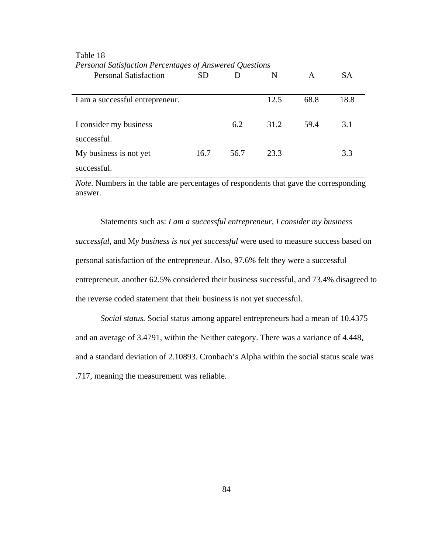| Tersonal Salisfaction Fercentages of Answered Ouestions |           |      |      |      |           |
|---------------------------------------------------------|-----------|------|------|------|-----------|
| <b>Personal Satisfaction</b>                            | <b>SD</b> | D    | N    | A    | <b>SA</b> |
| I am a successful entrepreneur.                         |           |      | 12.5 | 68.8 | 18.8      |
| I consider my business<br>successful.                   |           | 6.2  | 31.2 | 59.4 | 3.1       |
| My business is not yet                                  | 16.7      | 56.7 | 23.3 |      | 3.3       |
| successful.                                             |           |      |      |      |           |

# Table 18 *Personal Satisfaction Percentages of Answered Questions*

*Note.* Numbers in the table are percentages of respondents that gave the corresponding answer.

Statements such as: *I am a successful entrepreneur, I consider my business successful*, and M*y business is not yet successful* were used to measure success based on personal satisfaction of the entrepreneur. Also, 97.6% felt they were a successful entrepreneur, another 62.5% considered their business successful, and 73.4% disagreed to the reverse coded statement that their business is not yet successful.

*Social status.* Social status among apparel entrepreneurs had a mean of 10.4375 and an average of 3.4791, within the Neither category. There was a variance of 4.448, and a standard deviation of 2.10893. Cronbach's Alpha within the social status scale was .717, meaning the measurement was reliable.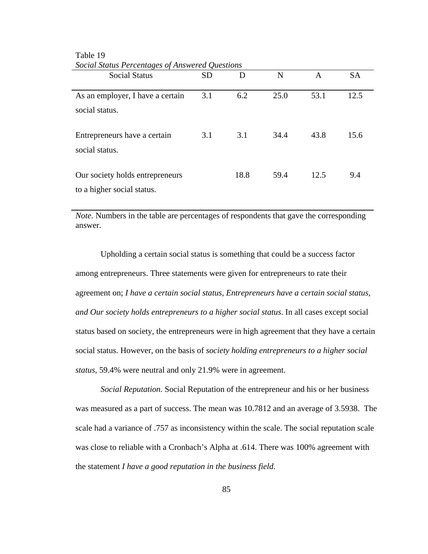| bocial bians I creeninges of thiswered Questions<br><b>Social Status</b> | <b>SD</b> | D    | N    | A    | <b>SA</b> |
|--------------------------------------------------------------------------|-----------|------|------|------|-----------|
| As an employer, I have a certain<br>social status.                       | 3.1       | 6.2  | 25.0 | 53.1 | 12.5      |
| Entrepreneurs have a certain<br>social status.                           | 3.1       | 3.1  | 34.4 | 43.8 | 15.6      |
| Our society holds entrepreneurs<br>to a higher social status.            |           | 18.8 | 59.4 | 12.5 | 9.4       |

Table 19 *Social Status Percentages of Answered Questions* 

*Note.* Numbers in the table are percentages of respondents that gave the corresponding answer.

Upholding a certain social status is something that could be a success factor among entrepreneurs. Three statements were given for entrepreneurs to rate their agreement on; *I have a certain social status, Entrepreneurs have a certain social status, and Our society holds entrepreneurs to a higher social status*. In all cases except social status based on society, the entrepreneurs were in high agreement that they have a certain social status. However, on the basis of *society holding entrepreneurs to a higher social status,* 59.4% were neutral and only 21.9% were in agreement.

*Social Reputation.* Social Reputation of the entrepreneur and his or her business was measured as a part of success. The mean was 10.7812 and an average of 3.5938. The scale had a variance of .757 as inconsistency within the scale. The social reputation scale was close to reliable with a Cronbach's Alpha at .614. There was 100% agreement with the statement *I have a good reputation in the business field*.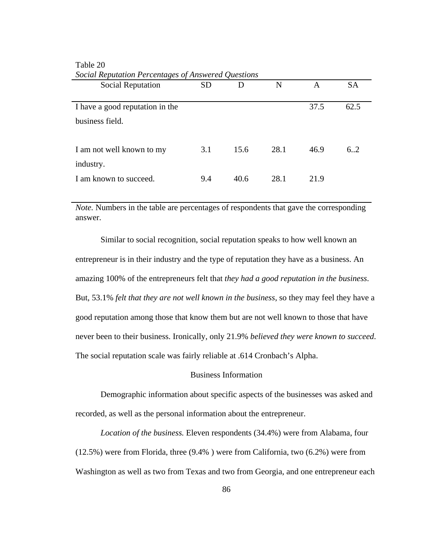| Social Reputation Percentages of Answered Questions |           |      |      |      |           |
|-----------------------------------------------------|-----------|------|------|------|-----------|
| Social Reputation                                   | <b>SD</b> | D    | N    | A    | <b>SA</b> |
|                                                     |           |      |      |      |           |
| I have a good reputation in the                     |           |      |      | 37.5 | 62.5      |
| business field.                                     |           |      |      |      |           |
|                                                     |           |      |      |      |           |
| I am not well known to my                           | 3.1       | 15.6 | 28.1 | 46.9 | 6.2       |
| industry.                                           |           |      |      |      |           |
| I am known to succeed.                              | 9.4       | 40.6 | 28.1 | 21.9 |           |
|                                                     |           |      |      |      |           |

Table 20 *Social Reputation Percentages of Answered Questions* 

*Note.* Numbers in the table are percentages of respondents that gave the corresponding answer.

Similar to social recognition, social reputation speaks to how well known an entrepreneur is in their industry and the type of reputation they have as a business. An amazing 100% of the entrepreneurs felt that *they had a good reputation in the business*. But, 53.1% *felt that they are not well known in the business*, so they may feel they have a good reputation among those that know them but are not well known to those that have never been to their business. Ironically, only 21.9% *believed they were known to succeed*. The social reputation scale was fairly reliable at .614 Cronbach's Alpha.

# Business Information

 Demographic information about specific aspects of the businesses was asked and recorded, as well as the personal information about the entrepreneur.

*Location of the business.* Eleven respondents (34.4%) were from Alabama, four (12.5%) were from Florida, three (9.4% ) were from California, two (6.2%) were from Washington as well as two from Texas and two from Georgia, and one entrepreneur each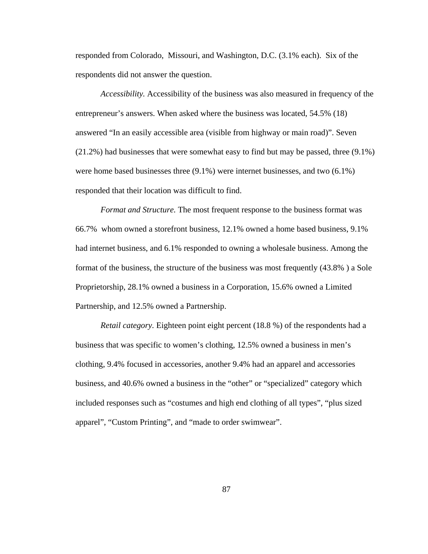responded from Colorado, Missouri, and Washington, D.C. (3.1% each). Six of the respondents did not answer the question.

*Accessibility.* Accessibility of the business was also measured in frequency of the entrepreneur's answers. When asked where the business was located, 54.5% (18) answered "In an easily accessible area (visible from highway or main road)". Seven (21.2%) had businesses that were somewhat easy to find but may be passed, three (9.1%) were home based businesses three (9.1%) were internet businesses, and two (6.1%) responded that their location was difficult to find.

*Format and Structure.* The most frequent response to the business format was 66.7% whom owned a storefront business, 12.1% owned a home based business, 9.1% had internet business, and 6.1% responded to owning a wholesale business. Among the format of the business, the structure of the business was most frequently (43.8% ) a Sole Proprietorship, 28.1% owned a business in a Corporation, 15.6% owned a Limited Partnership, and 12.5% owned a Partnership.

*Retail category.* Eighteen point eight percent (18.8 %) of the respondents had a business that was specific to women's clothing, 12.5% owned a business in men's clothing, 9.4% focused in accessories, another 9.4% had an apparel and accessories business, and 40.6% owned a business in the "other" or "specialized" category which included responses such as "costumes and high end clothing of all types", "plus sized apparel", "Custom Printing", and "made to order swimwear".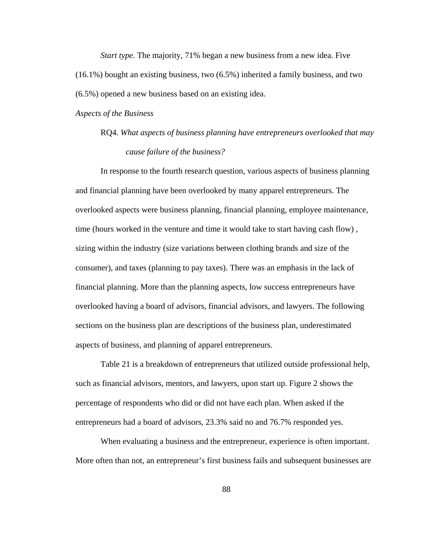*Start type.* The majority, 71% began a new business from a new idea. Five (16.1%) bought an existing business, two (6.5%) inherited a family business, and two (6.5%) opened a new business based on an existing idea.

### *Aspects of the Business*

# RQ4. *What aspects of business planning have entrepreneurs overlooked that may cause failure of the business?*

In response to the fourth research question, various aspects of business planning and financial planning have been overlooked by many apparel entrepreneurs. The overlooked aspects were business planning, financial planning, employee maintenance, time (hours worked in the venture and time it would take to start having cash flow) , sizing within the industry (size variations between clothing brands and size of the consumer), and taxes (planning to pay taxes). There was an emphasis in the lack of financial planning. More than the planning aspects, low success entrepreneurs have overlooked having a board of advisors, financial advisors, and lawyers. The following sections on the business plan are descriptions of the business plan, underestimated aspects of business, and planning of apparel entrepreneurs.

Table 21 is a breakdown of entrepreneurs that utilized outside professional help, such as financial advisors, mentors, and lawyers, upon start up. Figure 2 shows the percentage of respondents who did or did not have each plan. When asked if the entrepreneurs had a board of advisors, 23.3% said no and 76.7% responded yes.

When evaluating a business and the entrepreneur, experience is often important. More often than not, an entrepreneur's first business fails and subsequent businesses are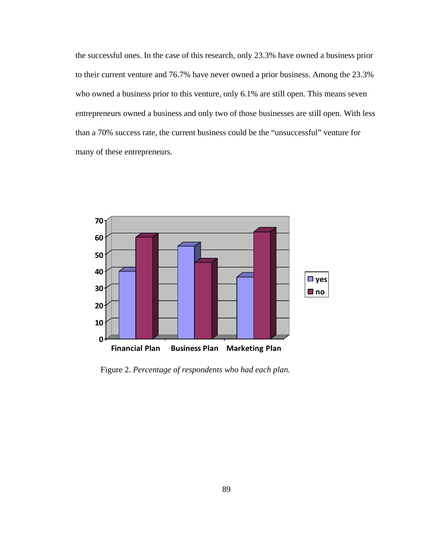the successful ones. In the case of this research, only 23.3% have owned a business prior to their current venture and 76.7% have never owned a prior business. Among the 23.3% who owned a business prior to this venture, only 6.1% are still open. This means seven entrepreneurs owned a business and only two of those businesses are still open. With less than a 70% success rate, the current business could be the "unsuccessful" venture for many of these entrepreneurs.



Figure 2. *Percentage of respondents who had each plan.*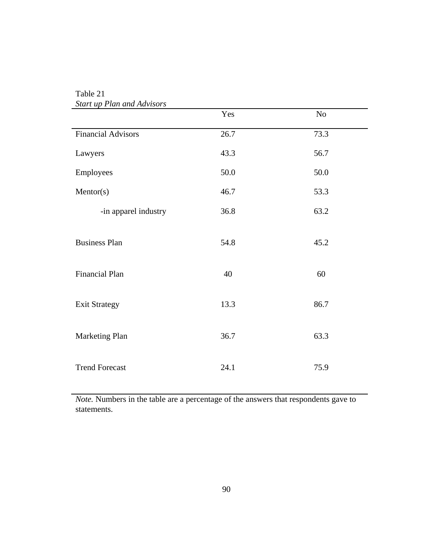| <b>Start up Plan and Advisors</b> |      |      |  |
|-----------------------------------|------|------|--|
|                                   | Yes  | No   |  |
| <b>Financial Advisors</b>         | 26.7 | 73.3 |  |
| Lawyers                           | 43.3 | 56.7 |  |
| Employees                         | 50.0 | 50.0 |  |
| Mentor(s)                         | 46.7 | 53.3 |  |
| -in apparel industry              | 36.8 | 63.2 |  |
| <b>Business Plan</b>              | 54.8 | 45.2 |  |
| Financial Plan                    | 40   | 60   |  |
| <b>Exit Strategy</b>              | 13.3 | 86.7 |  |
| Marketing Plan                    | 36.7 | 63.3 |  |
| <b>Trend Forecast</b>             | 24.1 | 75.9 |  |

Table 21

*Note.* Numbers in the table are a percentage of the answers that respondents gave to statements.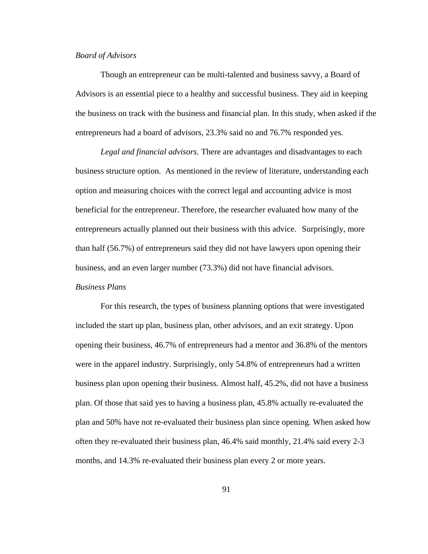### *Board of Advisors*

Though an entrepreneur can be multi-talented and business savvy, a Board of Advisors is an essential piece to a healthy and successful business. They aid in keeping the business on track with the business and financial plan. In this study, when asked if the entrepreneurs had a board of advisors, 23.3% said no and 76.7% responded yes.

*Legal and financial advisors.* There are advantages and disadvantages to each business structure option. As mentioned in the review of literature, understanding each option and measuring choices with the correct legal and accounting advice is most beneficial for the entrepreneur. Therefore, the researcher evaluated how many of the entrepreneurs actually planned out their business with this advice. Surprisingly, more than half (56.7%) of entrepreneurs said they did not have lawyers upon opening their business, and an even larger number (73.3%) did not have financial advisors. *Business Plans* 

For this research, the types of business planning options that were investigated included the start up plan, business plan, other advisors, and an exit strategy. Upon opening their business, 46.7% of entrepreneurs had a mentor and 36.8% of the mentors were in the apparel industry. Surprisingly, only 54.8% of entrepreneurs had a written business plan upon opening their business. Almost half, 45.2%, did not have a business plan. Of those that said yes to having a business plan, 45.8% actually re-evaluated the plan and 50% have not re-evaluated their business plan since opening. When asked how often they re-evaluated their business plan, 46.4% said monthly, 21.4% said every 2-3 months, and 14.3% re-evaluated their business plan every 2 or more years.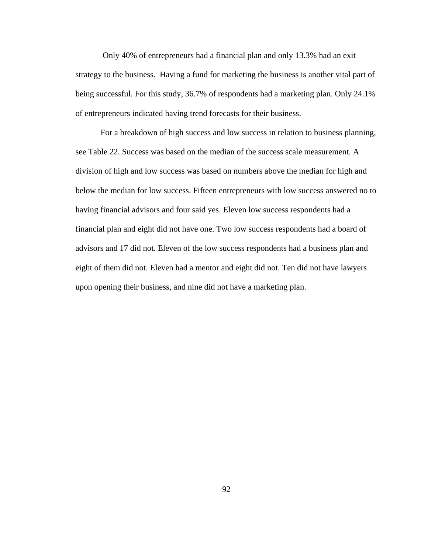Only 40% of entrepreneurs had a financial plan and only 13.3% had an exit strategy to the business. Having a fund for marketing the business is another vital part of being successful. For this study, 36.7% of respondents had a marketing plan. Only 24.1% of entrepreneurs indicated having trend forecasts for their business.

For a breakdown of high success and low success in relation to business planning, see Table 22. Success was based on the median of the success scale measurement. A division of high and low success was based on numbers above the median for high and below the median for low success. Fifteen entrepreneurs with low success answered no to having financial advisors and four said yes. Eleven low success respondents had a financial plan and eight did not have one. Two low success respondents had a board of advisors and 17 did not. Eleven of the low success respondents had a business plan and eight of them did not. Eleven had a mentor and eight did not. Ten did not have lawyers upon opening their business, and nine did not have a marketing plan.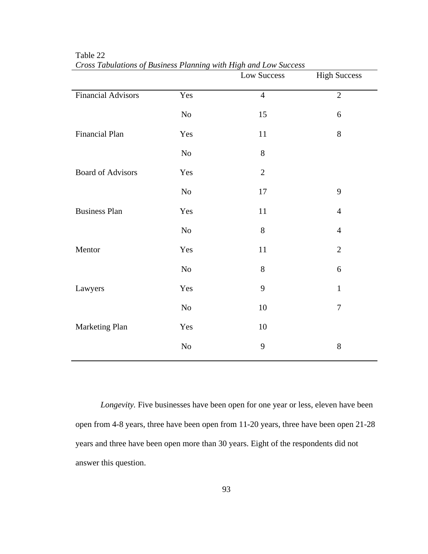|                           |     | Low Success    | <b>High Success</b> |
|---------------------------|-----|----------------|---------------------|
| <b>Financial Advisors</b> | Yes | $\overline{4}$ | $\overline{2}$      |
|                           | No  | 15             | 6                   |
| <b>Financial Plan</b>     | Yes | 11             | 8                   |
|                           | No  | $8\,$          |                     |
| <b>Board of Advisors</b>  | Yes | $\overline{2}$ |                     |
|                           | No  | 17             | 9                   |
| <b>Business Plan</b>      | Yes | $11\,$         | $\overline{4}$      |
|                           | No  | $8\,$          | $\overline{4}$      |
| Mentor                    | Yes | $11\,$         | $\overline{2}$      |
|                           | No  | 8              | 6                   |
| Lawyers                   | Yes | 9              | $\mathbf{1}$        |
|                           | No  | 10             | $\boldsymbol{7}$    |
| Marketing Plan            | Yes | 10             |                     |
|                           | No  | 9              | 8                   |

Table 22 *Cross Tabulations of Business Planning with High and Low Success* 

*Longevity*. Five businesses have been open for one year or less, eleven have been open from 4-8 years, three have been open from 11-20 years, three have been open 21-28 years and three have been open more than 30 years. Eight of the respondents did not answer this question.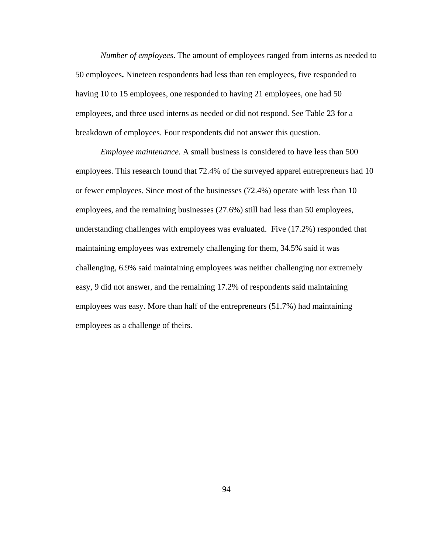*Number of employees*. The amount of employees ranged from interns as needed to 50 employees**.** Nineteen respondents had less than ten employees, five responded to having 10 to 15 employees, one responded to having 21 employees, one had 50 employees, and three used interns as needed or did not respond. See Table 23 for a breakdown of employees. Four respondents did not answer this question.

*Employee maintenance.* A small business is considered to have less than 500 employees. This research found that 72.4% of the surveyed apparel entrepreneurs had 10 or fewer employees. Since most of the businesses (72.4%) operate with less than 10 employees, and the remaining businesses (27.6%) still had less than 50 employees, understanding challenges with employees was evaluated. Five (17.2%) responded that maintaining employees was extremely challenging for them, 34.5% said it was challenging, 6.9% said maintaining employees was neither challenging nor extremely easy, 9 did not answer, and the remaining 17.2% of respondents said maintaining employees was easy. More than half of the entrepreneurs (51.7%) had maintaining employees as a challenge of theirs.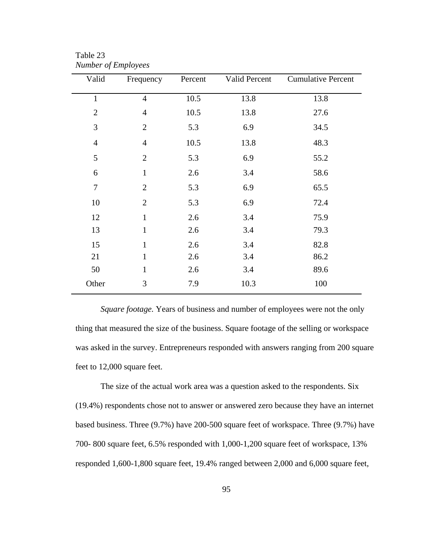| Valid          | Frequency      | Percent | Valid Percent | <b>Cumulative Percent</b> |
|----------------|----------------|---------|---------------|---------------------------|
| $\mathbf{1}$   | $\overline{4}$ | 10.5    | 13.8          | 13.8                      |
| $\overline{2}$ | $\overline{4}$ | 10.5    | 13.8          | 27.6                      |
| 3              | $\overline{2}$ | 5.3     | 6.9           | 34.5                      |
| $\overline{4}$ | $\overline{4}$ | 10.5    | 13.8          | 48.3                      |
| 5              | $\overline{2}$ | 5.3     | 6.9           | 55.2                      |
| 6              | $\mathbf{1}$   | 2.6     | 3.4           | 58.6                      |
| $\overline{7}$ | $\overline{2}$ | 5.3     | 6.9           | 65.5                      |
| 10             | $\overline{2}$ | 5.3     | 6.9           | 72.4                      |
| 12             | $\mathbf{1}$   | 2.6     | 3.4           | 75.9                      |
| 13             | $\mathbf{1}$   | 2.6     | 3.4           | 79.3                      |
| 15             | $\mathbf{1}$   | 2.6     | 3.4           | 82.8                      |
| 21             | $\mathbf{1}$   | 2.6     | 3.4           | 86.2                      |
| 50             | $\mathbf{1}$   | 2.6     | 3.4           | 89.6                      |
| Other          | 3              | 7.9     | 10.3          | 100                       |

Table 23 *Number of Employees* 

*Square footage.* Years of business and number of employees were not the only thing that measured the size of the business. Square footage of the selling or workspace was asked in the survey. Entrepreneurs responded with answers ranging from 200 square feet to 12,000 square feet.

The size of the actual work area was a question asked to the respondents. Six (19.4%) respondents chose not to answer or answered zero because they have an internet based business. Three (9.7%) have 200-500 square feet of workspace. Three (9.7%) have 700- 800 square feet, 6.5% responded with 1,000-1,200 square feet of workspace, 13% responded 1,600-1,800 square feet, 19.4% ranged between 2,000 and 6,000 square feet,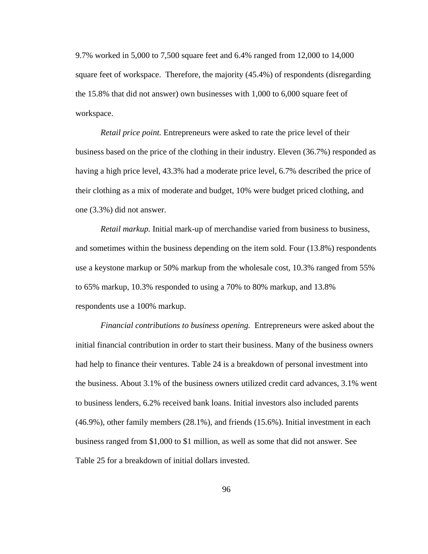9.7% worked in 5,000 to 7,500 square feet and 6.4% ranged from 12,000 to 14,000 square feet of workspace. Therefore, the majority (45.4%) of respondents (disregarding the 15.8% that did not answer) own businesses with 1,000 to 6,000 square feet of workspace.

*Retail price point.* Entrepreneurs were asked to rate the price level of their business based on the price of the clothing in their industry. Eleven (36.7%) responded as having a high price level, 43.3% had a moderate price level, 6.7% described the price of their clothing as a mix of moderate and budget, 10% were budget priced clothing, and one (3.3%) did not answer.

*Retail markup.* Initial mark-up of merchandise varied from business to business, and sometimes within the business depending on the item sold. Four (13.8%) respondents use a keystone markup or 50% markup from the wholesale cost, 10.3% ranged from 55% to 65% markup, 10.3% responded to using a 70% to 80% markup, and 13.8% respondents use a 100% markup.

*Financial contributions to business opening.* Entrepreneurs were asked about the initial financial contribution in order to start their business. Many of the business owners had help to finance their ventures. Table 24 is a breakdown of personal investment into the business. About 3.1% of the business owners utilized credit card advances, 3.1% went to business lenders, 6.2% received bank loans. Initial investors also included parents (46.9%), other family members (28.1%), and friends (15.6%). Initial investment in each business ranged from \$1,000 to \$1 million, as well as some that did not answer. See Table 25 for a breakdown of initial dollars invested.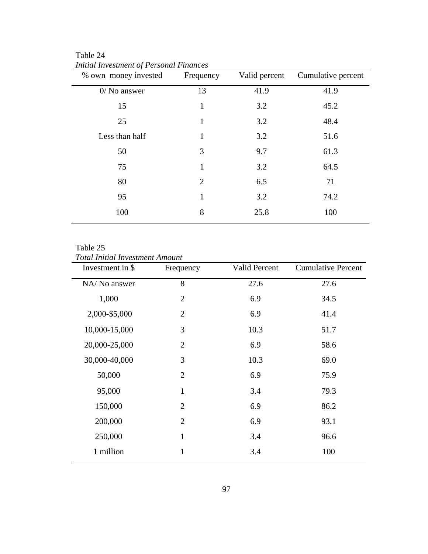Table 24 *Initial Investment of Personal Finances* 

| Frequency      | Valid percent | Cumulative percent |
|----------------|---------------|--------------------|
| 13             | 41.9          | 41.9               |
| $\mathbf{1}$   | 3.2           | 45.2               |
| $\mathbf{1}$   | 3.2           | 48.4               |
| 1              | 3.2           | 51.6               |
| 3              | 9.7           | 61.3               |
| 1              | 3.2           | 64.5               |
| $\overline{2}$ | 6.5           | 71                 |
| 1              | 3.2           | 74.2               |
| 8              | 25.8          | 100                |
|                |               |                    |

# Table 25

*Total Initial Investment Amount* 

| Investment in \$ | Frequency      | <b>Valid Percent</b> | <b>Cumulative Percent</b> |
|------------------|----------------|----------------------|---------------------------|
| NA/ No answer    | 8              | 27.6                 | 27.6                      |
| 1,000            | $\overline{2}$ | 6.9                  | 34.5                      |
| 2,000-\$5,000    | $\overline{2}$ | 6.9                  | 41.4                      |
| 10,000-15,000    | 3              | 10.3                 | 51.7                      |
| 20,000-25,000    | $\overline{2}$ | 6.9                  | 58.6                      |
| 30,000-40,000    | 3              | 10.3                 | 69.0                      |
| 50,000           | $\overline{2}$ | 6.9                  | 75.9                      |
| 95,000           | $\mathbf{1}$   | 3.4                  | 79.3                      |
| 150,000          | $\overline{2}$ | 6.9                  | 86.2                      |
| 200,000          | $\overline{2}$ | 6.9                  | 93.1                      |
| 250,000          | $\mathbf{1}$   | 3.4                  | 96.6                      |
| 1 million        | $\mathbf{1}$   | 3.4                  | 100                       |
|                  |                |                      |                           |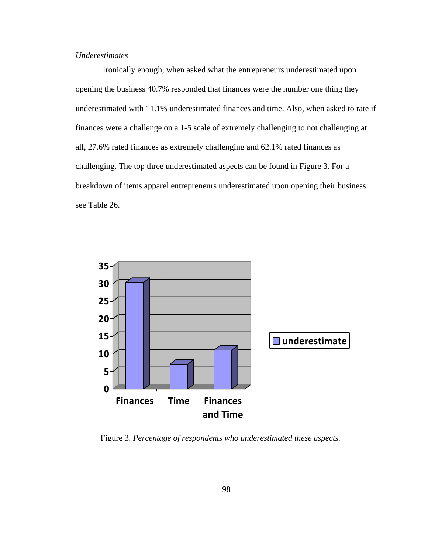# *Underestimates*

 Ironically enough, when asked what the entrepreneurs underestimated upon opening the business 40.7% responded that finances were the number one thing they underestimated with 11.1% underestimated finances and time. Also, when asked to rate if finances were a challenge on a 1-5 scale of extremely challenging to not challenging at all, 27.6% rated finances as extremely challenging and 62.1% rated finances as challenging. The top three underestimated aspects can be found in Figure 3. For a breakdown of items apparel entrepreneurs underestimated upon opening their business see Table 26.



Figure 3. *Percentage of respondents who underestimated these aspects.*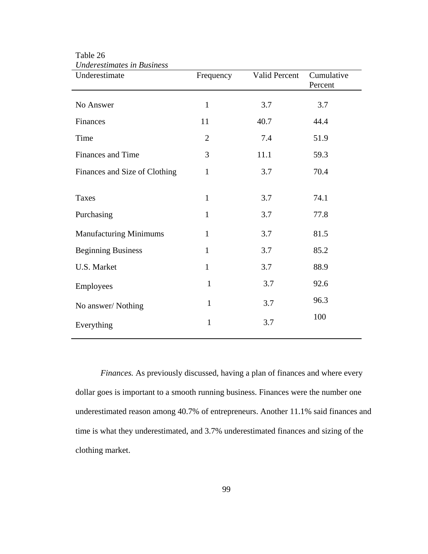| raci communes in Dustriess<br>Underestimate | Frequency    | Valid Percent | Cumulative<br>Percent |
|---------------------------------------------|--------------|---------------|-----------------------|
| No Answer                                   | $\mathbf{1}$ | 3.7           | 3.7                   |
| Finances                                    | 11           | 40.7          | 44.4                  |
| Time                                        | $\mathbf{2}$ | 7.4           | 51.9                  |
| Finances and Time                           | 3            | 11.1          | 59.3                  |
| Finances and Size of Clothing               | $\mathbf{1}$ | 3.7           | 70.4                  |
| <b>Taxes</b>                                | $\mathbf{1}$ | 3.7           | 74.1                  |
| Purchasing                                  | $\mathbf{1}$ | 3.7           | 77.8                  |
| <b>Manufacturing Minimums</b>               | $\mathbf{1}$ | 3.7           | 81.5                  |
| <b>Beginning Business</b>                   | $\mathbf{1}$ | 3.7           | 85.2                  |
| U.S. Market                                 | $\mathbf{1}$ | 3.7           | 88.9                  |
| Employees                                   | $\mathbf{1}$ | 3.7           | 92.6                  |
| No answer/Nothing                           | $\mathbf{1}$ | 3.7           | 96.3                  |
| Everything                                  | $\mathbf{1}$ | 3.7           | 100                   |

Table 26 *Underestimates in Business* 

*Finances.* As previously discussed, having a plan of finances and where every dollar goes is important to a smooth running business. Finances were the number one underestimated reason among 40.7% of entrepreneurs. Another 11.1% said finances and time is what they underestimated, and 3.7% underestimated finances and sizing of the clothing market.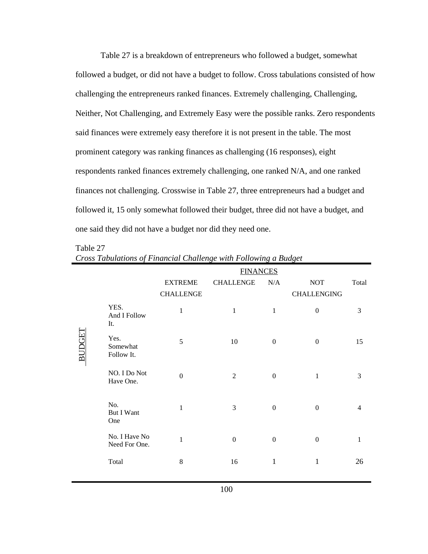Table 27 is a breakdown of entrepreneurs who followed a budget, somewhat followed a budget, or did not have a budget to follow. Cross tabulations consisted of how challenging the entrepreneurs ranked finances. Extremely challenging, Challenging, Neither, Not Challenging, and Extremely Easy were the possible ranks. Zero respondents said finances were extremely easy therefore it is not present in the table. The most prominent category was ranking finances as challenging (16 responses), eight respondents ranked finances extremely challenging, one ranked N/A, and one ranked finances not challenging. Crosswise in Table 27, three entrepreneurs had a budget and followed it, 15 only somewhat followed their budget, three did not have a budget, and one said they did not have a budget nor did they need one.

## Table 27

|        |                                 | <b>FINANCES</b>                    |                  |                  |                                  |              |
|--------|---------------------------------|------------------------------------|------------------|------------------|----------------------------------|--------------|
|        |                                 | <b>EXTREME</b><br><b>CHALLENGE</b> | <b>CHALLENGE</b> | N/A              | <b>NOT</b><br><b>CHALLENGING</b> | Total        |
| BUDGET | YES.<br>And I Follow<br>It.     | $\mathbf{1}$                       | $\mathbf{1}$     | $\mathbf{1}$     | $\boldsymbol{0}$                 | 3            |
|        | Yes.<br>Somewhat<br>Follow It.  | 5                                  | 10               | $\overline{0}$   | $\theta$                         | 15           |
|        | NO. I Do Not<br>Have One.       | $\theta$                           | 2                | $\boldsymbol{0}$ | $\mathbf{1}$                     | 3            |
|        | No.<br><b>But I Want</b><br>One | $\mathbf{1}$                       | $\mathfrak{Z}$   | $\boldsymbol{0}$ | $\Omega$                         | 4            |
|        | No. I Have No<br>Need For One.  | $\mathbf{1}$                       | $\boldsymbol{0}$ | $\boldsymbol{0}$ | $\mathbf{0}$                     | $\mathbf{1}$ |
|        | Total                           | $8\,$                              | 16               | $\mathbf{1}$     | $\mathbf{1}$                     | 26           |

*Cross Tabulations of Financial Challenge with Following a Budget*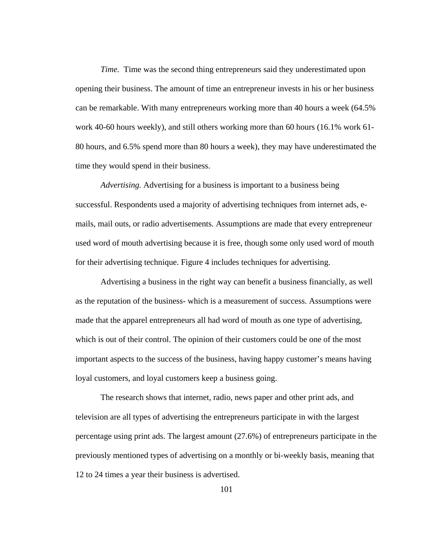*Time.* Time was the second thing entrepreneurs said they underestimated upon opening their business. The amount of time an entrepreneur invests in his or her business can be remarkable. With many entrepreneurs working more than 40 hours a week (64.5% work 40-60 hours weekly), and still others working more than 60 hours (16.1% work 61- 80 hours, and 6.5% spend more than 80 hours a week), they may have underestimated the time they would spend in their business.

*Advertising.* Advertising for a business is important to a business being successful. Respondents used a majority of advertising techniques from internet ads, emails, mail outs, or radio advertisements. Assumptions are made that every entrepreneur used word of mouth advertising because it is free, though some only used word of mouth for their advertising technique. Figure 4 includes techniques for advertising.

Advertising a business in the right way can benefit a business financially, as well as the reputation of the business- which is a measurement of success. Assumptions were made that the apparel entrepreneurs all had word of mouth as one type of advertising, which is out of their control. The opinion of their customers could be one of the most important aspects to the success of the business, having happy customer's means having loyal customers, and loyal customers keep a business going.

 The research shows that internet, radio, news paper and other print ads, and television are all types of advertising the entrepreneurs participate in with the largest percentage using print ads. The largest amount (27.6%) of entrepreneurs participate in the previously mentioned types of advertising on a monthly or bi-weekly basis, meaning that 12 to 24 times a year their business is advertised.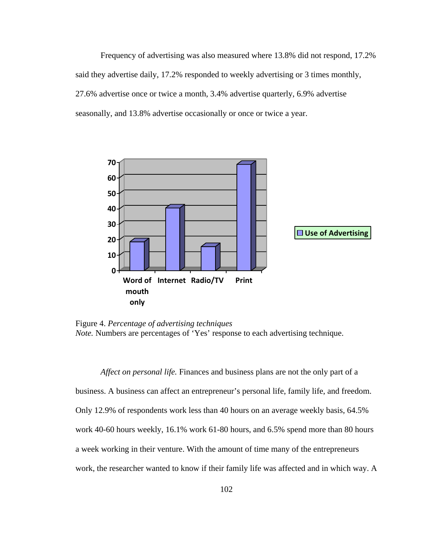Frequency of advertising was also measured where 13.8% did not respond, 17.2% said they advertise daily, 17.2% responded to weekly advertising or 3 times monthly, 27.6% advertise once or twice a month, 3.4% advertise quarterly, 6.9% advertise seasonally, and 13.8% advertise occasionally or once or twice a year.



Figure 4. *Percentage of advertising techniques Note.* Numbers are percentages of 'Yes' response to each advertising technique.

*Affect on personal life.* Finances and business plans are not the only part of a business. A business can affect an entrepreneur's personal life, family life, and freedom. Only 12.9% of respondents work less than 40 hours on an average weekly basis, 64.5% work 40-60 hours weekly, 16.1% work 61-80 hours, and 6.5% spend more than 80 hours a week working in their venture. With the amount of time many of the entrepreneurs work, the researcher wanted to know if their family life was affected and in which way. A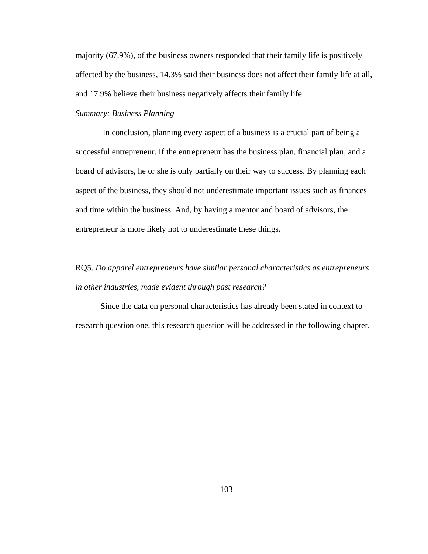majority (67.9%), of the business owners responded that their family life is positively affected by the business, 14.3% said their business does not affect their family life at all, and 17.9% believe their business negatively affects their family life.

# *Summary: Business Planning*

 In conclusion, planning every aspect of a business is a crucial part of being a successful entrepreneur. If the entrepreneur has the business plan, financial plan, and a board of advisors, he or she is only partially on their way to success. By planning each aspect of the business, they should not underestimate important issues such as finances and time within the business. And, by having a mentor and board of advisors, the entrepreneur is more likely not to underestimate these things.

# RQ5. *Do apparel entrepreneurs have similar personal characteristics as entrepreneurs in other industries, made evident through past research?*

Since the data on personal characteristics has already been stated in context to research question one, this research question will be addressed in the following chapter.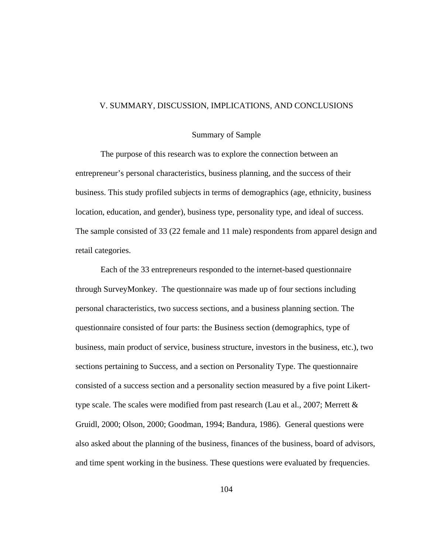### V. SUMMARY, DISCUSSION, IMPLICATIONS, AND CONCLUSIONS

### Summary of Sample

The purpose of this research was to explore the connection between an entrepreneur's personal characteristics, business planning, and the success of their business. This study profiled subjects in terms of demographics (age, ethnicity, business location, education, and gender), business type, personality type, and ideal of success. The sample consisted of 33 (22 female and 11 male) respondents from apparel design and retail categories.

Each of the 33 entrepreneurs responded to the internet-based questionnaire through SurveyMonkey. The questionnaire was made up of four sections including personal characteristics, two success sections, and a business planning section. The questionnaire consisted of four parts: the Business section (demographics, type of business, main product of service, business structure, investors in the business, etc.), two sections pertaining to Success, and a section on Personality Type. The questionnaire consisted of a success section and a personality section measured by a five point Likerttype scale. The scales were modified from past research (Lau et al., 2007; Merrett & Gruidl, 2000; Olson, 2000; Goodman, 1994; Bandura, 1986). General questions were also asked about the planning of the business, finances of the business, board of advisors, and time spent working in the business. These questions were evaluated by frequencies.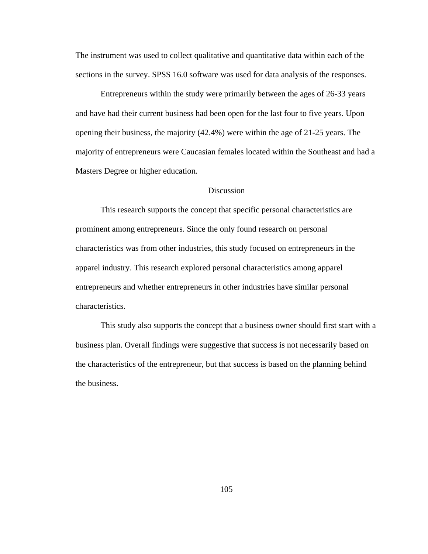The instrument was used to collect qualitative and quantitative data within each of the sections in the survey. SPSS 16.0 software was used for data analysis of the responses.

Entrepreneurs within the study were primarily between the ages of 26-33 years and have had their current business had been open for the last four to five years. Upon opening their business, the majority (42.4%) were within the age of 21-25 years. The majority of entrepreneurs were Caucasian females located within the Southeast and had a Masters Degree or higher education.

# **Discussion**

This research supports the concept that specific personal characteristics are prominent among entrepreneurs. Since the only found research on personal characteristics was from other industries, this study focused on entrepreneurs in the apparel industry. This research explored personal characteristics among apparel entrepreneurs and whether entrepreneurs in other industries have similar personal characteristics.

This study also supports the concept that a business owner should first start with a business plan. Overall findings were suggestive that success is not necessarily based on the characteristics of the entrepreneur, but that success is based on the planning behind the business.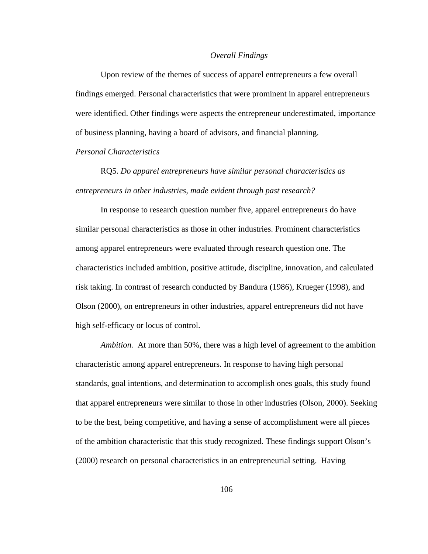#### *Overall Findings*

Upon review of the themes of success of apparel entrepreneurs a few overall findings emerged. Personal characteristics that were prominent in apparel entrepreneurs were identified. Other findings were aspects the entrepreneur underestimated, importance of business planning, having a board of advisors, and financial planning.

## *Personal Characteristics*

RQ5. *Do apparel entrepreneurs have similar personal characteristics as entrepreneurs in other industries, made evident through past research?* 

In response to research question number five, apparel entrepreneurs do have similar personal characteristics as those in other industries. Prominent characteristics among apparel entrepreneurs were evaluated through research question one. The characteristics included ambition, positive attitude, discipline, innovation, and calculated risk taking. In contrast of research conducted by Bandura (1986), Krueger (1998), and Olson (2000), on entrepreneurs in other industries, apparel entrepreneurs did not have high self-efficacy or locus of control.

*Ambition.* At more than 50%, there was a high level of agreement to the ambition characteristic among apparel entrepreneurs. In response to having high personal standards, goal intentions, and determination to accomplish ones goals, this study found that apparel entrepreneurs were similar to those in other industries (Olson, 2000). Seeking to be the best, being competitive, and having a sense of accomplishment were all pieces of the ambition characteristic that this study recognized. These findings support Olson's (2000) research on personal characteristics in an entrepreneurial setting. Having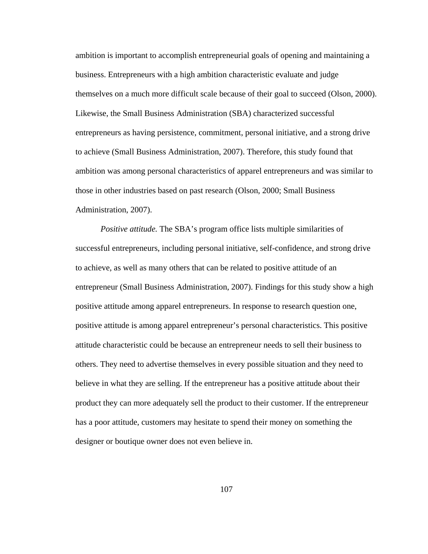ambition is important to accomplish entrepreneurial goals of opening and maintaining a business. Entrepreneurs with a high ambition characteristic evaluate and judge themselves on a much more difficult scale because of their goal to succeed (Olson, 2000). Likewise, the Small Business Administration (SBA) characterized successful entrepreneurs as having persistence, commitment, personal initiative, and a strong drive to achieve (Small Business Administration, 2007). Therefore, this study found that ambition was among personal characteristics of apparel entrepreneurs and was similar to those in other industries based on past research (Olson, 2000; Small Business Administration, 2007).

*Positive attitude.* The SBA's program office lists multiple similarities of successful entrepreneurs, including personal initiative, self-confidence, and strong drive to achieve, as well as many others that can be related to positive attitude of an entrepreneur (Small Business Administration, 2007). Findings for this study show a high positive attitude among apparel entrepreneurs. In response to research question one, positive attitude is among apparel entrepreneur's personal characteristics. This positive attitude characteristic could be because an entrepreneur needs to sell their business to others. They need to advertise themselves in every possible situation and they need to believe in what they are selling. If the entrepreneur has a positive attitude about their product they can more adequately sell the product to their customer. If the entrepreneur has a poor attitude, customers may hesitate to spend their money on something the designer or boutique owner does not even believe in.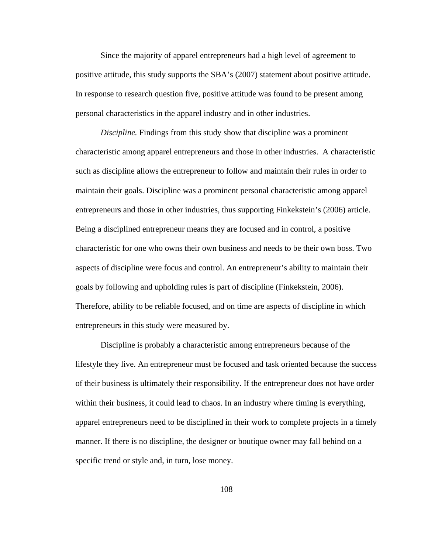Since the majority of apparel entrepreneurs had a high level of agreement to positive attitude, this study supports the SBA's (2007) statement about positive attitude. In response to research question five, positive attitude was found to be present among personal characteristics in the apparel industry and in other industries.

*Discipline.* Findings from this study show that discipline was a prominent characteristic among apparel entrepreneurs and those in other industries. A characteristic such as discipline allows the entrepreneur to follow and maintain their rules in order to maintain their goals. Discipline was a prominent personal characteristic among apparel entrepreneurs and those in other industries, thus supporting Finkekstein's (2006) article. Being a disciplined entrepreneur means they are focused and in control, a positive characteristic for one who owns their own business and needs to be their own boss. Two aspects of discipline were focus and control. An entrepreneur's ability to maintain their goals by following and upholding rules is part of discipline (Finkekstein, 2006). Therefore, ability to be reliable focused, and on time are aspects of discipline in which entrepreneurs in this study were measured by.

Discipline is probably a characteristic among entrepreneurs because of the lifestyle they live. An entrepreneur must be focused and task oriented because the success of their business is ultimately their responsibility. If the entrepreneur does not have order within their business, it could lead to chaos. In an industry where timing is everything, apparel entrepreneurs need to be disciplined in their work to complete projects in a timely manner. If there is no discipline, the designer or boutique owner may fall behind on a specific trend or style and, in turn, lose money.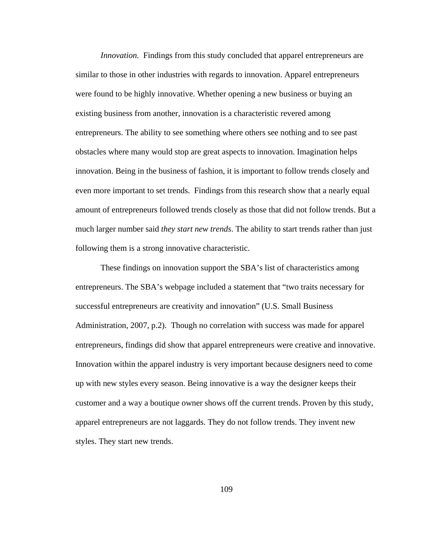*Innovation.* Findings from this study concluded that apparel entrepreneurs are similar to those in other industries with regards to innovation. Apparel entrepreneurs were found to be highly innovative. Whether opening a new business or buying an existing business from another, innovation is a characteristic revered among entrepreneurs. The ability to see something where others see nothing and to see past obstacles where many would stop are great aspects to innovation. Imagination helps innovation. Being in the business of fashion, it is important to follow trends closely and even more important to set trends. Findings from this research show that a nearly equal amount of entrepreneurs followed trends closely as those that did not follow trends. But a much larger number said *they start new trends*. The ability to start trends rather than just following them is a strong innovative characteristic.

These findings on innovation support the SBA's list of characteristics among entrepreneurs. The SBA's webpage included a statement that "two traits necessary for successful entrepreneurs are creativity and innovation" (U.S. Small Business Administration, 2007, p.2). Though no correlation with success was made for apparel entrepreneurs, findings did show that apparel entrepreneurs were creative and innovative. Innovation within the apparel industry is very important because designers need to come up with new styles every season. Being innovative is a way the designer keeps their customer and a way a boutique owner shows off the current trends. Proven by this study, apparel entrepreneurs are not laggards. They do not follow trends. They invent new styles. They start new trends.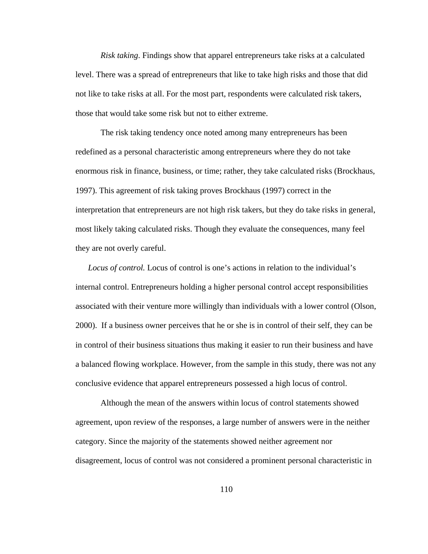*Risk taking*. Findings show that apparel entrepreneurs take risks at a calculated level. There was a spread of entrepreneurs that like to take high risks and those that did not like to take risks at all. For the most part, respondents were calculated risk takers, those that would take some risk but not to either extreme.

The risk taking tendency once noted among many entrepreneurs has been redefined as a personal characteristic among entrepreneurs where they do not take enormous risk in finance, business, or time; rather, they take calculated risks (Brockhaus, 1997). This agreement of risk taking proves Brockhaus (1997) correct in the interpretation that entrepreneurs are not high risk takers, but they do take risks in general, most likely taking calculated risks. Though they evaluate the consequences, many feel they are not overly careful.

*Locus of control.* Locus of control is one's actions in relation to the individual's internal control. Entrepreneurs holding a higher personal control accept responsibilities associated with their venture more willingly than individuals with a lower control (Olson, 2000). If a business owner perceives that he or she is in control of their self, they can be in control of their business situations thus making it easier to run their business and have a balanced flowing workplace. However, from the sample in this study, there was not any conclusive evidence that apparel entrepreneurs possessed a high locus of control.

 Although the mean of the answers within locus of control statements showed agreement, upon review of the responses, a large number of answers were in the neither category. Since the majority of the statements showed neither agreement nor disagreement, locus of control was not considered a prominent personal characteristic in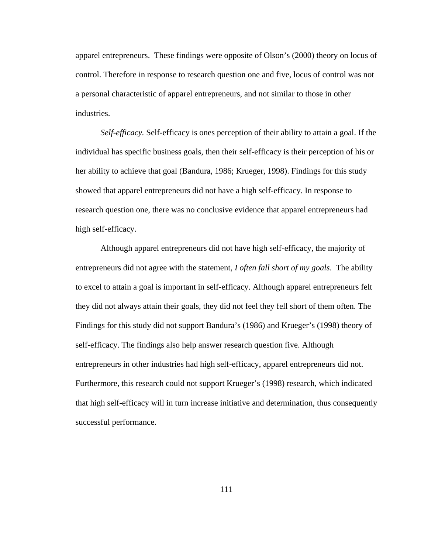apparel entrepreneurs. These findings were opposite of Olson's (2000) theory on locus of control. Therefore in response to research question one and five, locus of control was not a personal characteristic of apparel entrepreneurs, and not similar to those in other industries.

*Self-efficacy.* Self-efficacy is ones perception of their ability to attain a goal. If the individual has specific business goals, then their self-efficacy is their perception of his or her ability to achieve that goal (Bandura, 1986; Krueger, 1998). Findings for this study showed that apparel entrepreneurs did not have a high self-efficacy. In response to research question one, there was no conclusive evidence that apparel entrepreneurs had high self-efficacy.

Although apparel entrepreneurs did not have high self-efficacy, the majority of entrepreneurs did not agree with the statement, *I often fall short of my goals*. The ability to excel to attain a goal is important in self-efficacy. Although apparel entrepreneurs felt they did not always attain their goals, they did not feel they fell short of them often. The Findings for this study did not support Bandura's (1986) and Krueger's (1998) theory of self-efficacy. The findings also help answer research question five. Although entrepreneurs in other industries had high self-efficacy, apparel entrepreneurs did not. Furthermore, this research could not support Krueger's (1998) research, which indicated that high self-efficacy will in turn increase initiative and determination, thus consequently successful performance.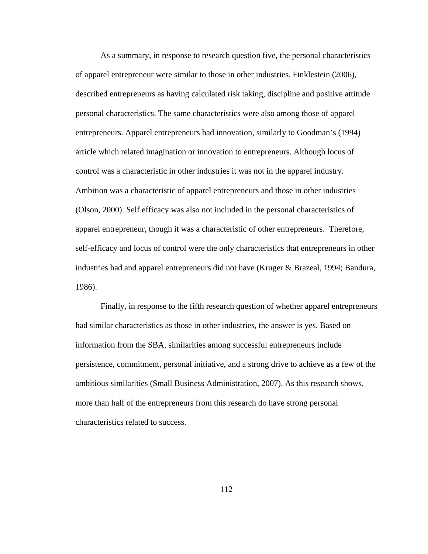As a summary, in response to research question five, the personal characteristics of apparel entrepreneur were similar to those in other industries. Finklestein (2006), described entrepreneurs as having calculated risk taking, discipline and positive attitude personal characteristics. The same characteristics were also among those of apparel entrepreneurs. Apparel entrepreneurs had innovation, similarly to Goodman's (1994) article which related imagination or innovation to entrepreneurs. Although locus of control was a characteristic in other industries it was not in the apparel industry. Ambition was a characteristic of apparel entrepreneurs and those in other industries (Olson, 2000). Self efficacy was also not included in the personal characteristics of apparel entrepreneur, though it was a characteristic of other entrepreneurs. Therefore, self-efficacy and locus of control were the only characteristics that entrepreneurs in other industries had and apparel entrepreneurs did not have (Kruger & Brazeal, 1994; Bandura, 1986).

Finally, in response to the fifth research question of whether apparel entrepreneurs had similar characteristics as those in other industries, the answer is yes. Based on information from the SBA, similarities among successful entrepreneurs include persistence, commitment, personal initiative, and a strong drive to achieve as a few of the ambitious similarities (Small Business Administration, 2007). As this research shows, more than half of the entrepreneurs from this research do have strong personal characteristics related to success.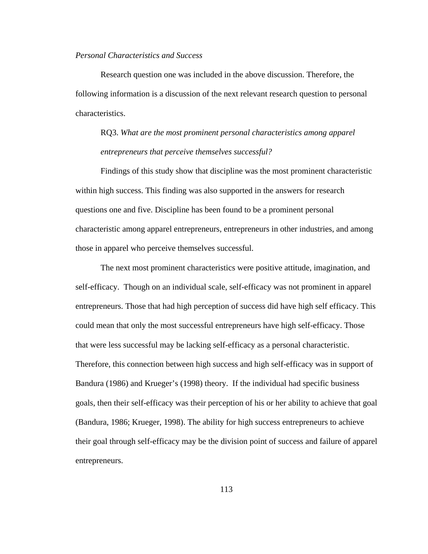# *Personal Characteristics and Success*

Research question one was included in the above discussion. Therefore, the following information is a discussion of the next relevant research question to personal characteristics.

# RQ3. *What are the most prominent personal characteristics among apparel entrepreneurs that perceive themselves successful?*

Findings of this study show that discipline was the most prominent characteristic within high success. This finding was also supported in the answers for research questions one and five. Discipline has been found to be a prominent personal characteristic among apparel entrepreneurs, entrepreneurs in other industries, and among those in apparel who perceive themselves successful.

The next most prominent characteristics were positive attitude, imagination, and self-efficacy. Though on an individual scale, self-efficacy was not prominent in apparel entrepreneurs. Those that had high perception of success did have high self efficacy. This could mean that only the most successful entrepreneurs have high self-efficacy. Those that were less successful may be lacking self-efficacy as a personal characteristic. Therefore, this connection between high success and high self-efficacy was in support of Bandura (1986) and Krueger's (1998) theory. If the individual had specific business goals, then their self-efficacy was their perception of his or her ability to achieve that goal (Bandura, 1986; Krueger, 1998). The ability for high success entrepreneurs to achieve their goal through self-efficacy may be the division point of success and failure of apparel entrepreneurs.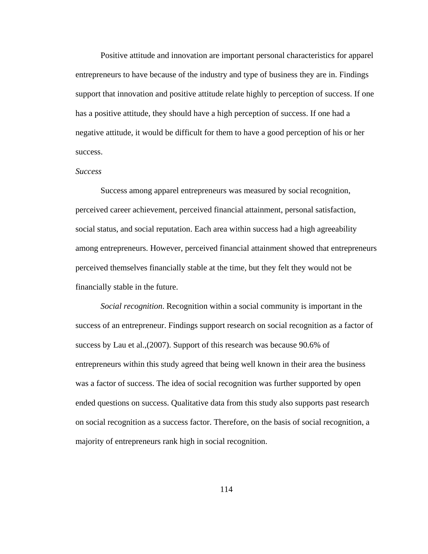Positive attitude and innovation are important personal characteristics for apparel entrepreneurs to have because of the industry and type of business they are in. Findings support that innovation and positive attitude relate highly to perception of success. If one has a positive attitude, they should have a high perception of success. If one had a negative attitude, it would be difficult for them to have a good perception of his or her success.

### *Success*

Success among apparel entrepreneurs was measured by social recognition, perceived career achievement, perceived financial attainment, personal satisfaction, social status, and social reputation. Each area within success had a high agreeability among entrepreneurs. However, perceived financial attainment showed that entrepreneurs perceived themselves financially stable at the time, but they felt they would not be financially stable in the future.

*Social recognition*. Recognition within a social community is important in the success of an entrepreneur. Findings support research on social recognition as a factor of success by Lau et al.,(2007). Support of this research was because 90.6% of entrepreneurs within this study agreed that being well known in their area the business was a factor of success. The idea of social recognition was further supported by open ended questions on success. Qualitative data from this study also supports past research on social recognition as a success factor. Therefore, on the basis of social recognition, a majority of entrepreneurs rank high in social recognition.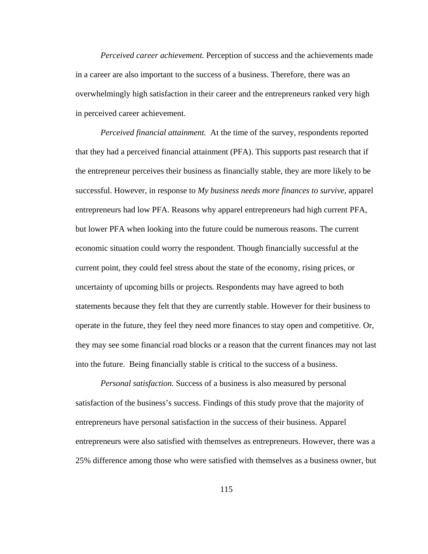*Perceived career achievement.* Perception of success and the achievements made in a career are also important to the success of a business. Therefore, there was an overwhelmingly high satisfaction in their career and the entrepreneurs ranked very high in perceived career achievement.

*Perceived financial attainment.* At the time of the survey, respondents reported that they had a perceived financial attainment (PFA). This supports past research that if the entrepreneur perceives their business as financially stable, they are more likely to be successful. However, in response to *My business needs more finances to survive,* apparel entrepreneurs had low PFA. Reasons why apparel entrepreneurs had high current PFA, but lower PFA when looking into the future could be numerous reasons. The current economic situation could worry the respondent. Though financially successful at the current point, they could feel stress about the state of the economy, rising prices, or uncertainty of upcoming bills or projects*.* Respondents may have agreed to both statements because they felt that they are currently stable. However for their business to operate in the future, they feel they need more finances to stay open and competitive. Or, they may see some financial road blocks or a reason that the current finances may not last into the future. Being financially stable is critical to the success of a business.

*Personal satisfaction.* Success of a business is also measured by personal satisfaction of the business's success. Findings of this study prove that the majority of entrepreneurs have personal satisfaction in the success of their business. Apparel entrepreneurs were also satisfied with themselves as entrepreneurs. However, there was a 25% difference among those who were satisfied with themselves as a business owner, but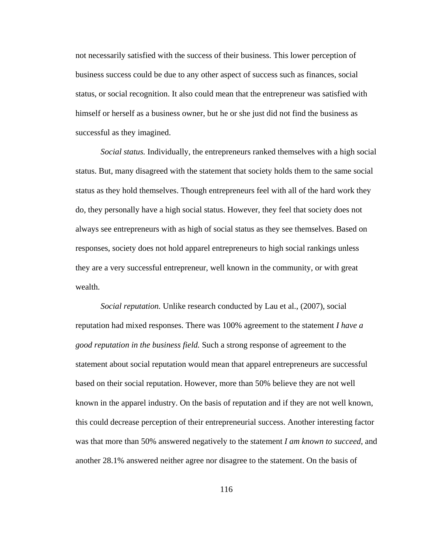not necessarily satisfied with the success of their business. This lower perception of business success could be due to any other aspect of success such as finances, social status, or social recognition. It also could mean that the entrepreneur was satisfied with himself or herself as a business owner, but he or she just did not find the business as successful as they imagined.

*Social status.* Individually, the entrepreneurs ranked themselves with a high social status. But, many disagreed with the statement that society holds them to the same social status as they hold themselves. Though entrepreneurs feel with all of the hard work they do, they personally have a high social status. However, they feel that society does not always see entrepreneurs with as high of social status as they see themselves. Based on responses, society does not hold apparel entrepreneurs to high social rankings unless they are a very successful entrepreneur, well known in the community, or with great wealth.

*Social reputation.* Unlike research conducted by Lau et al., (2007), social reputation had mixed responses. There was 100% agreement to the statement *I have a good reputation in the business field.* Such a strong response of agreement to the statement about social reputation would mean that apparel entrepreneurs are successful based on their social reputation. However, more than 50% believe they are not well known in the apparel industry. On the basis of reputation and if they are not well known, this could decrease perception of their entrepreneurial success. Another interesting factor was that more than 50% answered negatively to the statement *I am known to succeed*, and another 28.1% answered neither agree nor disagree to the statement. On the basis of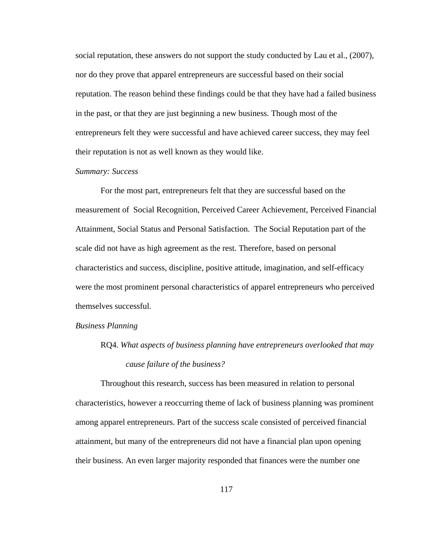social reputation, these answers do not support the study conducted by Lau et al., (2007), nor do they prove that apparel entrepreneurs are successful based on their social reputation. The reason behind these findings could be that they have had a failed business in the past, or that they are just beginning a new business. Though most of the entrepreneurs felt they were successful and have achieved career success, they may feel their reputation is not as well known as they would like.

### *Summary: Success*

For the most part, entrepreneurs felt that they are successful based on the measurement of Social Recognition, Perceived Career Achievement, Perceived Financial Attainment, Social Status and Personal Satisfaction. The Social Reputation part of the scale did not have as high agreement as the rest. Therefore, based on personal characteristics and success, discipline, positive attitude, imagination, and self-efficacy were the most prominent personal characteristics of apparel entrepreneurs who perceived themselves successful.

#### *Business Planning*

# RQ4. *What aspects of business planning have entrepreneurs overlooked that may cause failure of the business?*

Throughout this research, success has been measured in relation to personal characteristics, however a reoccurring theme of lack of business planning was prominent among apparel entrepreneurs. Part of the success scale consisted of perceived financial attainment, but many of the entrepreneurs did not have a financial plan upon opening their business. An even larger majority responded that finances were the number one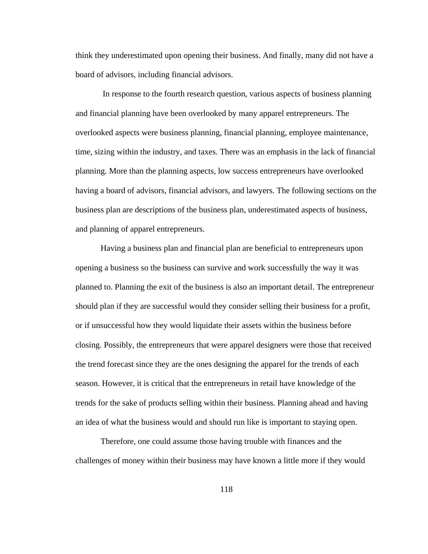think they underestimated upon opening their business. And finally, many did not have a board of advisors, including financial advisors.

 In response to the fourth research question, various aspects of business planning and financial planning have been overlooked by many apparel entrepreneurs. The overlooked aspects were business planning, financial planning, employee maintenance, time, sizing within the industry, and taxes. There was an emphasis in the lack of financial planning. More than the planning aspects, low success entrepreneurs have overlooked having a board of advisors, financial advisors, and lawyers. The following sections on the business plan are descriptions of the business plan, underestimated aspects of business, and planning of apparel entrepreneurs.

Having a business plan and financial plan are beneficial to entrepreneurs upon opening a business so the business can survive and work successfully the way it was planned to. Planning the exit of the business is also an important detail. The entrepreneur should plan if they are successful would they consider selling their business for a profit, or if unsuccessful how they would liquidate their assets within the business before closing. Possibly, the entrepreneurs that were apparel designers were those that received the trend forecast since they are the ones designing the apparel for the trends of each season. However, it is critical that the entrepreneurs in retail have knowledge of the trends for the sake of products selling within their business. Planning ahead and having an idea of what the business would and should run like is important to staying open.

Therefore, one could assume those having trouble with finances and the challenges of money within their business may have known a little more if they would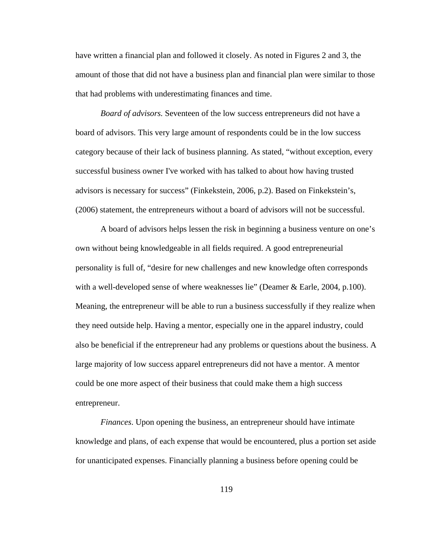have written a financial plan and followed it closely. As noted in Figures 2 and 3, the amount of those that did not have a business plan and financial plan were similar to those that had problems with underestimating finances and time.

*Board of advisors.* Seventeen of the low success entrepreneurs did not have a board of advisors. This very large amount of respondents could be in the low success category because of their lack of business planning. As stated, "without exception, every successful business owner I've worked with has talked to about how having trusted advisors is necessary for success" (Finkekstein, 2006, p.2). Based on Finkekstein's, (2006) statement, the entrepreneurs without a board of advisors will not be successful.

A board of advisors helps lessen the risk in beginning a business venture on one's own without being knowledgeable in all fields required. A good entrepreneurial personality is full of, "desire for new challenges and new knowledge often corresponds with a well-developed sense of where weaknesses lie" (Deamer & Earle, 2004, p.100). Meaning, the entrepreneur will be able to run a business successfully if they realize when they need outside help. Having a mentor, especially one in the apparel industry, could also be beneficial if the entrepreneur had any problems or questions about the business. A large majority of low success apparel entrepreneurs did not have a mentor. A mentor could be one more aspect of their business that could make them a high success entrepreneur.

*Finances*. Upon opening the business, an entrepreneur should have intimate knowledge and plans, of each expense that would be encountered, plus a portion set aside for unanticipated expenses. Financially planning a business before opening could be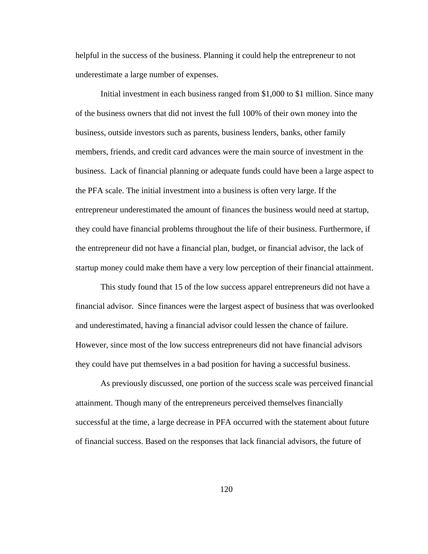helpful in the success of the business. Planning it could help the entrepreneur to not underestimate a large number of expenses.

Initial investment in each business ranged from \$1,000 to \$1 million. Since many of the business owners that did not invest the full 100% of their own money into the business, outside investors such as parents, business lenders, banks, other family members, friends, and credit card advances were the main source of investment in the business. Lack of financial planning or adequate funds could have been a large aspect to the PFA scale. The initial investment into a business is often very large. If the entrepreneur underestimated the amount of finances the business would need at startup, they could have financial problems throughout the life of their business. Furthermore, if the entrepreneur did not have a financial plan, budget, or financial advisor, the lack of startup money could make them have a very low perception of their financial attainment.

This study found that 15 of the low success apparel entrepreneurs did not have a financial advisor. Since finances were the largest aspect of business that was overlooked and underestimated, having a financial advisor could lessen the chance of failure. However, since most of the low success entrepreneurs did not have financial advisors they could have put themselves in a bad position for having a successful business.

As previously discussed, one portion of the success scale was perceived financial attainment. Though many of the entrepreneurs perceived themselves financially successful at the time, a large decrease in PFA occurred with the statement about future of financial success. Based on the responses that lack financial advisors, the future of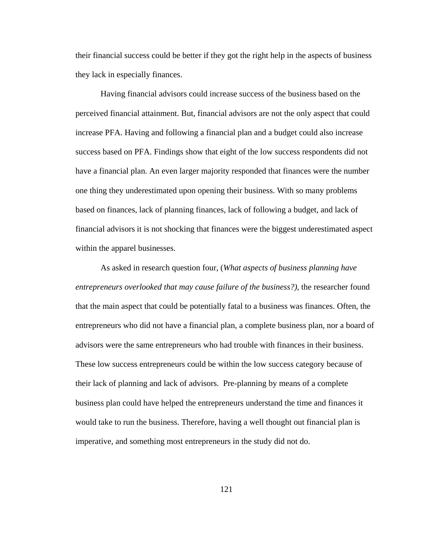their financial success could be better if they got the right help in the aspects of business they lack in especially finances.

Having financial advisors could increase success of the business based on the perceived financial attainment. But, financial advisors are not the only aspect that could increase PFA. Having and following a financial plan and a budget could also increase success based on PFA. Findings show that eight of the low success respondents did not have a financial plan. An even larger majority responded that finances were the number one thing they underestimated upon opening their business. With so many problems based on finances, lack of planning finances, lack of following a budget, and lack of financial advisors it is not shocking that finances were the biggest underestimated aspect within the apparel businesses.

As asked in research question four, (*What aspects of business planning have entrepreneurs overlooked that may cause failure of the business?),* the researcher found that the main aspect that could be potentially fatal to a business was finances. Often, the entrepreneurs who did not have a financial plan, a complete business plan, nor a board of advisors were the same entrepreneurs who had trouble with finances in their business. These low success entrepreneurs could be within the low success category because of their lack of planning and lack of advisors. Pre-planning by means of a complete business plan could have helped the entrepreneurs understand the time and finances it would take to run the business. Therefore, having a well thought out financial plan is imperative, and something most entrepreneurs in the study did not do.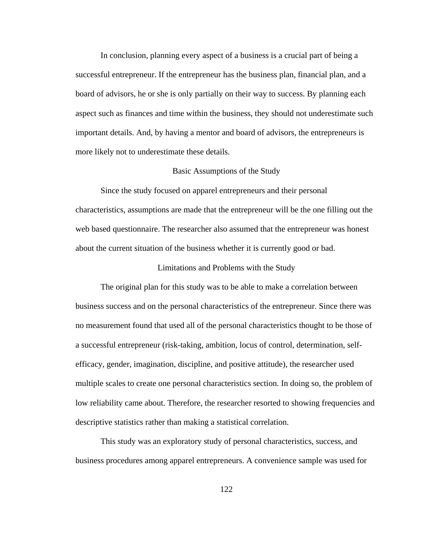In conclusion, planning every aspect of a business is a crucial part of being a successful entrepreneur. If the entrepreneur has the business plan, financial plan, and a board of advisors, he or she is only partially on their way to success. By planning each aspect such as finances and time within the business, they should not underestimate such important details. And, by having a mentor and board of advisors, the entrepreneurs is more likely not to underestimate these details.

### Basic Assumptions of the Study

Since the study focused on apparel entrepreneurs and their personal characteristics, assumptions are made that the entrepreneur will be the one filling out the web based questionnaire. The researcher also assumed that the entrepreneur was honest about the current situation of the business whether it is currently good or bad.

### Limitations and Problems with the Study

The original plan for this study was to be able to make a correlation between business success and on the personal characteristics of the entrepreneur. Since there was no measurement found that used all of the personal characteristics thought to be those of a successful entrepreneur (risk-taking, ambition, locus of control, determination, selfefficacy, gender, imagination, discipline, and positive attitude), the researcher used multiple scales to create one personal characteristics section. In doing so, the problem of low reliability came about. Therefore, the researcher resorted to showing frequencies and descriptive statistics rather than making a statistical correlation.

This study was an exploratory study of personal characteristics, success, and business procedures among apparel entrepreneurs. A convenience sample was used for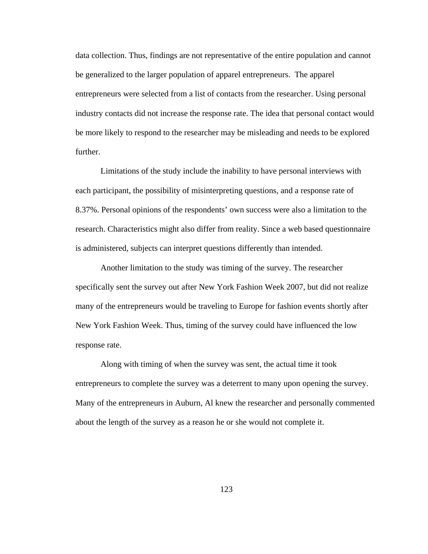data collection. Thus, findings are not representative of the entire population and cannot be generalized to the larger population of apparel entrepreneurs. The apparel entrepreneurs were selected from a list of contacts from the researcher. Using personal industry contacts did not increase the response rate. The idea that personal contact would be more likely to respond to the researcher may be misleading and needs to be explored further.

Limitations of the study include the inability to have personal interviews with each participant, the possibility of misinterpreting questions, and a response rate of 8.37%. Personal opinions of the respondents' own success were also a limitation to the research. Characteristics might also differ from reality. Since a web based questionnaire is administered, subjects can interpret questions differently than intended.

 Another limitation to the study was timing of the survey. The researcher specifically sent the survey out after New York Fashion Week 2007, but did not realize many of the entrepreneurs would be traveling to Europe for fashion events shortly after New York Fashion Week. Thus, timing of the survey could have influenced the low response rate.

 Along with timing of when the survey was sent, the actual time it took entrepreneurs to complete the survey was a deterrent to many upon opening the survey. Many of the entrepreneurs in Auburn, Al knew the researcher and personally commented about the length of the survey as a reason he or she would not complete it.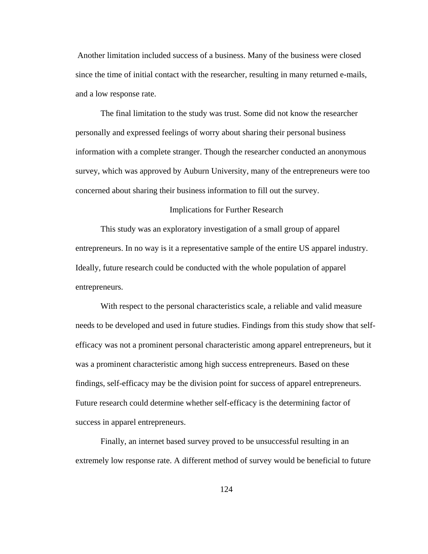Another limitation included success of a business. Many of the business were closed since the time of initial contact with the researcher, resulting in many returned e-mails, and a low response rate.

 The final limitation to the study was trust. Some did not know the researcher personally and expressed feelings of worry about sharing their personal business information with a complete stranger. Though the researcher conducted an anonymous survey, which was approved by Auburn University, many of the entrepreneurs were too concerned about sharing their business information to fill out the survey.

### Implications for Further Research

 This study was an exploratory investigation of a small group of apparel entrepreneurs. In no way is it a representative sample of the entire US apparel industry. Ideally, future research could be conducted with the whole population of apparel entrepreneurs.

With respect to the personal characteristics scale, a reliable and valid measure needs to be developed and used in future studies. Findings from this study show that selfefficacy was not a prominent personal characteristic among apparel entrepreneurs, but it was a prominent characteristic among high success entrepreneurs. Based on these findings, self-efficacy may be the division point for success of apparel entrepreneurs. Future research could determine whether self-efficacy is the determining factor of success in apparel entrepreneurs.

Finally, an internet based survey proved to be unsuccessful resulting in an extremely low response rate. A different method of survey would be beneficial to future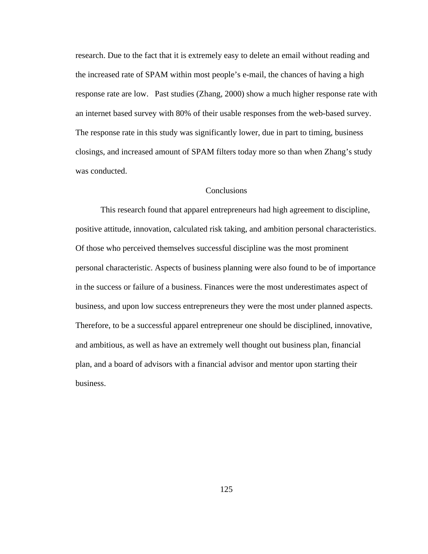research. Due to the fact that it is extremely easy to delete an email without reading and the increased rate of SPAM within most people's e-mail, the chances of having a high response rate are low. Past studies (Zhang, 2000) show a much higher response rate with an internet based survey with 80% of their usable responses from the web-based survey. The response rate in this study was significantly lower, due in part to timing, business closings, and increased amount of SPAM filters today more so than when Zhang's study was conducted.

## Conclusions

 This research found that apparel entrepreneurs had high agreement to discipline, positive attitude, innovation, calculated risk taking, and ambition personal characteristics. Of those who perceived themselves successful discipline was the most prominent personal characteristic. Aspects of business planning were also found to be of importance in the success or failure of a business. Finances were the most underestimates aspect of business, and upon low success entrepreneurs they were the most under planned aspects. Therefore, to be a successful apparel entrepreneur one should be disciplined, innovative, and ambitious, as well as have an extremely well thought out business plan, financial plan, and a board of advisors with a financial advisor and mentor upon starting their business.

125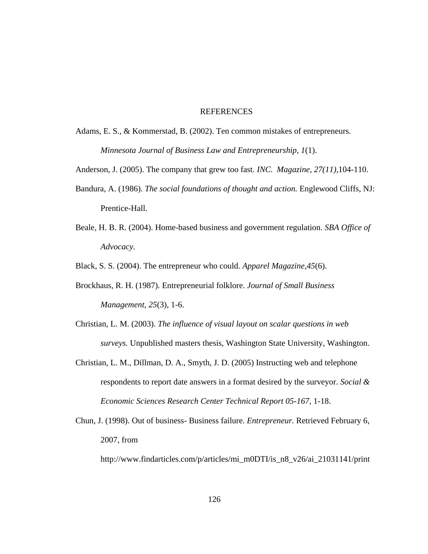### REFERENCES

- Adams, E. S., & Kommerstad, B. (2002). Ten common mistakes of entrepreneurs. *Minnesota Journal of Business Law and Entrepreneurship, 1*(1).
- Anderson, J. (2005). The company that grew too fast. *INC. Magazine, 27(11),*104-110.
- Bandura, A. (1986). *The social foundations of thought and action.* Englewood Cliffs, NJ: Prentice-Hall.
- Beale, H. B. R. (2004). Home-based business and government regulation. *SBA Office of Advocacy.*

Black, S. S. (2004). The entrepreneur who could. *Apparel Magazine,45*(6).

- Brockhaus, R. H. (1987). Entrepreneurial folklore. *Journal of Small Business Management*, *25*(3), 1-6.
- Christian, L. M. (2003). *The influence of visual layout on scalar questions in web surveys.* Unpublished masters thesis, Washington State University, Washington.
- Christian, L. M., Dillman, D. A., Smyth, J. D. (2005) Instructing web and telephone respondents to report date answers in a format desired by the surveyor. *Social & Economic Sciences Research Center Technical Report 05-167,* 1-18.
- Chun, J. (1998). Out of business- Business failure. *Entrepreneur.* Retrieved February 6, 2007, from

http://www.findarticles.com/p/articles/mi\_m0DTI/is\_n8\_v26/ai\_21031141/print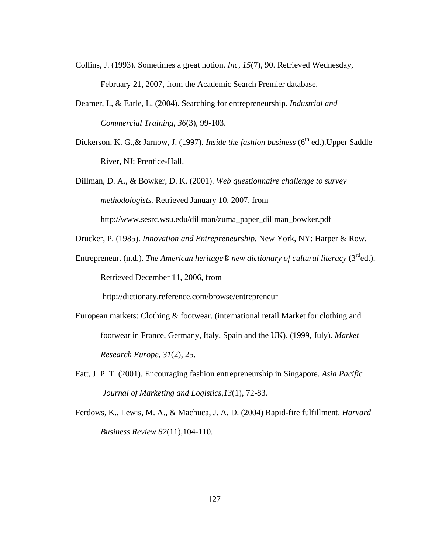- Collins, J. (1993). Sometimes a great notion. *Inc*, *15*(7), 90. Retrieved Wednesday, February 21, 2007, from the Academic Search Premier database.
- Deamer, I., & Earle, L. (2004). Searching for entrepreneurship. *Industrial and Commercial Training*, *36*(3), 99-103.
- Dickerson, K. G., & Jarnow, J. (1997). *Inside the fashion business* (6<sup>th</sup> ed.). Upper Saddle River, NJ: Prentice-Hall.

Dillman, D. A., & Bowker, D. K. (2001). *Web questionnaire challenge to survey methodologists.* Retrieved January 10, 2007, from http://www.sesrc.wsu.edu/dillman/zuma\_paper\_dillman\_bowker.pdf

Drucker, P. (1985). *Innovation and Entrepreneurship.* New York, NY: Harper & Row.

Entrepreneur. (n.d.). *The American heritage® new dictionary of cultural literacy* (3<sup>rd</sup>ed.). Retrieved December 11, 2006, from

http://dictionary.reference.com/browse/entrepreneur

- European markets: Clothing & footwear. (international retail Market for clothing and footwear in France, Germany, Italy, Spain and the UK). (1999, July). *Market Research Europe, 31*(2), 25.
- Fatt, J. P. T. (2001). Encouraging fashion entrepreneurship in Singapore. *Asia Pacific Journal of Marketing and Logistics,13*(1), 72-83.
- Ferdows, K., Lewis, M. A., & Machuca, J. A. D. (2004) Rapid-fire fulfillment. *Harvard Business Review 82*(11),104-110.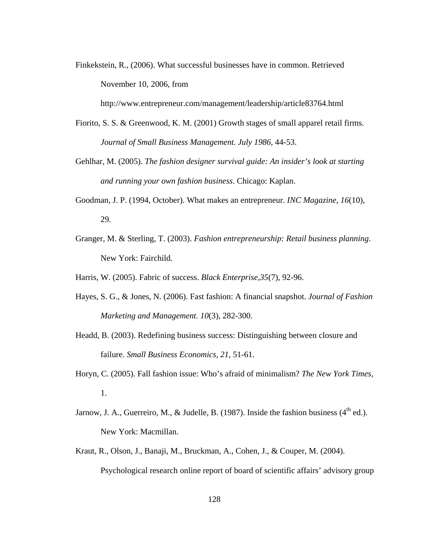Finkekstein, R., (2006). What successful businesses have in common. Retrieved November 10, 2006, from

http://www.entrepreneur.com/management/leadership/article83764.html

- Fiorito, S. S. & Greenwood, K. M. (2001) Growth stages of small apparel retail firms. *Journal of Small Business Management. July 1986,* 44-53.
- Gehlhar, M. (2005). *The fashion designer survival guide: An insider's look at starting and running your own fashion business*. Chicago: Kaplan.
- Goodman, J. P. (1994, October). What makes an entrepreneur. *INC Magazine*, *16*(10), 29.
- Granger, M. & Sterling, T. (2003). *Fashion entrepreneurship: Retail business planning*. New York: Fairchild.
- Harris, W. (2005). Fabric of success. *Black Enterprise,35*(7), 92-96.
- Hayes, S. G., & Jones, N. (2006). Fast fashion: A financial snapshot. *Journal of Fashion Marketing and Management. 10*(3), 282-300.
- Headd, B. (2003). Redefining business success: Distinguishing between closure and failure. *Small Business Economics, 21,* 51-61.
- Horyn, C. (2005). Fall fashion issue: Who's afraid of minimalism? *The New York Times,*  1.
- Jarnow, J. A., Guerreiro, M., & Judelle, B. (1987). Inside the fashion business ( $4<sup>th</sup>$  ed.). New York: Macmillan.
- Kraut, R., Olson, J., Banaji, M., Bruckman, A., Cohen, J., & Couper, M. (2004). Psychological research online report of board of scientific affairs' advisory group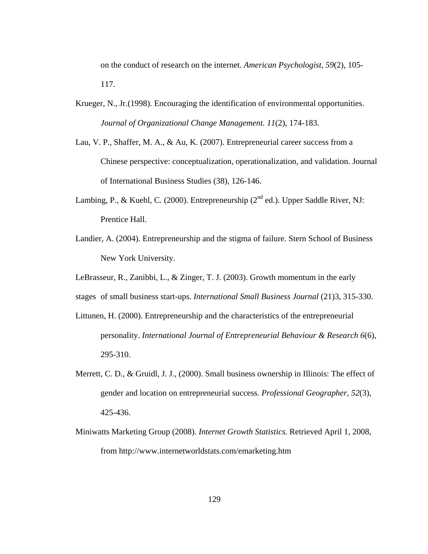on the conduct of research on the internet. *American Psychologist, 59*(2), 105- 117.

- Krueger, N., Jr.(1998). Encouraging the identification of environmental opportunities. *Journal of Organizational Change Management. 11*(2), 174-183.
- Lau, V. P., Shaffer, M. A., & Au, K. (2007). Entrepreneurial career success from a Chinese perspective: conceptualization, operationalization, and validation. Journal of International Business Studies (38), 126-146.
- Lambing, P., & Kuehl, C. (2000). Entrepreneurship ( $2<sup>nd</sup>$  ed.). Upper Saddle River, NJ: Prentice Hall.
- Landier, A. (2004). Entrepreneurship and the stigma of failure. Stern School of Business New York University.
- LeBrasseur, R., Zanibbi, L., & Zinger, T. J. (2003). Growth momentum in the early
- stages of small business start-ups. *International Small Business Journal* (21)3, 315-330.
- Littunen, H. (2000). Entrepreneurship and the characteristics of the entrepreneurial personality. *International Journal of Entrepreneurial Behaviour & Research 6*(6), 295-310.
- Merrett, C. D., & Gruidl, J. J., (2000). Small business ownership in Illinois: The effect of gender and location on entrepreneurial success*. Professional Geographer*, *52*(3), 425-436.
- Miniwatts Marketing Group (2008). *Internet Growth Statistics.* Retrieved April 1, 2008, from http://www.internetworldstats.com/emarketing.htm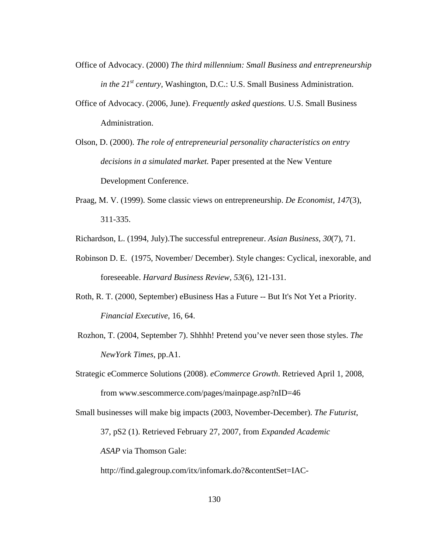- Office of Advocacy. (2000) *The third millennium: Small Business and entrepreneurship in the 21st century,* Washington, D.C.: U.S. Small Business Administration.
- Office of Advocacy. (2006, June). *Frequently asked questions.* U.S. Small Business Administration.
- Olson, D. (2000). *The role of entrepreneurial personality characteristics on entry decisions in a simulated market.* Paper presented at the New Venture Development Conference.
- Praag, M. V. (1999). Some classic views on entrepreneurship. *De Economist, 147*(3), 311-335.
- Richardson, L. (1994, July).The successful entrepreneur. *Asian Business, 30*(7), 71.
- Robinson D. E. (1975, November/ December). Style changes: Cyclical, inexorable, and foreseeable. *Harvard Business Review, 53*(6), 121-131.
- Roth, R. T. (2000, September) eBusiness Has a Future -- But It's Not Yet a Priority. *Financial Executive*, 16, 64.
- Rozhon, T. (2004, September 7). Shhhh! Pretend you've never seen those styles. *The NewYork Times*, pp.A1.
- Strategic eCommerce Solutions (2008). *eCommerce Growth*. Retrieved April 1, 2008, from www.sescommerce.com/pages/mainpage.asp?nID=46
- Small businesses will make big impacts (2003, November-December). *The Futurist*,

37, pS2 (1). Retrieved February 27, 2007, from *Expanded Academic* 

 *ASAP* via Thomson Gale:

http://find.galegroup.com/itx/infomark.do?&contentSet=IAC-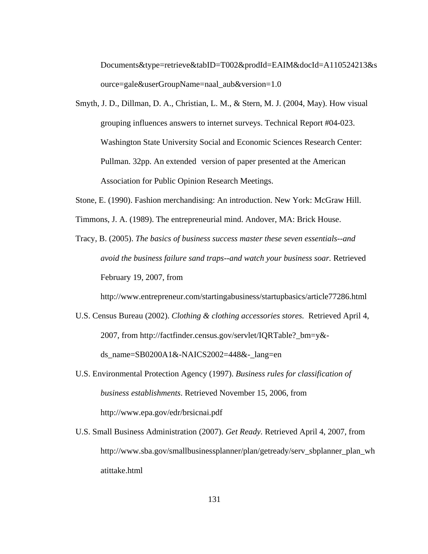Documents&type=retrieve&tabID=T002&prodId=EAIM&docId=A110524213&s ource=gale&userGroupName=naal\_aub&version=1.0

- Smyth, J. D., Dillman, D. A., Christian, L. M., & Stern, M. J. (2004, May). How visual grouping influences answers to internet surveys. Technical Report #04-023. Washington State University Social and Economic Sciences Research Center: Pullman. 32pp. An extended version of paper presented at the American Association for Public Opinion Research Meetings.
- Stone, E. (1990). Fashion merchandising: An introduction. New York: McGraw Hill.
- Timmons, J. A. (1989). The entrepreneurial mind. Andover, MA: Brick House.
- Tracy, B. (2005). *The basics of business success master these seven essentials--and avoid the business failure sand traps--and watch your business soar.* Retrieved February 19, 2007, from

http://www.entrepreneur.com/startingabusiness/startupbasics/article77286.html

- U.S. Census Bureau (2002). *Clothing & clothing accessories stores.* Retrieved April 4, 2007, from http://factfinder.census.gov/servlet/IQRTable?\_bm=y& ds\_name=SB0200A1&-NAICS2002=448&-\_lang=en
- U.S. Environmental Protection Agency (1997). *Business rules for classification of business establishments*. Retrieved November 15, 2006, from http://www.epa.gov/edr/brsicnai.pdf
- U.S. Small Business Administration (2007). *Get Ready.* Retrieved April 4, 2007, from http://www.sba.gov/smallbusinessplanner/plan/getready/serv\_sbplanner\_plan\_wh atittake.html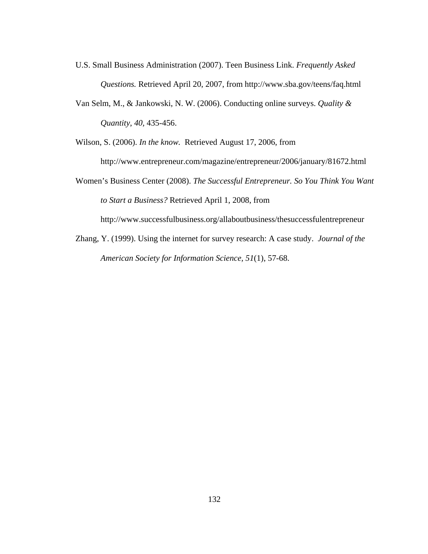- U.S. Small Business Administration (2007). Teen Business Link. *Frequently Asked Questions.* Retrieved April 20, 2007, from http://www.sba.gov/teens/faq.html
- Van Selm, M., & Jankowski, N. W. (2006). Conducting online surveys. *Quality & Quantity*, *40,* 435-456.

Wilson, S. (2006). *In the know.* Retrieved August 17, 2006, from http://www.entrepreneur.com/magazine/entrepreneur/2006/january/81672.html

Women's Business Center (2008). *The Successful Entrepreneur. So You Think You Want to Start a Business?* Retrieved April 1, 2008, from

http://www.successfulbusiness.org/allaboutbusiness/thesuccessfulentrepreneur

Zhang, Y. (1999). Using the internet for survey research: A case study. *Journal of the American Society for Information Science, 51*(1), 57-68.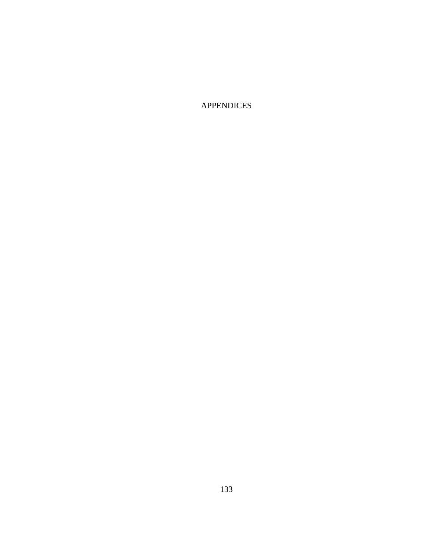APPENDICES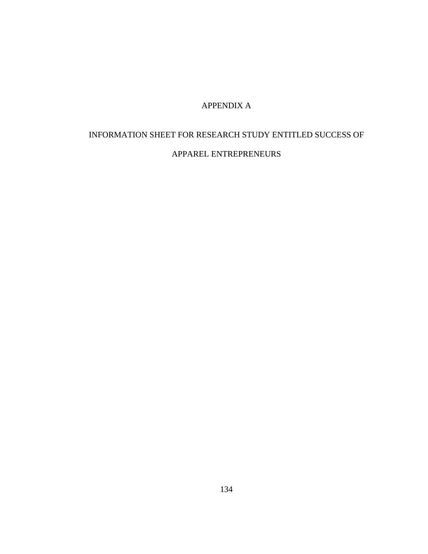## APPENDIX A

# INFORMATION SHEET FOR RESEARCH STUDY ENTITLED SUCCESS OF

#### APPAREL ENTREPRENEURS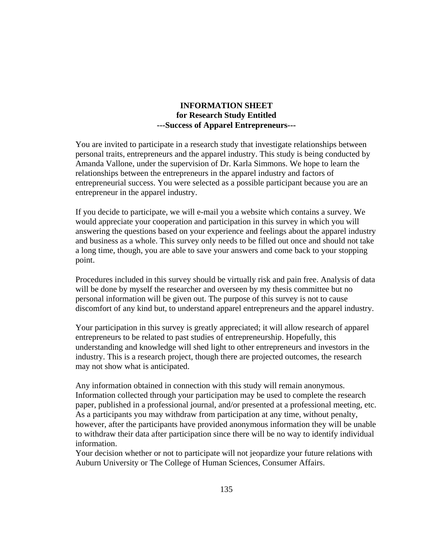#### **INFORMATION SHEET for Research Study Entitled ---Success of Apparel Entrepreneurs---**

You are invited to participate in a research study that investigate relationships between personal traits, entrepreneurs and the apparel industry. This study is being conducted by Amanda Vallone, under the supervision of Dr. Karla Simmons. We hope to learn the relationships between the entrepreneurs in the apparel industry and factors of entrepreneurial success. You were selected as a possible participant because you are an entrepreneur in the apparel industry.

If you decide to participate, we will e-mail you a website which contains a survey. We would appreciate your cooperation and participation in this survey in which you will answering the questions based on your experience and feelings about the apparel industry and business as a whole. This survey only needs to be filled out once and should not take a long time, though, you are able to save your answers and come back to your stopping point.

Procedures included in this survey should be virtually risk and pain free. Analysis of data will be done by myself the researcher and overseen by my thesis committee but no personal information will be given out. The purpose of this survey is not to cause discomfort of any kind but, to understand apparel entrepreneurs and the apparel industry.

Your participation in this survey is greatly appreciated; it will allow research of apparel entrepreneurs to be related to past studies of entrepreneurship. Hopefully, this understanding and knowledge will shed light to other entrepreneurs and investors in the industry. This is a research project, though there are projected outcomes, the research may not show what is anticipated.

Any information obtained in connection with this study will remain anonymous. Information collected through your participation may be used to complete the research paper, published in a professional journal, and/or presented at a professional meeting, etc. As a participants you may withdraw from participation at any time, without penalty, however, after the participants have provided anonymous information they will be unable to withdraw their data after participation since there will be no way to identify individual information.

Your decision whether or not to participate will not jeopardize your future relations with Auburn University or The College of Human Sciences, Consumer Affairs.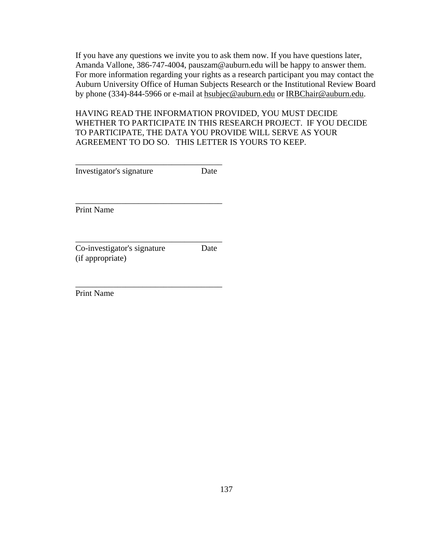If you have any questions we invite you to ask them now. If you have questions later, Amanda Vallone, 386-747-4004, pauszam@auburn.edu will be happy to answer them. For more information regarding your rights as a research participant you may contact the Auburn University Office of Human Subjects Research or the Institutional Review Board by phone (334)-844-5966 or e-mail at hsubjec@auburn.edu or IRBChair@auburn.edu.

HAVING READ THE INFORMATION PROVIDED, YOU MUST DECIDE WHETHER TO PARTICIPATE IN THIS RESEARCH PROJECT. IF YOU DECIDE TO PARTICIPATE, THE DATA YOU PROVIDE WILL SERVE AS YOUR AGREEMENT TO DO SO. THIS LETTER IS YOURS TO KEEP.

| Investigator's signature | Date |
|--------------------------|------|

\_\_\_\_\_\_\_\_\_\_\_\_\_\_\_\_\_\_\_\_\_\_\_\_\_\_\_\_\_\_\_\_\_\_\_

\_\_\_\_\_\_\_\_\_\_\_\_\_\_\_\_\_\_\_\_\_\_\_\_\_\_\_\_\_\_\_\_\_\_\_

\_\_\_\_\_\_\_\_\_\_\_\_\_\_\_\_\_\_\_\_\_\_\_\_\_\_\_\_\_\_\_\_\_\_\_

Print Name

Co-investigator's signature Date (if appropriate)

Print Name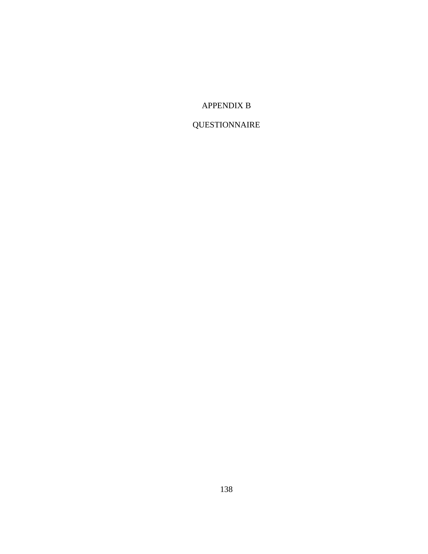## APPENDIX B

# QUESTIONNAIRE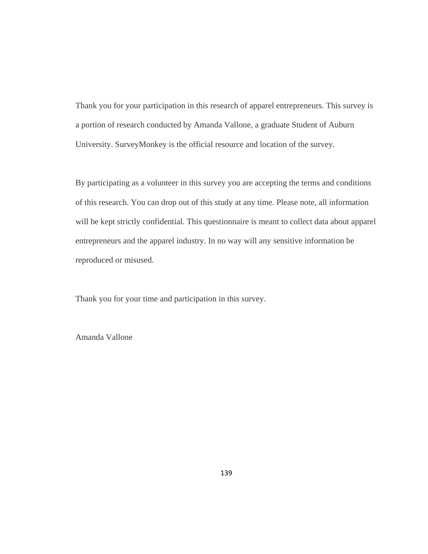Thank you for your participation in this research of apparel entrepreneurs. This survey is a portion of research conducted by Amanda Vallone, a graduate Student of Auburn University. SurveyMonkey is the official resource and location of the survey.

By participating as a volunteer in this survey you are accepting the terms and conditions of this research. You can drop out of this study at any time. Please note, all information will be kept strictly confidential. This questionnaire is meant to collect data about apparel entrepreneurs and the apparel industry. In no way will any sensitive information be reproduced or misused.

Thank you for your time and participation in this survey.

Amanda Vallone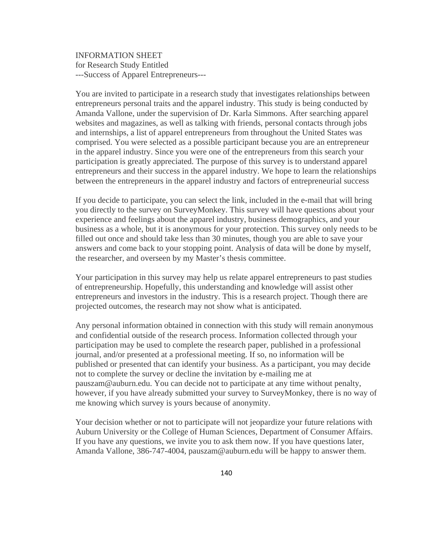INFORMATION SHEET for Research Study Entitled ---Success of Apparel Entrepreneurs---

You are invited to participate in a research study that investigates relationships between entrepreneurs personal traits and the apparel industry. This study is being conducted by Amanda Vallone, under the supervision of Dr. Karla Simmons. After searching apparel websites and magazines, as well as talking with friends, personal contacts through jobs and internships, a list of apparel entrepreneurs from throughout the United States was comprised. You were selected as a possible participant because you are an entrepreneur in the apparel industry. Since you were one of the entrepreneurs from this search your participation is greatly appreciated. The purpose of this survey is to understand apparel entrepreneurs and their success in the apparel industry. We hope to learn the relationships between the entrepreneurs in the apparel industry and factors of entrepreneurial success

If you decide to participate, you can select the link, included in the e-mail that will bring you directly to the survey on SurveyMonkey. This survey will have questions about your experience and feelings about the apparel industry, business demographics, and your business as a whole, but it is anonymous for your protection. This survey only needs to be filled out once and should take less than 30 minutes, though you are able to save your answers and come back to your stopping point. Analysis of data will be done by myself, the researcher, and overseen by my Master's thesis committee.

Your participation in this survey may help us relate apparel entrepreneurs to past studies of entrepreneurship. Hopefully, this understanding and knowledge will assist other entrepreneurs and investors in the industry. This is a research project. Though there are projected outcomes, the research may not show what is anticipated.

Any personal information obtained in connection with this study will remain anonymous and confidential outside of the research process. Information collected through your participation may be used to complete the research paper, published in a professional journal, and/or presented at a professional meeting. If so, no information will be published or presented that can identify your business. As a participant, you may decide not to complete the survey or decline the invitation by e-mailing me at pauszam@auburn.edu. You can decide not to participate at any time without penalty, however, if you have already submitted your survey to SurveyMonkey, there is no way of me knowing which survey is yours because of anonymity.

Your decision whether or not to participate will not jeopardize your future relations with Auburn University or the College of Human Sciences, Department of Consumer Affairs. If you have any questions, we invite you to ask them now. If you have questions later, Amanda Vallone, 386-747-4004, pauszam@auburn.edu will be happy to answer them.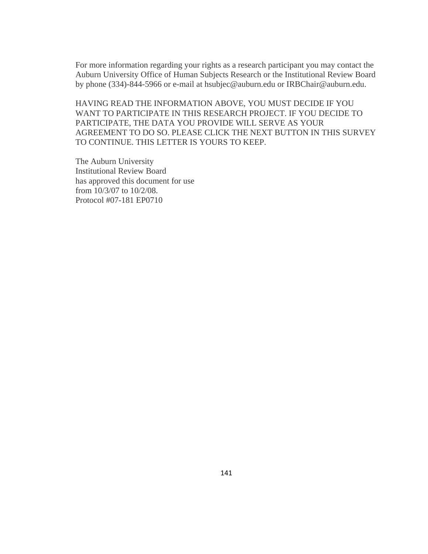For more information regarding your rights as a research participant you may contact the Auburn University Office of Human Subjects Research or the Institutional Review Board by phone (334)-844-5966 or e-mail at hsubjec@auburn.edu or IRBChair@auburn.edu.

HAVING READ THE INFORMATION ABOVE, YOU MUST DECIDE IF YOU WANT TO PARTICIPATE IN THIS RESEARCH PROJECT. IF YOU DECIDE TO PARTICIPATE, THE DATA YOU PROVIDE WILL SERVE AS YOUR AGREEMENT TO DO SO. PLEASE CLICK THE NEXT BUTTON IN THIS SURVEY TO CONTINUE. THIS LETTER IS YOURS TO KEEP.

The Auburn University Institutional Review Board has approved this document for use from 10/3/07 to 10/2/08. Protocol #07-181 EP0710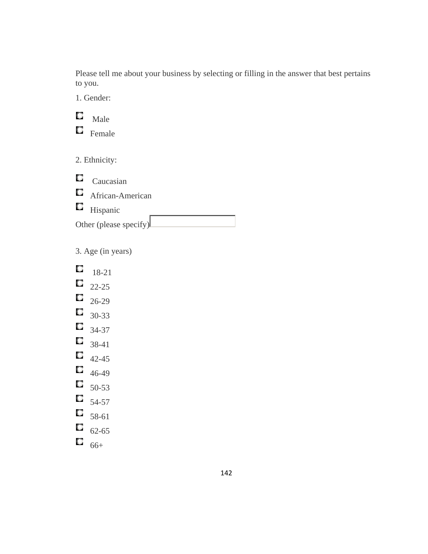Please tell me about your business by selecting or filling in the answer that best pertains to you.

1. Gender:

 $\Box$  Male  $\Box$  Female

2. Ethnicity:

 $\Box$  Caucasian **C** African-American **H**ispanic Other (please specify)

3. Age (in years)

Q 18-21  $\Box$  22-25  $\Box$  26-29  $\Box$  30-33  $\Box$  34-37  $\Box$  38-41  $\Box$  42-45  $\Box$  46-49  $50-53$  $54-57$  $58-61$  $\Box$  62-65

 $\overline{\mathbb{G}}$  66+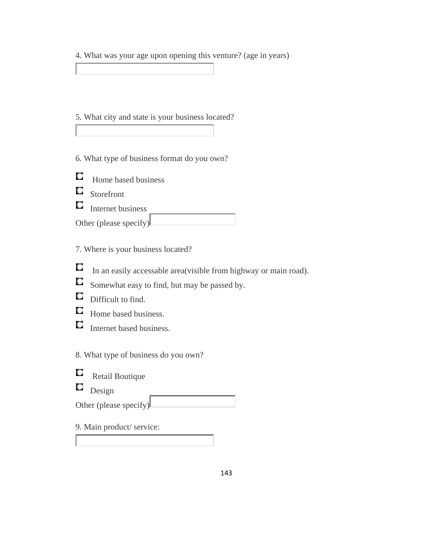4. What was your age upon opening this venture? (age in years)

- 5. What city and state is your business located?
- 6. What type of business format do you own?
- O. Home based business
- 0 Storefront
- $\Box$  Internet business

7. Where is your business located?

- $\Box$ In an easily accessable area(visible from highway or main road).
- $\Box$ Somewhat easy to find, but may be passed by.
- $\Box$  Difficult to find.
- $\Box$ Home based business.
- Internet based business.

8. What type of business do you own?

- Q Retail Boutique
- О Design

Other (please specify)

9. Main product/ service: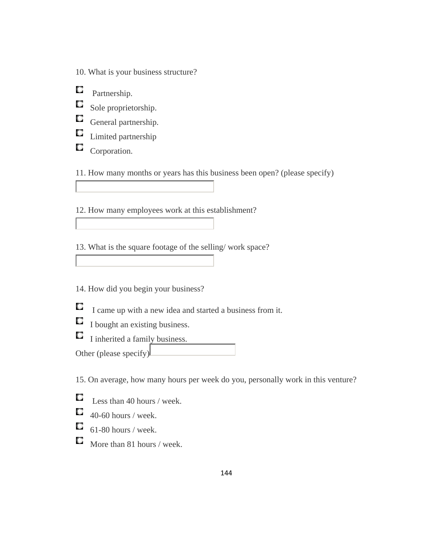- 10. What is your business structure?
- О Partnership.
- $\Box$ Sole proprietorship.
- General partnership.
- О Limited partnership
- О Corporation.

11. How many months or years has this business been open? (please specify)

12. How many employees work at this establishment?

13. What is the square footage of the selling/ work space?

14. How did you begin your business?

- О I came up with a new idea and started a business from it.
- $\Box$  I bought an existing business.
- I inherited a family business. Other (please specify)

15. On average, how many hours per week do you, personally work in this venture?

- О Less than 40 hours / week.
- $\Box$  40-60 hours / week.
- $\Box$ 61-80 hours / week.
- More than 81 hours / week.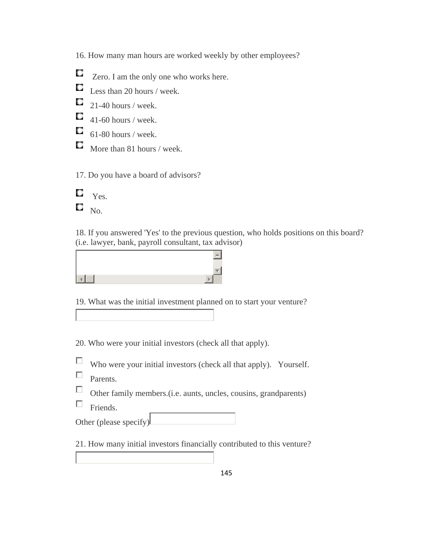16. How many man hours are worked weekly by other employees?

О Zero. I am the only one who works here.

 $\Box$  Less than 20 hours / week.

 $\Box$  21-40 hours / week.

 $\Box$  41-60 hours / week.

- $\Box$  61-80 hours / week.
- More than 81 hours / week.

17. Do you have a board of advisors?

 $\Box$  Yes.  $\square$   $_{\text{No.}}$ 

18. If you answered 'Yes' to the previous question, who holds positions on this board? (i.e. lawyer, bank, payroll consultant, tax advisor)

19. What was the initial investment planned on to start your venture?

20. Who were your initial investors (check all that apply).

П. Who were your initial investors (check all that apply). Yourself.

- П Parents.
- $\Box$ Other family members.(i.e. aunts, uncles, cousins, grandparents)
- П Friends.

Other (please specify)

21. How many initial investors financially contributed to this venture?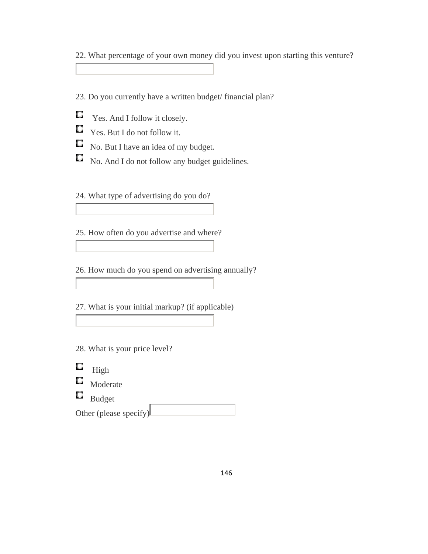22. What percentage of your own money did you invest upon starting this venture?

23. Do you currently have a written budget/ financial plan?

- Q Yes. And I follow it closely.
- $\Box$  Yes. But I do not follow it.
- $\Box$  No. But I have an idea of my budget.
- $\Box$  No. And I do not follow any budget guidelines.

24. What type of advertising do you do?

25. How often do you advertise and where?

26. How much do you spend on advertising annually?

27. What is your initial markup? (if applicable)

- 28. What is your price level?
- 0 High
- $\Box$  Moderate
- $\Box$  Budget

Other (please specify)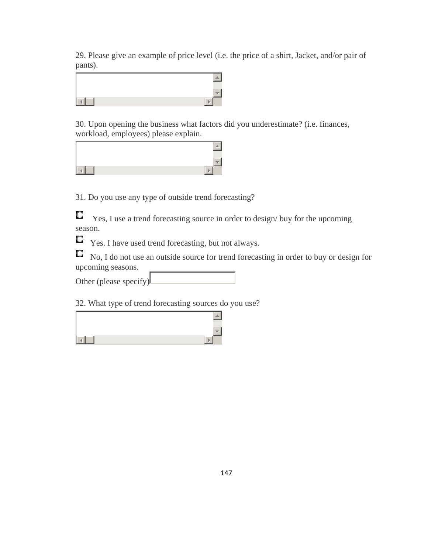29. Please give an example of price level (i.e. the price of a shirt, Jacket, and/or pair of pants).



30. Upon opening the business what factors did you underestimate? (i.e. finances, workload, employees) please explain.



31. Do you use any type of outside trend forecasting?

Q Yes, I use a trend forecasting source in order to design/ buy for the upcoming season.

О Yes. I have used trend forecasting, but not always.

O, No, I do not use an outside source for trend forecasting in order to buy or design for upcoming seasons.

Other (please specify)

32. What type of trend forecasting sources do you use?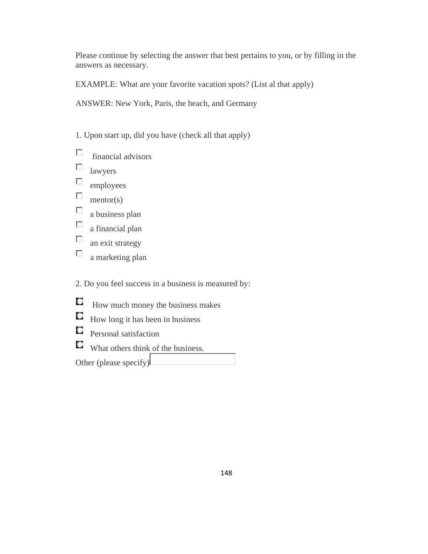Please continue by selecting the answer that best pertains to you, or by filling in the answers as necessary.

EXAMPLE: What are your favorite vacation spots? (List al that apply)

ANSWER: New York, Paris, the beach, and Germany

1. Upon start up, did you have (check all that apply)

- П financial advisors
- $\Box$ lawyers
- $\Box$ employees
- $\Box$ mentor(s)
- $\Box$ a business plan
- $\Box$ a financial plan
- $\Box$ an exit strategy
- $\Box$ a marketing plan

2. Do you feel success in a business is measured by:

- $\Box$ How much money the business makes
- $\Box$  How long it has been in business
- **Q** Personal satisfaction
- What others think of the business.

Other (please specify)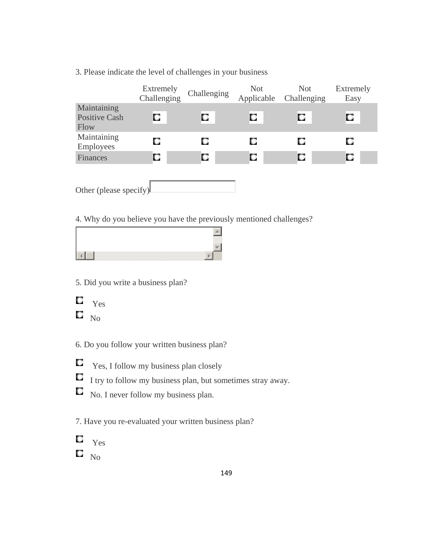|                                             | Extremely<br>Challenging |   | Not<br>Applicable | Not<br>Challenging | Extremely<br>Easy |  |
|---------------------------------------------|--------------------------|---|-------------------|--------------------|-------------------|--|
| Maintaining<br><b>Positive Cash</b><br>Flow | О                        | О | О                 | О                  | о                 |  |
| Maintaining<br>Employees                    | о                        | о | о                 | О                  | О                 |  |
| Finances                                    | О                        | О | О                 | О                  | О                 |  |
|                                             |                          |   |                   |                    |                   |  |

#### 3. Please indicate the level of challenges in your business

Other (please specify)

4. Why do you believe you have the previously mentioned challenges?

#### 5. Did you write a business plan?



6. Do you follow your written business plan?

- $\Box$ Yes, I follow my business plan closely
- $\Box$  I try to follow my business plan, but sometimes stray away.
- $\Box$  No. I never follow my business plan.

7. Have you re-evaluated your written business plan?

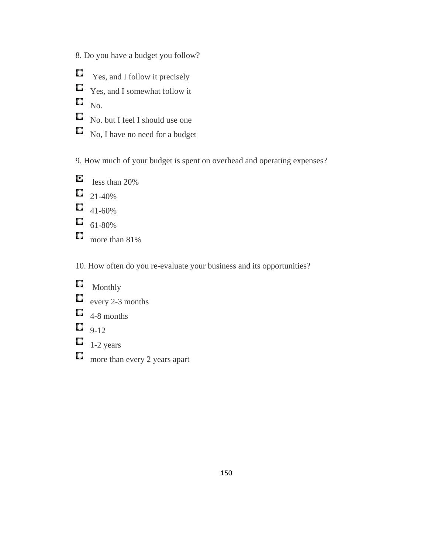- 8. Do you have a budget you follow?
- $\Box$  Yes, and I follow it precisely
- $\Box$  Yes, and I somewhat follow it

 $\Box$  No.

- No. but I feel I should use one
- $\Box$  No, I have no need for a budget

9. How much of your budget is spent on overhead and operating expenses?

- O less than 20%  $\Box$  21-40%  $\Box$  41-60%  $\Box$  61-80%
- $\Box$  more than 81%

10. How often do you re-evaluate your business and its opportunities?

- $\Box$  Monthly  $\Box$  every 2-3 months  $\Box$  4-8 months
- $\Box$  9-12
- $\Box$  1-2 years
- more than every 2 years apart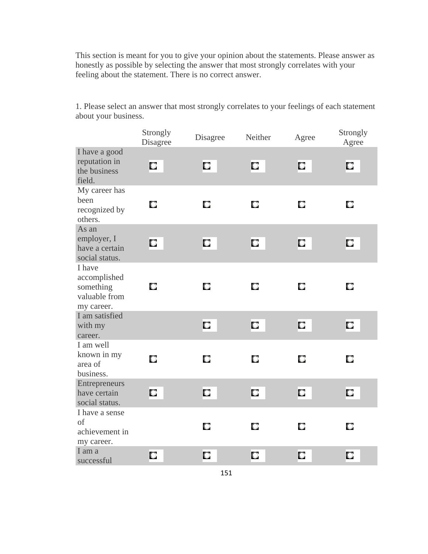This section is meant for you to give your opinion about the statements. Please answer as honestly as possible by selecting the answer that most strongly correlates with your feeling about the statement. There is no correct answer.

Strongly<br>Disagree Strongly<br>Disagree Neither Agree Strongly<br>Agree Agree I have a good reputation in D. C. O. O. O. the business field. My career has been O. 0 O О O. recognized by others. As an employer, I  $\Box$ O. O. 0 O. have a certain social status. I have accomplished О О O О something O. valuable from my career. I am satisfied  $\Box$ D.  $\Box$  $\Box$ with my career. I am well known in my О О О О О area of business. Entrepreneurs  $\Box$ O 0 0 have certain O. social status. I have a sense of O. О O. 0 achievement in my career. I am a O. О О Ο. O. successful

1. Please select an answer that most strongly correlates to your feelings of each statement about your business.

151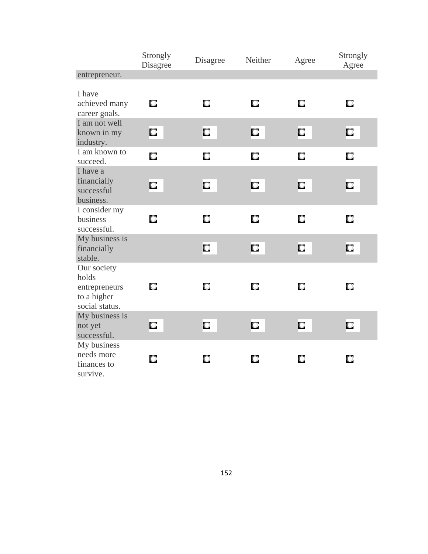|                                                                        | Strongly<br>Disagree | Disagree | Strongly<br>Agree |   |   |
|------------------------------------------------------------------------|----------------------|----------|-------------------|---|---|
| entrepreneur.                                                          |                      |          |                   |   |   |
| I have<br>achieved many<br>career goals.                               | О                    | О        | О                 | О | О |
| I am not well<br>known in my<br>industry.                              | О                    | О        | О                 | О | О |
| I am known to<br>succeed.                                              | О                    | О        | О                 | О | О |
| I have a<br>financially<br>successful<br>business.                     | О                    | О        | О                 | О | О |
| I consider my<br>business<br>successful.                               | О                    | О        | О                 | О | О |
| My business is<br>financially<br>stable.                               |                      | О        | О                 | О | О |
| Our society<br>holds<br>entrepreneurs<br>to a higher<br>social status. | О                    | О        | О                 | О | О |
| My business is<br>not yet<br>successful.                               | О                    | О        | О                 | О | О |
| My business<br>needs more<br>finances to<br>survive.                   | О                    | О        | О                 | О | О |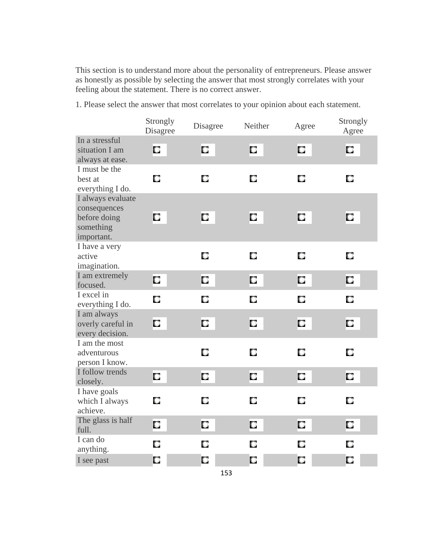This section is to understand more about the personality of entrepreneurs. Please answer as honestly as possible by selecting the answer that most strongly correlates with your feeling about the statement. There is no correct answer.

1. Please select the answer that most correlates to your opinion about each statement.

|                                                                              | Strongly<br>Disagree | Disagree | Neither | Agree | Strongly<br>Agree |
|------------------------------------------------------------------------------|----------------------|----------|---------|-------|-------------------|
| In a stressful<br>situation I am<br>always at ease.                          | О                    | О        | О       | О     | О                 |
| I must be the<br>best at<br>everything I do.                                 | О                    | О        | О       | О     | O                 |
| I always evaluate<br>consequences<br>before doing<br>something<br>important. | О                    | О        | О       | О     | О                 |
| I have a very<br>active<br>imagination.                                      |                      | О        | О       | О     | О                 |
| I am extremely<br>focused.                                                   | О                    | О        | О       | О     | О                 |
| I excel in<br>everything I do.                                               | О<br>О               | О        | О       | О     | О                 |
| I am always<br>overly careful in<br>every decision.                          |                      | О        | О       | О     | О                 |
| I am the most<br>adventurous<br>person I know.                               |                      | О        | О       | О     | О                 |
| I follow trends<br>closely.                                                  | О                    | О        | О       | О     | О                 |
| I have goals<br>which I always<br>achieve.                                   | О                    | О        | О       | О     | О                 |
| The glass is half<br>full.                                                   | О                    | О        | О       | О     | О                 |
| I can do<br>anything.                                                        | О                    | О        | О       | О     | О                 |
| I see past                                                                   | О                    | О        | О       | О     | O                 |

153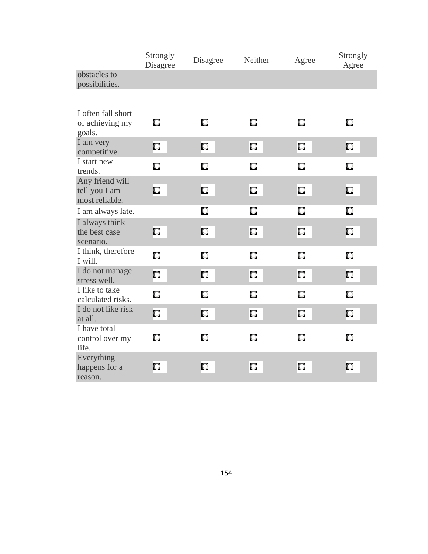|                                                    | Strongly<br>Disagree | Disagree | Strongly<br>Agree |   |   |
|----------------------------------------------------|----------------------|----------|-------------------|---|---|
| obstacles to<br>possibilities.                     |                      |          |                   |   |   |
|                                                    |                      |          |                   |   |   |
| I often fall short<br>of achieving my<br>goals.    | O                    | O        | О                 | О | О |
| I am very<br>competitive.                          | О                    | О        | О                 | О | О |
| I start new<br>trends.                             | О                    | О        | О                 | О | О |
| Any friend will<br>tell you I am<br>most reliable. | О                    | О        | О                 | О | О |
| I am always late.                                  |                      | О        | О                 | О | О |
| I always think<br>the best case<br>scenario.       | О                    | О        | О                 | О | О |
| I think, therefore<br>I will.                      | О                    | О        | О                 | О | О |
| I do not manage<br>stress well.                    | О                    | О        | О                 | О | О |
| I like to take<br>calculated risks.                | О                    | О        | О                 | О | О |
| I do not like risk<br>at all.                      | О                    | О        | О                 | О | О |
| I have total<br>control over my<br>life.           | О                    | О        | О                 | О | О |
| Everything<br>happens for a<br>reason.             | О                    | О        | О                 | О | О |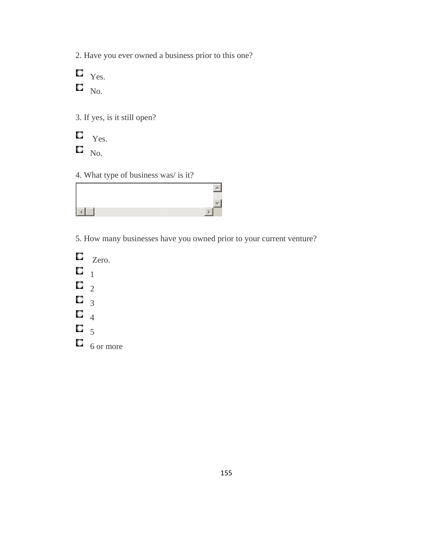2. Have you ever owned a business prior to this one?

 $\Box$  Yes.  $\Box$  No.

3. If yes, is it still open?

 $\Box$ Yes.

 $\Box$  No.

## 4. What type of business was/ is it?



5. How many businesses have you owned prior to your current venture?

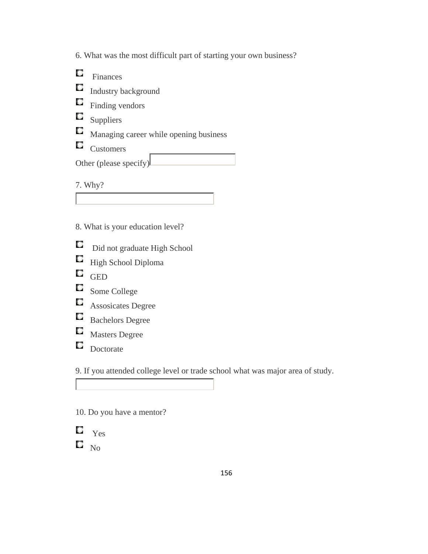6. What was the most difficult part of starting your own business?

 $\Box$ Finances

Industry background

 $\Box$  Finding vendors

 $\Box$  Suppliers

 $\Box$  Managing career while opening business

 $\Box$  Customers

Other (please specify)

7. Why?

- 8. What is your education level?
- $\Box$ Did not graduate High School
- $\Box$ High School Diploma
- $\Box$  GED
- Some College
- **C** Assosicates Degree
- Bachelors Degree
- $\Box$ Masters Degree
- $\Box$  Doctorate

9. If you attended college level or trade school what was major area of study.

10. Do you have a mentor?

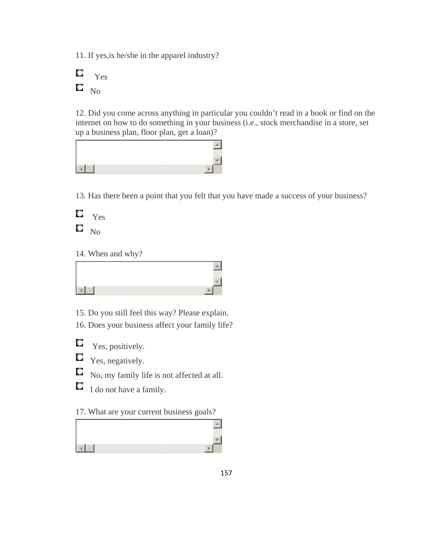11. If yes,is he/she in the apparel industry?



12. Did you come across anything in particular you couldn't read in a book or find on the internet on how to do something in your business (i.e., stock merchandise in a store, set up a business plan, floor plan, get a loan)?



13. Has there been a point that you felt that you have made a success of your business?

O Yes  $\square$   $_{\rm No}$ 

14. When and why?

15. Do you still feel this way? Please explain.

16. Does your business affect your family life?

О Yes, positively.

О Yes, negatively.

- О No, my family life is not affected at all.
- О I do not have a family.

17. What are your current business goals?